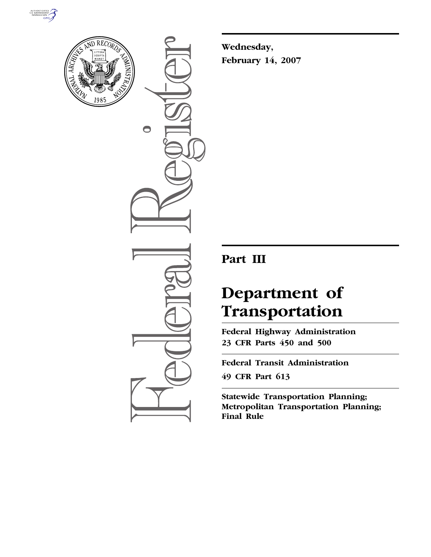



 $\bigcirc$ 

**Wednesday, February 14, 2007** 

## **Part III**

# **Department of Transportation**

**Federal Highway Administration 23 CFR Parts 450 and 500** 

**Federal Transit Administration 49 CFR Part 613** 

**Statewide Transportation Planning; Metropolitan Transportation Planning; Final Rule**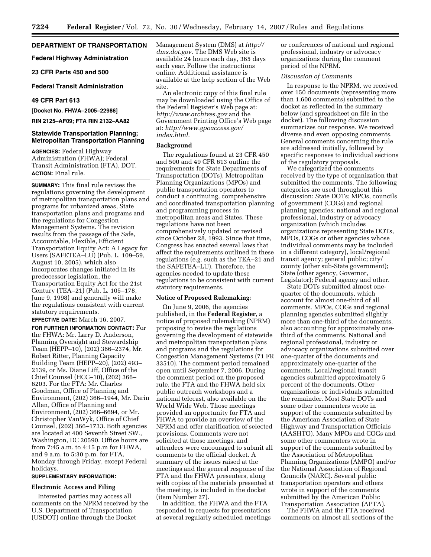## **DEPARTMENT OF TRANSPORTATION**

**Federal Highway Administration** 

**23 CFR Parts 450 and 500** 

#### **Federal Transit Administration**

## **49 CFR Part 613**

**[Docket No. FHWA–2005–22986]** 

**RIN 2125–AF09; FTA RIN 2132–AA82** 

## **Statewide Transportation Planning; Metropolitan Transportation Planning**

**AGENCIES:** Federal Highway Administration (FHWA); Federal Transit Administration (FTA), DOT. **ACTION:** Final rule.

**SUMMARY:** This final rule revises the regulations governing the development of metropolitan transportation plans and programs for urbanized areas, State transportation plans and programs and the regulations for Congestion Management Systems. The revision results from the passage of the Safe, Accountable, Flexible, Efficient Transportation Equity Act: A Legacy for Users (SAFETEA–LU) (Pub. L. 109–59, August 10, 2005), which also incorporates changes initiated in its predecessor legislation, the Transportation Equity Act for the 21st Century (TEA–21) (Pub. L. 105–178, June 9, 1998) and generally will make the regulations consistent with current statutory requirements.

#### **EFFECTIVE DATE:** March 16, 2007.

**FOR FURTHER INFORMATION CONTACT:** For the FHWA: Mr. Larry D. Anderson, Planning Oversight and Stewardship Team (HEPP–10), (202) 366–2374, Mr. Robert Ritter, Planning Capacity Building Team (HEPP–20), (202) 493– 2139, or Ms. Diane Liff, Office of the Chief Counsel (HCC–10), (202) 366– 6203. For the FTA: Mr. Charles Goodman, Office of Planning and Environment, (202) 366–1944, Mr. Darin Allan, Office of Planning and Environment, (202) 366–6694, or Mr. Christopher VanWyk, Office of Chief Counsel, (202) 366–1733. Both agencies are located at 400 Seventh Street SW., Washington, DC 20590. Office hours are from 7:45 a.m. to 4:15 p.m for FHWA, and 9 a.m. to 5:30 p.m. for FTA, Monday through Friday, except Federal holidays.

## **SUPPLEMENTARY INFORMATION:**

#### **Electronic Access and Filing**

Interested parties may access all comments on the NPRM received by the U.S. Department of Transportation (USDOT) online through the Docket

Management System (DMS) at *http:// dms.dot.gov.* The DMS Web site is available 24 hours each day, 365 days each year. Follow the instructions online. Additional assistance is available at the help section of the Web site.

An electronic copy of this final rule may be downloaded using the Office of the Federal Register's Web page at: *http://www.archives.gov* and the Government Printing Office's Web page at: *http://www.gpoaccess.gov/ index.html.* 

#### **Background**

The regulations found at 23 CFR 450 and 500 and 49 CFR 613 outline the requirements for State Departments of Transportation (DOTs), Metropolitan Planning Organizations (MPOs) and public transportation operators to conduct a continuing, comprehensive and coordinated transportation planning and programming process in metropolitan areas and States. These regulations have not been comprehensively updated or revised since October 28, 1993. Since that time, Congress has enacted several laws that affect the requirements outlined in these regulations (e.g. such as the TEA–21 and the SAFETEA–LU). Therefore, the agencies needed to update these regulations to be consistent with current statutory requirements.

#### **Notice of Proposed Rulemaking:**

On June 9, 2006, the agencies published, in the **Federal Register**, a notice of proposed rulemaking (NPRM) proposing to revise the regulations governing the development of statewide and metropolitan transportation plans and programs and the regulations for Congestion Management Systems (71 FR 33510). The comment period remained open until September 7, 2006. During the comment period on the proposed rule, the FTA and the FHWA held six public outreach workshops and a national telecast, also available on the World Wide Web. Those meetings provided an opportunity for FTA and FHWA to provide an overview of the NPRM and offer clarification of selected provisions. Comments were not solicited at those meetings, and attendees were encouraged to submit all comments to the official docket. A summary of the issues raised at the meetings and the general response of the FTA and the FHWA presenters, along with copies of the materials presented at the meeting, is included in the docket (item Number 27).

In addition, the FHWA and the FTA responded to requests for presentations at several regularly scheduled meetings or conferences of national and regional professional, industry or advocacy organizations during the comment period of the NPRM.

## *Discussion of Comments*

In response to the NPRM, we received over 150 documents (representing more than 1,600 comments) submitted to the docket as reflected in the summary below (and spreadsheet on file in the docket). The following discussion summarizes our response. We received diverse and even opposing comments. General comments concerning the rule are addressed initially, followed by specific responses to individual sections of the regulatory proposals.

We categorized the comments received by the type of organization that submitted the comments. The following categories are used throughout this discussion: State DOTs; MPOs, councils of government (COGs) and regional planning agencies; national and regional professional, industry or advocacy organization (which includes organizations representing State DOTs, MPOs, COGs or other agencies whose individual comments may be included in a different category), local/regional transit agency; general public; city/ county (other sub-State government); State (other agency, Governor, Legislator); Federal agency and other.

State DOTs submitted almost onequarter of the documents, which account for almost one-third of all comments. MPOs, COGs and regional planning agencies submitted slightly more than one-third of the documents, also accounting for approximately onethird of the comments. National and regional professional, industry or advocacy organizations submitted over one-quarter of the documents and approximately one-quarter of the comments. Local/regional transit agencies submitted approximately 5 percent of the documents. Other organizations or individuals submitted the remainder. Most State DOTs and some other commenters wrote in support of the comments submitted by the American Association of State Highway and Transportation Officials (AASHTO). Many MPOs and COGs and some other commenters wrote in support of the comments submitted by the Association of Metropolitan Planning Organizations (AMPO) and/or the National Association of Regional Councils (NARC). Several public transportation operators and others wrote in support of the comments submitted by the American Public Transportation Association (APTA).

The FHWA and the FTA received comments on almost all sections of the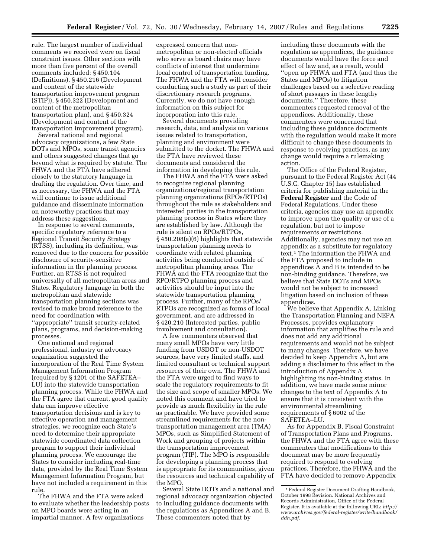rule. The largest number of individual comments we received were on fiscal constraint issues. Other sections with more than five percent of the overall comments included: § 450.104 (Definitions), § 450.216 (Development and content of the statewide transportation improvement program (STIP)), § 450.322 (Development and content of the metropolitan transportation plan), and § 450.324 (Development and content of the transportation improvement program).

Several national and regional advocacy organizations, a few State DOTs and MPOs, some transit agencies and others suggested changes that go beyond what is required by statute. The FHWA and the FTA have adhered closely to the statutory language in drafting the regulation. Over time, and as necessary, the FHWA and the FTA will continue to issue additional guidance and disseminate information on noteworthy practices that may address these suggestions.

In response to several comments, specific regulatory reference to a Regional Transit Security Strategy (RTSS), including its definition, was removed due to the concern for possible disclosure of security-sensitive information in the planning process. Further, an RTSS is not required universally of all metropolitan areas and States. Regulatory language in both the metropolitan and statewide transportation planning sections was revised to make broad reference to the need for coordination with ''appropriate'' transit security-related plans, programs, and decision-making processes.

One national and regional professional, industry or advocacy organization suggested the incorporation of the Real Time System Management Information Program (required by § 1201 of the SAFETEA– LU) into the statewide transportation planning process. While the FHWA and the FTA agree that current, good quality data can improve effective transportation decisions and is key to effective operation and management strategies, we recognize each State's need to determine their appropriate statewide coordinated data collection program to support their individual planning process. We encourage the States to consider including real-time data, provided by the Real Time System Management Information Program, but have not included a requirement in this rule.

The FHWA and the FTA were asked to evaluate whether the leadership posts on MPO boards were acting in an impartial manner. A few organizations

expressed concern that nonmetropolitan or non-elected officials who serve as board chairs may have conflicts of interest that undermine local control of transportation funding. The FHWA and the FTA will consider conducting such a study as part of their discretionary research programs. Currently, we do not have enough information on this subject for incorporation into this rule.

Several documents providing research, data, and analysis on various issues related to transportation, planning and environment were submitted to the docket. The FHWA and the FTA have reviewed these documents and considered the information in developing this rule.

The FHWA and the FTA were asked to recognize regional planning organizations/regional transportation planning organizations (RPOs/RTPOs) throughout the rule as stakeholders and interested parties in the transportation planning process in States where they are established by law. Although the rule is silent on RPOs/RTPOs, § 450.208(a)(6) highlights that statewide transportation planning needs to coordinate with related planning activities being conducted outside of metropolitan planning areas. The FHWA and the FTA recognize that the RPO/RTPO planning process and activities should be input into the statewide transportation planning process. Further, many of the RPOs/ RTPOs are recognized as forms of local government, and are addressed in § 420.210 (Interested parties, public involvement and consultation).

A few commenters observed that many small MPOs have very little funding from USDOT or non-USDOT sources, have very limited staffs, and limited consultant or technical support resources of their own. The FHWA and the FTA were urged to find ways to scale the regulatory requirements to fit the size and scope of smaller MPOs. We noted this comment and have tried to provide as much flexibility in the rule as practicable. We have provided some streamlined requirements for the nontransportation management area (TMA) MPOs, such as Simplified Statement of Work and grouping of projects within the transportation improvement program (TIP). The MPO is responsible for developing a planning process that is appropriate for its communities, given the resources and technical capability of the MPO.

Several State DOTs and a national and regional advocacy organization objected to including guidance documents with the regulations as Appendices A and B. These commenters noted that by

including these documents with the regulation as appendices, the guidance documents would have the force and effect of law and, as a result, would ''open up FHWA and FTA (and thus the States and MPOs) to litigation challenges based on a selective reading of short passages in these lengthy documents.'' Therefore, these commenters requested removal of the appendices. Additionally, these commenters were concerned that including these guidance documents with the regulation would make it more difficult to change these documents in response to evolving practices, as any change would require a rulemaking action.

The Office of the Federal Register, pursuant to the Federal Register Act (44 U.S.C. Chapter 15) has established criteria for publishing material in the **Federal Register** and the Code of Federal Regulations. Under these criteria, agencies may use an appendix to improve upon the quality or use of a regulation, but not to impose requirements or restrictions. Additionally, agencies may not use an appendix as a substitute for regulatory text.1 The information the FHWA and the FTA proposed to include in appendices A and B is intended to be non-binding guidance. Therefore, we believe that State DOTs and MPOs would not be subject to increased litigation based on inclusion of these appendices.

We believe that Appendix A, Linking the Transportation Planning and NEPA Processes, provides explanatory information that amplifies the rule and does not add any additional requirements and would not be subject to many changes. Therefore, we have decided to keep Appendix A, but are adding a disclaimer to this effect in the introduction of Appendix A highlighting its non-binding status. In addition, we have made some minor changes to the text of Appendix A to ensure that it is consistent with the environmental streamlining requirements of § 6002 of the SAFETEA–LU.

As for Appendix B, Fiscal Constraint of Transportation Plans and Programs, the FHWA and the FTA agree with these commenters that modifications to this document may be more frequently required to respond to evolving practices. Therefore, the FHWA and the FTA have decided to remove Appendix

<sup>1</sup>Federal Register Document Drafting Handbook, October 1998 Revision. National Archives and Records Administration, Office of the Federal Register. It is available at the following URL: *http:// www.archives.gov/federal-register/write/handbook/ ddh.pdf.*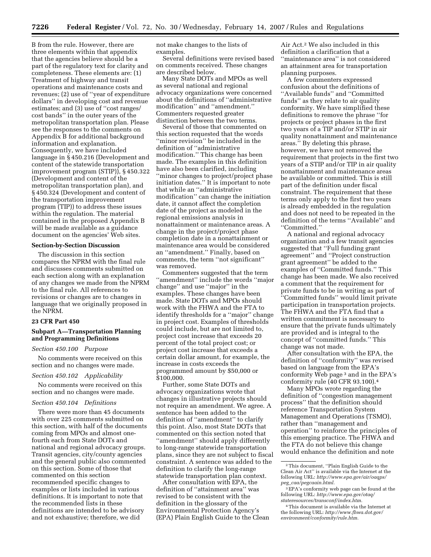B from the rule. However, there are three elements within that appendix that the agencies believe should be a part of the regulatory text for clarity and completeness. These elements are: (1) Treatment of highway and transit operations and maintenance costs and revenues; (2) use of ''year of expenditure dollars'' in developing cost and revenue estimates; and (3) use of "cost ranges/ cost bands'' in the outer years of the metropolitan transportation plan. Please see the responses to the comments on Appendix B for additional background information and explanation. Consequently, we have included language in § 450.216 (Development and content of the statewide transportation improvement program (STIP)), § 450.322 (Development and content of the metropolitan transportation plan), and § 450.324 (Development and content of the transportation improvement program (TIP)) to address these issues within the regulation. The material contained in the proposed Appendix B will be made available as a guidance document on the agencies' Web sites.

#### **Section-by-Section Discussion**

The discussion in this section compares the NPRM with the final rule and discusses comments submitted on each section along with an explanation of any changes we made from the NPRM to the final rule. All references to revisions or changes are to changes in language that we originally proposed in the NPRM.

## **23 CFR Part 450**

## **Subpart A—Transportation Planning and Programming Definitions**

#### *Section 450.100 Purpose*

No comments were received on this section and no changes were made.

#### *Section 450.102 Applicability*

No comments were received on this section and no changes were made.

#### *Section 450.104 Definitions*

There were more than 45 documents with over 225 comments submitted on this section, with half of the documents coming from MPOs and almost onefourth each from State DOTs and national and regional advocacy groups. Transit agencies, city/county agencies and the general public also commented on this section. Some of those that commented on this section recommended specific changes to examples or lists included in various definitions. It is important to note that the recommended lists in these definitions are intended to be advisory and not exhaustive; therefore, we did

not make changes to the lists of examples.

Several definitions were revised based on comments received. These changes are described below.

Many State DOTs and MPOs as well as several national and regional advocacy organizations were concerned about the definitions of ''administrative modification'' and ''amendment.'' Commenters requested greater distinction between the two terms.

Several of those that commented on this section requested that the words ''minor revision'' be included in the definition of ''administrative modification.'' This change has been made. The examples in this definition have also been clarified, including ''minor changes to project/project phase initiation dates.'' It is important to note that while an ''administrative modification'' can change the initiation date, it cannot affect the completion date of the project as modeled in the regional emissions analysis in nonattainment or maintenance areas. A change in the project/project phase completion date in a nonattainment or maintenance area would be considered an ''amendment.'' Finally, based on comments, the term ''not significant'' was removed.

Commenters suggested that the term ''amendment'' include the words ''major change'' and use ''major'' in the examples. These changes have been made. State DOTs and MPOs should work with the FHWA and the FTA to identify thresholds for a ''major'' change in project cost. Examples of thresholds could include, but are not limited to, project cost increase that exceeds 20 percent of the total project cost; or project cost increase that exceeds a certain dollar amount, for example, the increase in costs exceeds the programmed amount by \$50,000 or \$100,000.

Further, some State DOTs and advocacy organizations wrote that changes in illustrative projects should not require an amendment. We agree. A sentence has been added to the definition of ''amendment'' to clarify this point. Also, most State DOTs that commented on this section noted that ''amendment'' should apply differently to long-range statewide transportation plans, since they are not subject to fiscal constraint. A sentence was added to the definition to clarify the long-range statewide transportation plan context.

After consultation with EPA, the definition of ''attainment area'' was revised to be consistent with the definition in the glossary of the Environmental Protection Agency's (EPA) Plain English Guide to the Clean

Air Act.2 We also included in this definition a clarification that a ''maintenance area'' is not considered an attainment area for transportation planning purposes.

A few commenters expressed confusion about the definitions of ''Available funds'' and ''Committed funds'' as they relate to air quality conformity. We have simplified these definitions to remove the phrase ''for projects or project phases in the first two years of a TIP and/or STIP in air quality nonattainment and maintenance areas.'' By deleting this phrase, however, we have not removed the requirement that projects in the first two years of a STIP and/or TIP in air quality nonattainment and maintenance areas be available or committed. This is still part of the definition under fiscal constraint. The requirement that these terms only apply to the first two years is already embedded in the regulation and does not need to be repeated in the definition of the terms ''Available'' and ''Committed.''

A national and regional advocacy organization and a few transit agencies suggested that ''Full funding grant agreement'' and ''Project construction grant agreement'' be added to the examples of ''Committed funds.'' This change has been made. We also received a comment that the requirement for private funds to be in writing as part of ''Committed funds'' would limit private participation in transportation projects. The FHWA and the FTA find that a written commitment is necessary to ensure that the private funds ultimately are provided and is integral to the concept of ''committed funds.'' This change was not made.

After consultation with the EPA, the definition of ''conformity'' was revised based on language from the EPA's conformity Web page 3 and in the EPA's conformity rule (40 CFR 93.100).4

Many MPOs wrote regarding the definition of ''congestion management process'' that the definition should reference Transportation System Management and Operations (TSMO), rather than ''management and operation'' to reinforce the principles of this emerging practice. The FHWA and the FTA do not believe this change would enhance the definition and note

<sup>2</sup>This document, ''Plain English Guide to the Clean Air Act'' is available via the Internet at the following URL: *http://www.epa.gov/air/oaqps/ peg*\_*caa/pegcaain.html.* 

<sup>3</sup>EPA's conformity web page can be found at the following URL: *http://www.epa.gov/otaq/ stateresources/transconf/index.htm.* 

<sup>4</sup>This document is available via the Internet at the following URL: *http://www.fhwa.dot.gov/ environment/conformity/rule.htm.*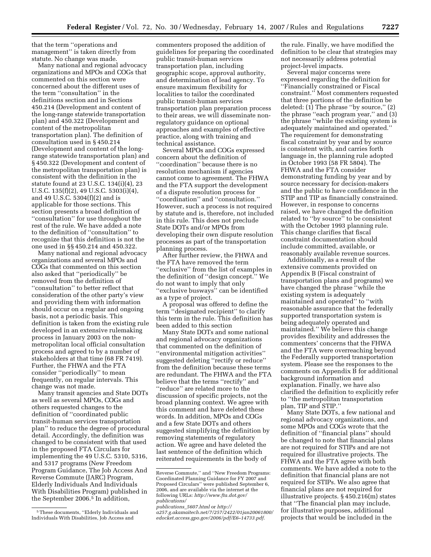that the term ''operations and management'' is taken directly from statute. No change was made.

Many national and regional advocacy organizations and MPOs and COGs that commented on this section were concerned about the different uses of the term ''consultation'' in the definitions section and in Sections 450.214 (Development and content of the long-range statewide transportation plan) and 450.322 (Development and content of the metropolitan transportation plan). The definition of consultation used in § 450.214 (Development and content of the longrange statewide transportation plan) and § 450.322 (Development and content of the metropolitan transportation plan) is consistent with the definition in the statute found at 23 U.S.C. 134(i)(4), 23 U.S.C. 135(f)(2), 49 U.S.C. 5303(i)(4), and 49 U.S.C. 5304(f)(2) and is applicable for those sections. This section presents a broad definition of ''consultation'' for use throughout the rest of the rule. We have added a note to the definition of ''consultation'' to recognize that this definition is not the one used in §§ 450.214 and 450.322.

Many national and regional advocacy organizations and several MPOs and COGs that commented on this section also asked that ''periodically'' be removed from the definition of ''consultation'' to better reflect that consideration of the other party's view and providing them with information should occur on a regular and ongoing basis, not a periodic basis. This definition is taken from the existing rule developed in an extensive rulemaking process in January 2003 on the nonmetropolitan local official consultation process and agreed to by a number of stakeholders at that time (68 FR 7419). Further, the FHWA and the FTA consider ''periodically'' to mean frequently, on regular intervals. This change was not made.

Many transit agencies and State DOTs as well as several MPOs, COGs and others requested changes to the definition of ''coordinated public transit-human services transportation plan'' to reduce the degree of procedural detail. Accordingly, the definition was changed to be consistent with that used in the proposed FTA Circulars for implementing the 49 U.S.C. 5310, 5316, and 5317 programs (New Freedom Program Guidance, The Job Access And Reverse Commute (JARC) Program, Elderly Individuals And Individuals With Disabilities Program) published in the September 2006.<sup>5</sup> In addition,

commenters proposed the addition of guidelines for preparing the coordinated public transit-human services transportation plan, including geographic scope, approval authority, and determination of lead agency. To ensure maximum flexibility for localities to tailor the coordinated public transit-human services transportation plan preparation process to their areas, we will disseminate nonregulatory guidance on optional approaches and examples of effective practice, along with training and technical assistance.

Several MPOs and COGs expressed concern about the definition of ''coordination'' because there is no resolution mechanism if agencies cannot come to agreement. The FHWA and the FTA support the development of a dispute resolution process for ''coordination'' and ''consultation.'' However, such a process is not required by statute and is, therefore, not included in this rule. This does not preclude State DOTs and/or MPOs from developing their own dispute resolution processes as part of the transportation planning process.

After further review, the FHWA and the FTA have removed the term ''exclusive'' from the list of examples in the definition of ''design concept.'' We do not want to imply that only ''exclusive busways'' can be identified as a type of project.

A proposal was offered to define the term ''designated recipient'' to clarify this term in the rule. This definition has been added to this section

Many State DOTs and some national and regional advocacy organizations that commented on the definition of ''environmental mitigation activities'' suggested deleting ''rectify or reduce'' from the definition because these terms are redundant. The FHWA and the FTA believe that the terms ''rectify'' and ''reduce'' are related more to the discussion of specific projects, not the broad planning context. We agree with this comment and have deleted these words. In addition, MPOs and COGs and a few State DOTs and others suggested simplifying the definition by removing statements of regulatory action. We agree and have deleted the last sentence of the definition which reiterated requirements in the body of

the rule. Finally, we have modified the definition to be clear that strategies may not necessarily address potential project-level impacts.

Several major concerns were expressed regarding the definition for ''Financially constrained or Fiscal constraint.'' Most commenters requested that three portions of the definition be deleted: (1) The phrase ''by source,'' (2) the phrase ''each program year,'' and (3) the phrase ''while the existing system is adequately maintained and operated.'' The requirement for demonstrating fiscal constraint by year and by source is consistent with, and carries forth language in, the planning rule adopted in October 1993 (58 FR 5804). The FHWA and the FTA consider demonstrating funding by year and by source necessary for decision-makers and the public to have confidence in the STIP and TIP as financially constrained. However, in response to concerns raised, we have changed the definition related to ''by source'' to be consistent with the October 1993 planning rule. This change clarifies that fiscal constraint documentation should include committed, available, or reasonably available revenue sources.

Additionally, as a result of the extensive comments provided on Appendix B (Fiscal constraint of transportation plans and programs) we have changed the phrase ''while the existing system is adequately maintained and operated'' to ''with reasonable assurance that the federally supported transportation system is being adequately operated and maintained.'' We believe this change provides flexibility and addresses the commenters' concerns that the FHWA and the FTA were overreaching beyond the Federally supported transportation system. Please see the responses to the comments on Appendix B for additional background information and explanation. Finally, we have also clarified the definition to explicitly refer to ''the metropolitan transportation plan, TIP and STIP.''

Many State DOTs, a few national and regional advocacy organizations, and some MPOs and COGs wrote that the definition of ''financial plans'' should be changed to note that financial plans are not required for STIPs and are not required for illustrative projects. The FHWA and the FTA agree with both comments. We have added a note to the definition that financial plans are not required for STIPs. We also agree that financial plans are not required for illustrative projects. § 450.216(m) states that ''The financial plan may include, for illustrative purposes, additional projects that would be included in the

<sup>5</sup>These documents, ''Elderly Individuals and Individuals With Disabilities, Job Access and

Reverse Commute,'' and ''New Freedom Programs: Coordinated Planning Guidance for FY 2007 and Proposed Circulars'' were published September 6, 2006, and are available via the internet at the following URLs: *http://www.fta.dot.gov/ publications/* 

*publications*\_*5607.html* or *http://* 

*a257.g.akamaitech.net/7/257/2422/01jan20061800/ edocket.access.gpo.gov/2006/pdf/E6–14733.pdf.*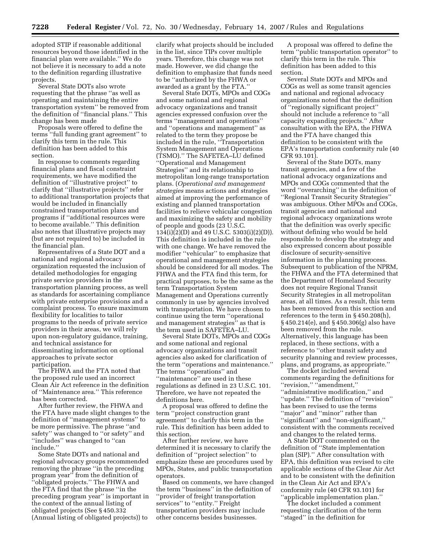adopted STIP if reasonable additional resources beyond those identified in the financial plan were available.'' We do not believe it is necessary to add a note to the definition regarding illustrative projects.

Several State DOTs also wrote requesting that the phrase ''as well as operating and maintaining the entire transportation system'' be removed from the definition of ''financial plans.'' This change has been made

Proposals were offered to define the terms ''full funding grant agreement'' to clarify this term in the rule. This definition has been added to this section.

In response to comments regarding financial plans and fiscal constraint requirements, we have modified the definition of ''illustrative project'' to clarify that ''illustrative projects'' refer to additional transportation projects that would be included in financially constrained transportation plans and programs if ''additional resources were to become available.'' This definition also notes that illustrative projects may (but are not required to) be included in the financial plan.

Representatives of a State DOT and a national and regional advocacy organization requested the inclusion of detailed methodologies for engaging private service providers in the transportation planning process, as well as standards for ascertaining compliance with private enterprise provisions and a complaint process. To ensure maximum flexibility for localities to tailor programs to the needs of private service providers in their areas, we will rely upon non-regulatory guidance, training, and technical assistance for disseminating information on optional approaches to private sector participation.

The FHWA and the FTA noted that the proposed rule used an incorrect Clean Air Act reference in the definition of ''Maintenance area.'' This reference has been corrected.

After further review, the FHWA and the FTA have made slight changes to the definition of ''management systems'' to be more permissive. The phrase ''and safety'' was changed to ''or safety'' and ''includes'' was changed to ''can include.''

Some State DOTs and national and regional advocacy groups recommended removing the phrase ''in the preceding program year'' from the definition of ''obligated projects.'' The FHWA and the FTA find that the phrase ''in the preceding program year'' is important in the context of the annual listing of obligated projects (See § 450.332 (Annual listing of obligated projects)) to

clarify what projects should be included in the list, since TIPs cover multiple years. Therefore, this change was not made. However, we did change the definition to emphasize that funds need to be ''authorized by the FHWA or awarded as a grant by the FTA.''

Several State DOTs, MPOs and COGs and some national and regional advocacy organizations and transit agencies expressed confusion over the terms ''management and operations'' and ''operations and management'' as related to the term they propose be included in the rule, ''Transportation System Management and Operations (TSMO).'' The SAFETEA–LU defined ''Operational and Management Strategies'' and its relationship to metropolitan long-range transportation plans. (*Operational and management strategies* means actions and strategies aimed at improving the performance of existing and planned transportation facilities to relieve vehicular congestion and maximizing the safety and mobility of people and goods (23 U.S.C. 134(i)(2)(D) and 49 U.S.C. 5303(i)(2)(D)). This definition is included in the rule with one change. We have removed the modifier ''vehicular'' to emphasize that operational and management strategies should be considered for all modes. The FHWA and the FTA find this term, for practical purposes, to be the same as the term Transportation System Management and Operations currently commonly in use by agencies involved with transportation. We have chosen to continue using the term ''operational and management strategies'' as that is the term used in SAFETEA–LU.

Several State DOTs, MPOs and COGs and some national and regional advocacy organizations and transit agencies also asked for clarification of the term ''operations and maintenance.'' The terms ''operations'' and ''maintenance'' are used in these regulations as defined in 23 U.S.C. 101. Therefore, we have not repeated the definitions here.

A proposal was offered to define the term ''project construction grant agreement'' to clarify this term in the rule. This definition has been added to this section.

After further review, we have determined it is necessary to clarify the definition of ''project selection'' to emphasize these are procedures used by MPOs, States, and public transportation operators.

Based on comments, we have changed the term ''business'' in the definition of ''provider of freight transportation services'' to ''entity.'' Freight transportation providers may include other concerns besides businesses.

A proposal was offered to define the term ''public transportation operator'' to clarify this term in the rule. This definition has been added to this section.

Several State DOTs and MPOs and COGs as well as some transit agencies and national and regional advocacy organizations noted that the definition of ''regionally significant project'' should not include a reference to ''all capacity expanding projects.'' After consultation with the EPA, the FHWA and the FTA have changed this definition to be consistent with the EPA's transportation conformity rule (40 CFR 93.101).

Several of the State DOTs, many transit agencies, and a few of the national advocacy organizations and MPOs and COGs commented that the word ''overarching'' in the definition of ''Regional Transit Security Strategies'' was ambiguous. Other MPOs and COGs, transit agencies and national and regional advocacy organizations wrote that the definition was overly specific without defining who would be held responsible to develop the strategy and also expressed concern about possible disclosure of security-sensitive information in the planning process. Subsequent to publication of the NPRM, the FHWA and the FTA determined that the Department of Homeland Security does not require Regional Transit Security Strategies in all metropolitan areas, at all times. As a result, this term has been removed from this section and references to the term in § 450.208(h), § 450.214(e), and § 450.306(g) also have been removed from the rule. Alternatively, this language has been replaced, in these sections, with a reference to ''other transit safety and security planning and review processes, plans, and programs, as appropriate.''

The docket included several comments regarding the definitions for ''revision,'' ''amendment,'' ''administrative modification,'' and ''update.'' The definition of ''revision'' has been revised to use the terms ''major'' and ''minor'' rather than ''significant'' and ''non-significant,'' consistent with the comments received and changes to the related terms.

A State DOT commented on the definition of ''State implementation plan (SIP).'' After consultation with EPA, this definition was revised to cite applicable sections of the Clear Air Act and to be consistent with the definition in the Clean Air Act and EPA's conformity rule (40 CFR 93.101) for ''applicable implementation plan.''

The docket included a comment requesting clarification of the term ''staged'' in the definition for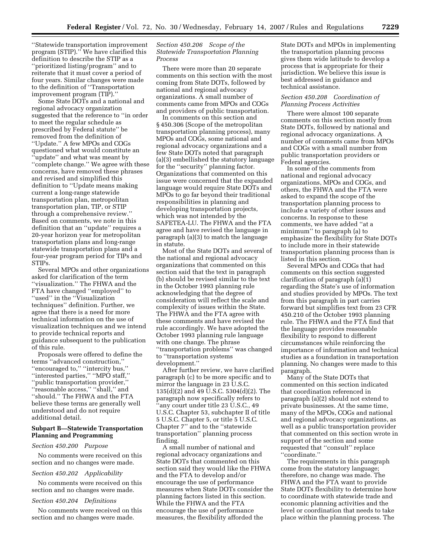''Statewide transportation improvement program (STIP).'' We have clarified this definition to describe the STIP as a ''prioritized listing/program'' and to reiterate that it must cover a period of four years. Similar changes were made to the definition of ''Transportation improvement program (TIP).''

Some State DOTs and a national and regional advocacy organization suggested that the reference to ''in order to meet the regular schedule as prescribed by Federal statute'' be removed from the definition of ''Update.'' A few MPOs and COGs questioned what would constitute an ''update'' and what was meant by ''complete change.'' We agree with these concerns, have removed these phrases and revised and simplified this definition to ''Update means making current a long-range statewide transportation plan, metropolitan transportation plan, TIP, or STIP through a comprehensive review.'' Based on comments, we note in this definition that an ''update'' requires a 20-year horizon year for metropolitan transportation plans and long-range statewide transportation plans and a four-year program period for TIPs and STIPs.

Several MPOs and other organizations asked for clarification of the term ''visualization.'' The FHWA and the FTA have changed ''employed'' to ''used'' in the ''Visualization techniques'' definition. Further, we agree that there is a need for more technical information on the use of visualization techniques and we intend to provide technical reports and guidance subsequent to the publication of this rule.

Proposals were offered to define the terms ''advanced construction,'' ''encouraged to,'' ''intercity bus,'' ''interested parties,'' ''MPO staff,'' ''public transportation provider,'' ''reasonable access,'' ''shall,'' and ''should.'' The FHWA and the FTA believe these terms are generally well understood and do not require additional detail.

## **Subpart B—Statewide Transportation Planning and Programming**

#### *Section 450.200 Purpose*

No comments were received on this section and no changes were made.

#### *Section 450.202 Applicability*

No comments were received on this section and no changes were made.

#### *Section 450.204 Definitions*

No comments were received on this section and no changes were made.

## *Section 450.206 Scope of the Statewide Transportation Planning Process*

There were more than 20 separate comments on this section with the most coming from State DOTs, followed by national and regional advocacy organizations. A small number of comments came from MPOs and COGs and providers of public transportation.

In comments on this section and § 450.306 (Scope of the metropolitan transportation planning process), many MPOs and COGs, some national and regional advocacy organizations and a few State DOTs noted that paragraph (a)(3) embellished the statutory language for the ''security'' planning factor. Organizations that commented on this issue were concerned that the expanded language would require State DOTs and MPOs to go far beyond their traditional responsibilities in planning and developing transportation projects, which was not intended by the SAFETEA-LU. The FHWA and the FTA agree and have revised the language in paragraph (a)(3) to match the language in statute.

Most of the State DOTs and several of the national and regional advocacy organizations that commented on this section said that the text in paragraph (b) should be revised similar to the text in the October 1993 planning rule acknowledging that the degree of consideration will reflect the scale and complexity of issues within the State. The FHWA and the FTA agree with these comments and have revised the rule accordingly. We have adopted the October 1993 planning rule language with one change. The phrase ''transportation problems'' was changed to ''transportation systems development.''

After further review, we have clarified paragraph (c) to be more specific and to mirror the language in 23 U.S.C. 135(d)(2) and 49 U.S.C. 5304(d)(2). The paragraph now specifically refers to ''any court under title 23 U.S.C., 49 U.S.C. Chapter 53, subchapter II of title 5 U.S.C. Chapter 5, or title 5 U.S.C. Chapter 7'' and to the ''statewide transportation'' planning process finding.

A small number of national and regional advocacy organizations and State DOTs that commented on this section said they would like the FHWA and the FTA to develop and/or encourage the use of performance measures when State DOTs consider the planning factors listed in this section. While the FHWA and the FTA encourage the use of performance measures, the flexibility afforded the

State DOTs and MPOs in implementing the transportation planning process gives them wide latitude to develop a process that is appropriate for their jurisdiction. We believe this issue is best addressed in guidance and technical assistance.

#### *Section 450.208 Coordination of Planning Process Activities*

There were almost 100 separate comments on this section mostly from State DOTs, followed by national and regional advocacy organizations. A number of comments came from MPOs and COGs with a small number from public transportation providers or Federal agencies.

In some of the comments from national and regional advocacy organizations, MPOs and COGs, and others, the FHWA and the FTA were asked to expand the scope of the transportation planning process to include a variety of other issues and concerns. In response to these comments, we have added ''at a minimum'' to paragraph (a) to emphasize the flexibility for State DOTs to include more in their statewide transportation planning process than is listed in this section.

Several MPOs and COGs that had comments on this section suggested clarification of paragraph (a)(1) regarding the State's use of information and studies provided by MPOs. The text from this paragraph in part carries forward but simplifies text from 23 CFR 450.210 of the October 1993 planning rule. The FHWA and the FTA find that the language provides reasonable flexibility to respond to different circumstances while reinforcing the importance of information and technical studies as a foundation in transportation planning. No changes were made to this paragraph.

Many of the State DOTs that commented on this section indicated that coordination referenced in paragraph (a)(2) should not extend to private businesses. At the same time, many of the MPOs, COGs and national and regional advocacy organizations, as well as a public transportation provider that commented on this section wrote in support of the section and some requested that ''consult'' replace ''coordinate.''

The requirements in this paragraph come from the statutory language; therefore, no change was made. The FHWA and the FTA want to provide State DOTs flexibility to determine how to coordinate with statewide trade and economic planning activities and the level or coordination that needs to take place within the planning process. The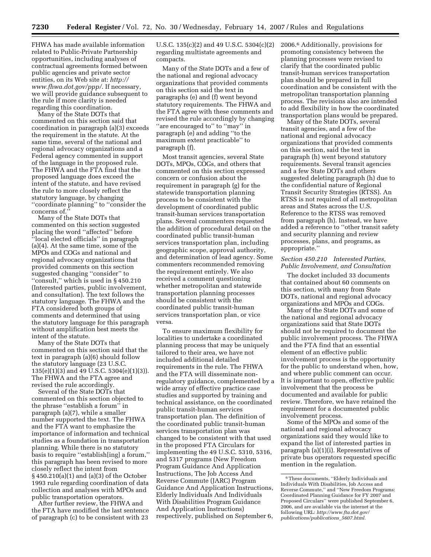FHWA has made available information related to Public-Private Partnership opportunities, including analyses of contractual agreements formed between public agencies and private sector entities, on its Web site at: *http:// www.fhwa.dot.gov/ppp/*. If necessary, we will provide guidance subsequent to the rule if more clarity is needed regarding this coordination.

Many of the State DOTs that commented on this section said that coordination in paragraph (a)(3) exceeds the requirement in the statute. At the same time, several of the national and regional advocacy organizations and a Federal agency commented in support of the language in the proposed rule. The FHWA and the FTA find that the proposed language does exceed the intent of the statute, and have revised the rule to more closely reflect the statutory language, by changing ''coordinate planning'' to ''consider the concerns of.

Many of the State DOTs that commented on this section suggested placing the word ''affected'' before ''local elected officials'' in paragraph (a)(4). At the same time, some of the MPOs and COGs and national and regional advocacy organizations that provided comments on this section suggested changing ''consider'' to ''consult,'' which is used in § 450.210 (Interested parties, public involvement, and consultation). The text follows the statutory language. The FHWA and the FTA considered both groups of comments and determined that using the statutory language for this paragraph without amplification best meets the intent of the statute.

Many of the State DOTs that commented on this section said that the text in paragraph (a)(6) should follow the statutory language (23 U.S.C. 135(e)(1)(3) and 49 U.S.C. 5304(e)(1)(3)). The FHWA and the FTA agree and revised the rule accordingly.

Several of the State DOTs that commented on this section objected to the phrase ''establish a forum'' in paragraph (a)(7), while a smaller number supported the text. The FHWA and the FTA want to emphasize the importance of information and technical studies as a foundation in transportation planning. While there is no statutory basis to require ''establish[ing] a forum,'' this paragraph has been revised to more closely reflect the intent from § 450.210(a)(1) and (a)(3) of the October 1993 rule regarding coordination of data collection and analyses with MPOs and public transportation operators.

After further review, the FHWA and the FTA have modified the last sentence of paragraph (c) to be consistent with 23

U.S.C. 135(c)(2) and 49 U.S.C. 5304(c)(2) regarding multistate agreements and compacts.

Many of the State DOTs and a few of the national and regional advocacy organizations that provided comments on this section said the text in paragraphs (e) and (f) went beyond statutory requirements. The FHWA and the FTA agree with these comments and revised the rule accordingly by changing ''are encouraged to'' to ''may'' in paragraph (e) and adding ''to the maximum extent practicable'' to paragraph (f).

Most transit agencies, several State DOTs, MPOs, COGs, and others that commented on this section expressed concern or confusion about the requirement in paragraph (g) for the statewide transportation planning process to be consistent with the development of coordinated public transit-human services transportation plans. Several commenters requested the addition of procedural detail on the coordinated public transit-human services transportation plan, including geographic scope, approval authority, and determination of lead agency. Some commenters recommended removing the requirement entirely. We also received a comment questioning whether metropolitan and statewide transportation planning processes should be consistent with the coordinated public transit-human services transportation plan, or vice versa.

To ensure maximum flexibility for localities to undertake a coordinated planning process that may be uniquely tailored to their area, we have not included additional detailed requirements in the rule. The FHWA and the FTA will disseminate nonregulatory guidance, complemented by a wide array of effective practice case studies and supported by training and technical assistance, on the coordinated public transit-human services transportation plan. The definition of the coordinated public transit-human services transportation plan was changed to be consistent with that used in the proposed FTA Circulars for implementing the 49 U.S.C. 5310, 5316, and 5317 programs (New Freedom Program Guidance And Application Instructions, The Job Access And Reverse Commute (JARC) Program Guidance And Application Instructions, Elderly Individuals And Individuals With Disabilities Program Guidance And Application Instructions) respectively, published on September 6,

2006.6 Additionally, provisions for promoting consistency between the planning processes were revised to clarify that the coordinated public transit-human services transportation plan should be prepared in full coordination and be consistent with the metropolitan transportation planning process. The revisions also are intended to add flexibility in how the coordinated transportation plans would be prepared.

Many of the State DOTs, several transit agencies, and a few of the national and regional advocacy organizations that provided comments on this section, said the text in paragraph (h) went beyond statutory requirements. Several transit agencies and a few State DOTs and others suggested deleting paragraph (h) due to the confidential nature of Regional Transit Security Strategies (RTSS). An RTSS is not required of all metropolitan areas and States across the U.S. Reference to the RTSS was removed from paragraph (h). Instead, we have added a reference to ''other transit safety and security planning and review processes, plans, and programs, as appropriate.''

#### *Section 450.210 Interested Parties, Public Involvement, and Consultation*

The docket included 33 documents that contained about 60 comments on this section, with many from State DOTs, national and regional advocacy organizations and MPOs and COGs.

Many of the State DOTs and some of the national and regional advocacy organizations said that State DOTs should not be required to document the public involvement process. The FHWA and the FTA find that an essential element of an effective public involvement process is the opportunity for the public to understand when, how, and where public comment can occur. It is important to open, effective public involvement that the process be documented and available for public review. Therefore, we have retained the requirement for a documented public involvement process.

Some of the MPOs and some of the national and regional advocacy organizations said they would like to expand the list of interested parties in paragraph (a)(1)(i). Representatives of private bus operators requested specific mention in the regulation.

<sup>6</sup>These documents, ''Elderly Individuals and Individuals With Disabilities, Job Access and Reverse Commute,'' and ''New Freedom Programs: Coordinated Planning Guidance for FY 2007 and Proposed Circulars'' were published September 6, 2006, and are available via the internet at the following URL: *http://www.fta.dot.gov/ publications/publications*\_*5607.html.*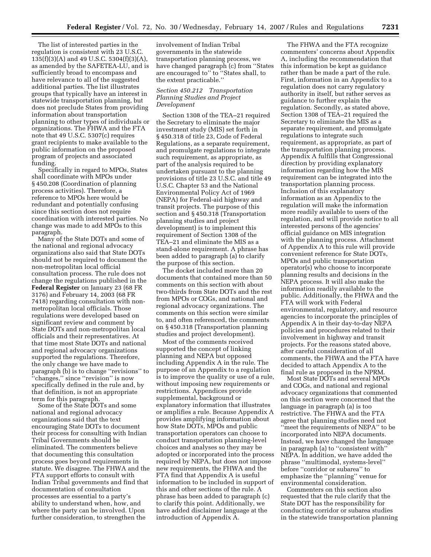The list of interested parties in the regulation is consistent with 23 U.S.C. 135(f)(3)(A) and 49 U.S.C. 5304(f)(3)(A), as amended by the SAFETEA-LU, and is sufficiently broad to encompass and have relevance to all of the suggested additional parties. The list illustrates groups that typically have an interest in statewide transportation planning, but does not preclude States from providing information about transportation planning to other types of individuals or organizations. The FHWA and the FTA note that 49 U.S.C. 5307(c) requires grant recipients to make available to the public information on the proposed program of projects and associated funding.

Specifically in regard to MPOs, States shall coordinate with MPOs under § 450.208 (Coordination of planning process activities). Therefore, a reference to MPOs here would be redundant and potentially confusing since this section does not require coordination with interested parties. No change was made to add MPOs to this paragraph.

Many of the State DOTs and some of the national and regional advocacy organizations also said that State DOTs should not be required to document the non-metropolitan local official consultation process. The rule does not change the regulations published in the **Federal Register** on January 23 (68 FR 3176) and February 14, 2003 (68 FR 7418) regarding consultation with nonmetropolitan local officials. Those regulations were developed based on significant review and comment by State DOTs and non-metropolitan local officials and their representatives. At that time most State DOTs and national and regional advocacy organizations supported the regulations. Therefore, the only change we have made to paragraph (b) is to change ''revisions'' to ''changes,'' since ''revision'' is now specifically defined in the rule and, by that definition, is not an appropriate term for this paragraph.

Some of the State DOTs and some national and regional advocacy organizations said that the text encouraging State DOTs to document their process for consulting with Indian Tribal Governments should be eliminated. The commenters believe that documenting this consultation process goes beyond requirements in statute. We disagree. The FHWA and the FTA support efforts to consult with Indian Tribal governments and find that documentation of consultation processes are essential to a party's ability to understand when, how, and where the party can be involved. Upon further consideration, to strengthen the

involvement of Indian Tribal governments in the statewide transportation planning process, we have changed paragraph (c) from ''States are encouraged to'' to ''States shall, to the extent practicable.''

## *Section 450.212 Transportation Planning Studies and Project Development*

Section 1308 of the TEA–21 required the Secretary to eliminate the major investment study (MIS) set forth in § 450.318 of title 23, Code of Federal Regulations, as a separate requirement, and promulgate regulations to integrate such requirement, as appropriate, as part of the analysis required to be undertaken pursuant to the planning provisions of title 23 U.S.C. and title 49 U.S.C. Chapter 53 and the National Environmental Policy Act of 1969 (NEPA) for Federal-aid highway and transit projects. The purpose of this section and § 450.318 (Transportation planning studies and project development) is to implement this requirement of Section 1308 of the TEA–21 and eliminate the MIS as a stand-alone requirement. A phrase has been added to paragraph (a) to clarify the purpose of this section.

The docket included more than 20 documents that contained more than 50 comments on this section with about two-thirds from State DOTs and the rest from MPOs or COGs, and national and regional advocacy organizations. The comments on this section were similar to, and often referenced, the comments on § 450.318 (Transportation planning studies and project development).

Most of the comments received supported the concept of linking planning and NEPA but opposed including Appendix A in the rule. The purpose of an Appendix to a regulation is to improve the quality or use of a rule, without imposing new requirements or restrictions. Appendices provide supplemental, background or explanatory information that illustrates or amplifies a rule. Because Appendix A provides amplifying information about how State DOTs, MPOs and public transportation operators can choose to conduct transportation planning-level choices and analyses so they may be adopted or incorporated into the process required by NEPA, but does not impose new requirements, the FHWA and the FTA find that Appendix A is useful information to be included in support of this and other sections of the rule. A phrase has been added to paragraph (c) to clarify this point. Additionally, we have added disclaimer language at the introduction of Appendix A.

The FHWA and the FTA recognize commenters' concerns about Appendix A, including the recommendation that this information be kept as guidance rather than be made a part of the rule. First, information in an Appendix to a regulation does not carry regulatory authority in itself, but rather serves as guidance to further explain the regulation. Secondly, as stated above, Section 1308 of TEA–21 required the Secretary to eliminate the MIS as a separate requirement, and promulgate regulations to integrate such requirement, as appropriate, as part of the transportation planning process. Appendix A fulfills that Congressional direction by providing explanatory information regarding how the MIS requirement can be integrated into the transportation planning process. Inclusion of this explanatory information as an Appendix to the regulation will make the information more readily available to users of the regulation, and will provide notice to all interested persons of the agencies' official guidance on MIS integration with the planning process. Attachment of Appendix A to this rule will provide convenient reference for State DOTs, MPOs and public transportation operator(s) who choose to incorporate planning results and decisions in the NEPA process. It will also make the information readily available to the public. Additionally, the FHWA and the FTA will work with Federal environmental, regulatory, and resource agencies to incorporate the principles of Appendix A in their day-to-day NEPA policies and procedures related to their involvement in highway and transit projects. For the reasons stated above, after careful consideration of all comments, the FHWA and the FTA have decided to attach Appendix A to the final rule as proposed in the NPRM.

Most State DOTs and several MPOs and COGs, and national and regional advocacy organizations that commented on this section were concerned that the language in paragraph (a) is too restrictive. The FHWA and the FTA agree that planning studies need not ''meet the requirements of NEPA'' to be incorporated into NEPA documents. Instead, we have changed the language in paragraph (a) to ''consistent with'' NEPA. In addition, we have added the phrase ''multimodal, systems-level'' before ''corridor or subarea'' to emphasize the ''planning'' venue for environmental consideration.

Commenters on this section also requested that the rule clarify that the State DOT has the responsibility for conducting corridor or subarea studies in the statewide transportation planning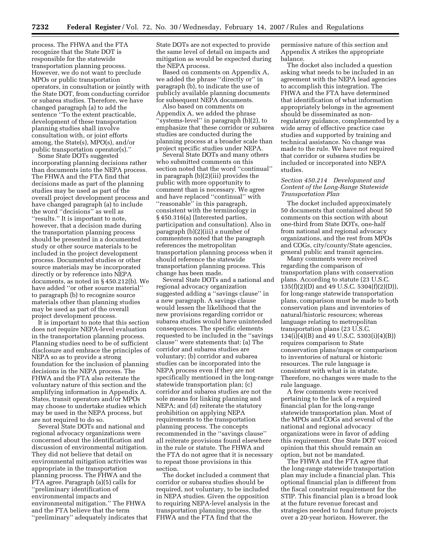process. The FHWA and the FTA recognize that the State DOT is responsible for the statewide transportation planning process. However, we do not want to preclude MPOs or public transportation operators, in consultation or jointly with the State DOT, from conducting corridor or subarea studies. Therefore, we have changed paragraph (a) to add the sentence ''To the extent practicable, development of these transportation planning studies shall involve consultation with, or joint efforts among, the State(s), MPO(s), and/or public transportation operator(s).''

Some State DOTs suggested incorporating planning decisions rather than documents into the NEPA process. The FHWA and the FTA find that decisions made as part of the planning studies may be used as part of the overall project development process and have changed paragraph (a) to include the word ''decisions'' as well as ''results.'' It is important to note, however, that a decision made during the transportation planning process should be presented in a documented study or other source materials to be included in the project development process. Documented studies or other source materials may be incorporated directly or by reference into NEPA documents, as noted in § 450.212(b). We have added ''or other source material'' to paragraph (b) to recognize source materials other than planning studies may be used as part of the overall project development process.

It is important to note that this section does not require NEPA-level evaluation in the transportation planning process. Planning studies need to be of sufficient disclosure and embrace the principles of NEPA so as to provide a strong foundation for the inclusion of planning decisions in the NEPA process. The FHWA and the FTA also reiterate the voluntary nature of this section and the amplifying information in Appendix A. States, transit operators and/or MPOs may choose to undertake studies which may be used in the NEPA process, but are not required to do so.

Several State DOTs and national and regional advocacy organizations were concerned about the identification and discussion of environmental mitigation. They did not believe that detail on environmental mitigation activities was appropriate in the transportation planning process. The FHWA and the FTA agree. Paragraph (a)(5) calls for ''preliminary identification of environmental impacts and environmental mitigation.'' The FHWA and the FTA believe that the term ''preliminary'' adequately indicates that State DOTs are not expected to provide the same level of detail on impacts and mitigation as would be expected during the NEPA process.

Based on comments on Appendix A, we added the phrase ''directly or'' in paragraph (b), to indicate the use of publicly available planning documents for subsequent NEPA documents.

Also based on comments on Appendix A, we added the phrase ''systems-level'' in paragraph (b)(2), to emphasize that these corridor or subarea studies are conducted during the planning process at a broader scale than project specific studies under NEPA.

Several State DOTs and many others who submitted comments on this section noted that the word ''continual'' in paragraph (b)(2)(iii) provides the public with more opportunity to comment than is necessary. We agree and have replaced ''continual'' with ''reasonable'' in this paragraph, consistent with the terminology in § 450.316(a) (Interested parties, participation and consultation). Also in paragraph (b)(2)(iii) a number of commenters noted that the paragraph references the metropolitan transportation planning process when it should reference the statewide transportation planning process. This change has been made.

Several State DOTs and a national and regional advocacy organization suggested adding a ''savings clause'' in a new paragraph. A savings clause would lessen the likelihood that the new provisions regarding corridor or subarea studies would have unintended consequences. The specific elements requested to be included in the ''savings clause'' were statements that: (a) The corridor and subarea studies are voluntary; (b) corridor and subarea studies can be incorporated into the NEPA process even if they are not specifically mentioned in the long-range statewide transportation plan; (c) corridor and subarea studies are not the sole means for linking planning and NEPA; and (d) reiterate the statutory prohibition on applying NEPA requirements to the transportation planning process. The concepts recommended in the ''savings clause'' all reiterate provisions found elsewhere in the rule or statute. The FHWA and the FTA do not agree that it is necessary to repeat those provisions in this section.

The docket included a comment that corridor or subarea studies should be required, not voluntary, to be included in NEPA studies. Given the opposition to requiring NEPA-level analysis in the transportation planning process, the FHWA and the FTA find that the

permissive nature of this section and Appendix A strikes the appropriate balance.

The docket also included a question asking what needs to be included in an agreement with the NEPA lead agencies to accomplish this integration. The FHWA and the FTA have determined that identification of what information appropriately belongs in the agreement should be disseminated as nonregulatory guidance, complemented by a wide array of effective practice case studies and supported by training and technical assistance. No change was made to the rule. We have not required that corridor or subarea studies be included or incorporated into NEPA studies.

## *Section 450.214 Development and Content of the Long-Range Statewide Transportation Plan*

The docket included approximately 50 documents that contained about 50 comments on this section with about one-third from State DOTs, one-half from national and regional advocacy organizations, and the rest from MPOs and COGs, city/county/State agencies, general public and transit agencies.

Many comments were received regarding the comparison of transportation plans with conservation plans. According to statute (23 U.S.C. 135(f)(2)(D) and 49 U.S.C. 5304(f)(2)(D)), for long-range statewide transportation plans, comparison must be made to both conservation plans and inventories of natural/historic resources; whereas language relating to metropolitan transportation plans (23 U.S.C. 134(i)(4)(B) and 49 U.S.C. 5303(i)(4)(B)) requires comparison to State conservation plans/maps or comparison to inventories of natural or historic resources. The rule language is consistent with what is in statute. Therefore, no changes were made to the rule language.

A few comments were received pertaining to the lack of a required financial plan for the long-range statewide transportation plan. Most of the MPOs and COGs and several of the national and regional advocacy organizations were in favor of adding this requirement. One State DOT voiced opinion that this should remain an option, but not be mandated.

The FHWA and the FTA agree that the long-range statewide transportation plan may include a financial plan. This optional financial plan is different from the fiscal constraint requirement for the STIP. This financial plan is a broad look at the future revenue forecast and strategies needed to fund future projects over a 20-year horizon. However, the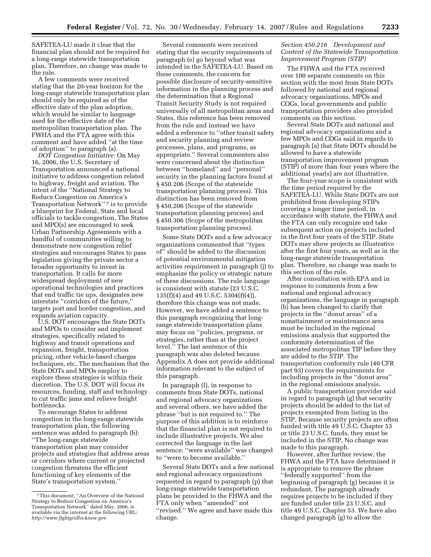SAFETEA-LU made it clear that the financial plan should not be required for a long-range statewide transportation plan. Therefore, no change was made to the rule.

A few comments were received stating that the 20-year horizon for the long-range statewide transportation plan should only be required as of the effective date of the plan adoption, which would be similar to language used for the effective date of the metropolitan transportation plan. The FWHA and the FTA agree with this comment and have added ''at the time of adoption'' to paragraph (a).

*DOT Congestion Initiative:* On May 16, 2006, the U.S. Secretary of Transportation announced a national initiative to address congestion related to highway, freight and aviation. The intent of the ''National Strategy to Reduce Congestion on America's Transportation Network"<sup>7</sup> is to provide a blueprint for Federal, State and local officials to tackle congestion. The States and MPO(s) are encouraged to seek Urban Partnership Agreements with a handful of communities willing to demonstrate new congestion relief strategies and encourages States to pass legislation giving the private sector a broader opportunity to invest in transportation. It calls for more widespread deployment of new operational technologies and practices that end traffic tie ups, designates new interstate ''corridors of the future,'' targets port and border congestion, and expands aviation capacity.

U.S. DOT encourages the State DOTs and MPOs to consider and implement strategies, specifically related to highway and transit operations and expansion, freight, transportation pricing, other vehicle-based charges techniques, etc. The mechanism that the State DOTs and MPOs employ to explore these strategies is within their discretion. The U.S. DOT will focus its resources, funding, staff and technology to cut traffic jams and relieve freight bottlenecks.

To encourage States to address congestion in the long-range statewide transportation plan, the following sentence was added to paragraph (b): ''The long-range statewide transportation plan may consider projects and strategies that address areas or corridors where current or projected congestion threatens the efficient functioning of key elements of the State's transportation system.''

Several comments were received stating that the security requirements of paragraph (e) go beyond what was intended in the SAFETEA-LU. Based on these comments, the concern for possible disclosure of security-sensitive information in the planning process and the determination that a Regional Transit Security Study is not required universally of all metropolitan areas and States, this reference has been removed from the rule and instead we have added a reference to ''other transit safety and security planning and review processes, plans, and programs, as appropriate.'' Several commenters also were concerned about the distinction between ''homeland'' and ''personal'' security in the planning factors found at § 450.206 (Scope of the statewide transportation planning process). This distinction has been removed from § 450.206 (Scope of the statewide transportation planning process) and § 450.306 (Scope of the metropolitan transportation planning process).

Some State DOTs and a few advocacy organizations commented that ''types of'' should be added to the discussion of potential environmental mitigation activities requirement in paragraph (j) to emphasize the policy or strategic nature of these discussions. The rule language is consistent with statute (23 U.S.C. 135(f)(4) and 49 U.S.C. 5304(f)(4)), therefore this change was not made. However, we have added a sentence to this paragraph recognizing that longrange statewide transportation plans may focus on ''policies, programs, or strategies, rather than at the project level.'' The last sentence of this paragraph was also deleted because Appendix A does not provide additional information relevant to the subject of this paragraph.

In paragraph (l), in response to comments from State DOTs, national and regional advocacy organizations and several others, we have added the phrase ''but is not required to.'' The purpose of this addition is to reinforce that the financial plan is not required to include illustrative projects. We also corrected the language in the last sentence: ''were available'' was changed to ''were to become available.''

Several State DOTs and a few national and regional advocacy organizations requested in regard to paragraph (p) that long-range statewide transportation plans be provided to the FHWA and the FTA only when ''amended'' not ''revised.'' We agree and have made this change.

## *Section 450.216 Development and Content of the Statewide Transportation Improvement Program (STIP)*

The FHWA and the FTA received over 100 separate comments on this section with the most from State DOTs followed by national and regional advocacy organizations. MPOs and COGs, local governments and public transportation providers also provided comments on this section.

Several State DOTs and national and regional advocacy organizations and a few MPOs and COGs said in regards to paragraph (a) that State DOTs should be allowed to have a statewide transportation improvement program (STIP) of more than four years where the additional year(s) are not illustrative.

The four-year scope is consistent with the time period required by the SAFETEA-LU. While State DOTs are not prohibited from developing STIPs covering a longer time period, in accordance with statute, the FHWA and the FTA can only recognize and take subsequent action on projects included in the first four years of the STIP. State DOTs may show projects as illustrative after the first four years, as well as in the long-range statewide transportation plan. Therefore, no change was made to this section of the rule.

After consultation with EPA and in response to comments from a few national and regional advocacy organizations, the language in paragraph (b) has been changed to clarify that projects in the ''donut areas'' of a nonattainment or maintenance area must be included in the regional emissions analysis that supported the conformity determination of the associated metropolitan TIP before they are added to the STIP. The transportation conformity rule (40 CFR part 93) covers the requirements for including projects in the ''donut area'' in the regional emissions analysis.

A public transportation provider said in regard to paragraph (g) that security projects should be added to the list of projects exempted from listing in the STIP. Because security projects are often funded with title 49 U.S.C. Chapter 53 or title 23 U.S.C. funds, they must be included in the STIP. No change was made to this paragraph.

However, after further review, the FHWA and the FTA have determined it is appropriate to remove the phrase ''federally supported'' from the beginning of paragraph (g) because it is redundant. The paragraph already requires projects to be included if they are funded under title 23 U.S.C. and title 49 U.S.C. Chapter 53. We have also changed paragraph (g) to allow the

<sup>7</sup>This document, ''An Overview of the National Strategy to Reduce Congestion on America's Transportation Network'' dated May, 2006, is available via the internet at the following URL: *http://www.fightgridlocknow.gov.*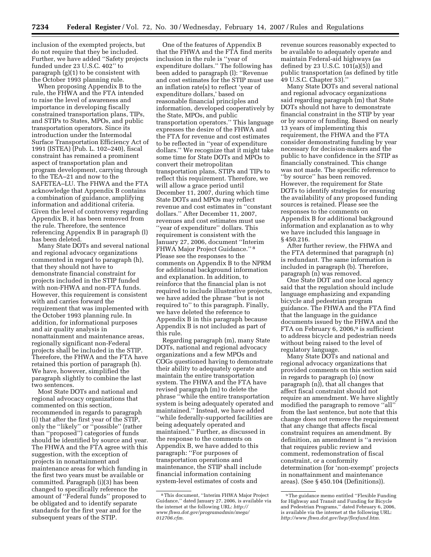inclusion of the exempted projects, but do not require that they be included. Further, we have added ''Safety projects funded under 23 U.S.C. 402'' to paragraph (g)(1) to be consistent with the October 1993 planning rule.

When proposing Appendix B to the rule, the FHWA and the FTA intended to raise the level of awareness and importance in developing fiscally constrained transportation plans, TIPs, and STIPs to States, MPOs, and public transportation operators. Since its introduction under the Intermodal Surface Transportation Efficiency Act of 1991 (ISTEA) (Pub. L. 102–240), fiscal constraint has remained a prominent aspect of transportation plan and program development, carrying through to the TEA–21 and now to the SAFETEA–LU. The FHWA and the FTA acknowledge that Appendix B contains a combination of guidance, amplifying information and additional criteria. Given the level of controversy regarding Appendix B, it has been removed from the rule. Therefore, the sentence referencing Appendix B in paragraph (l) has been deleted.

Many State DOTs and several national and regional advocacy organizations commented in regard to paragraph (h), that they should not have to demonstrate financial constraint for projects included in the STIP funded with non-FHWA and non-FTA funds. However, this requirement is consistent with and carries forward the requirement that was implemented with the October 1993 planning rule. In addition, for informational purposes and air quality analysis in nonattainment and maintenance areas, regionally significant non-Federal projects shall be included in the STIP. Therefore, the FHWA and the FTA have retained this portion of paragraph (h). We have, however, simplified the paragraph slightly to combine the last two sentences.

Most State DOTs and national and regional advocacy organizations that commented on this section, recommended in regards to paragraph (i) that after the first year of the STIP, only the ''likely'' or ''possible'' (rather than ''proposed'') categories of funds should be identified by source and year. The FHWA and the FTA agree with this suggestion, with the exception of projects in nonattainment and maintenance areas for which funding in the first two years must be available or committed. Paragraph (i)(3) has been changed to specifically reference the amount of ''Federal funds'' proposed to be obligated and to identify separate standards for the first year and for the subsequent years of the STIP.

One of the features of Appendix B that the FHWA and the FTA find merits inclusion in the rule is ''year of expenditure dollars.'' The following has been added to paragraph (l): ''Revenue and cost estimates for the STIP must use an inflation rate(s) to reflect 'year of expenditure dollars,' based on reasonable financial principles and information, developed cooperatively by the State, MPOs, and public transportation operators.'' This language expresses the desire of the FHWA and the FTA for revenue and cost estimates to be reflected in ''year of expenditure dollars.'' We recognize that it might take some time for State DOTs and MPOs to convert their metropolitan transportation plans, STIPs and TIPs to reflect this requirement. Therefore, we will allow a grace period until December 11, 2007, during which time State DOTs and MPOs may reflect revenue and cost estimates in ''constant dollars.'' After December 11, 2007, revenues and cost estimates must use ''year of expenditure'' dollars. This requirement is consistent with the January 27, 2006, document ''Interim FHWA Major Project Guidance.'' 8 Please see the responses to the comments on Appendix B to the NPRM for additional background information and explanation. In addition, to reinforce that the financial plan is not required to include illustrative projects, we have added the phrase ''but is not required to'' to this paragraph. Finally, we have deleted the reference to Appendix B in this paragraph because Appendix B is not included as part of this rule.

Regarding paragraph (m), many State DOTs, national and regional advocacy organizations and a few MPOs and COGs questioned having to demonstrate their ability to adequately operate and maintain the entire transportation system. The FHWA and the FTA have revised paragraph (m) to delete the phrase ''while the entire transportation system is being adequately operated and maintained.'' Instead, we have added ''while federally-supported facilities are being adequately operated and maintained.'' Further, as discussed in the response to the comments on Appendix B, we have added to this paragraph: ''For purposes of transportation operations and maintenance, the STIP shall include financial information containing system-level estimates of costs and

revenue sources reasonably expected to be available to adequately operate and maintain Federal-aid highways (as defined by 23 U.S.C. 101(a)(5)) and public transportation (as defined by title 49 U.S.C. Chapter 53).''

Many State DOTs and several national and regional advocacy organizations said regarding paragraph (m) that State DOTs should not have to demonstrate financial constraint in the STIP by year or by source of funding. Based on nearly 13 years of implementing this requirement, the FHWA and the FTA consider demonstrating funding by year necessary for decision-makers and the public to have confidence in the STIP as financially constrained. This change was not made. The specific reference to ''by source'' has been removed. However, the requirement for State DOTs to identify strategies for ensuring the availability of any proposed funding sources is retained. Please see the responses to the comments on Appendix B for additional background information and explanation as to why we have included this language in § 450.216.

After further review, the FHWA and the FTA determined that paragraph (n) is redundant. The same information is included in paragraph (b). Therefore, paragraph (n) was removed.

One State DOT and one local agency said that the regulation should include language emphasizing and expanding bicycle and pedestrian program guidance. The FHWA and the FTA find that the language in the guidance documents issued by the FHWA and the FTA on February 6, 2006,<br>9 is sufficient to address bicycle and pedestrian needs without being raised to the level of regulatory language.

Many State DOTs and national and regional advocacy organizations that provided comments on this section said in regards to paragraph (o) (now paragraph (n)), that all changes that affect fiscal constraint should not require an amendment. We have slightly modified the paragraph to remove ''all'' from the last sentence, but note that this change does not remove the requirement that any change that affects fiscal constraint requires an amendment. By definition, an amendment is ''a revision that requires public review and comment, redemonstration of fiscal constraint, or a conformity determination (for 'non-exempt' projects in nonattainment and maintenance areas). (See § 450.104 (Definitions)).

<sup>8</sup>This document, ''Interim FHWA Major Project Guidance,'' dated January 27, 2006, is available via the internet at the following URL: *http:// www.fhwa.dot.gov/programadmin/mega/ 012706.cfm.* 

<sup>9</sup>The guidance memo entitled ''Flexible Funding for Highway and Transit and Funding for Bicycle and Pedestrian Programs,'' dated February 6, 2006, is available via the internet at the following URL: *http://www.fhwa.dot.gov/hep/flexfund.htm.*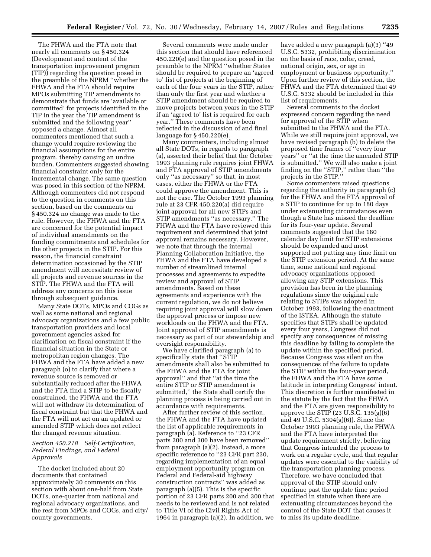The FHWA and the FTA note that nearly all comments on § 450.324 (Development and content of the transportation improvement program (TIP)) regarding the question posed in the preamble of the NPRM ''whether the FHWA and the FTA should require MPOs submitting TIP amendments to demonstrate that funds are 'available or committed' for projects identified in the TIP in the year the TIP amendment is submitted and the following year'' opposed a change. Almost all commenters mentioned that such a change would require reviewing the financial assumptions for the entire program, thereby causing an undue burden. Commenters suggested showing financial constraint only for the incremental change. The same question was posed in this section of the NPRM. Although commenters did not respond to the question in comments on this section, based on the comments on § 450.324 no change was made to the rule. However, the FHWA and the FTA are concerned for the potential impact of individual amendments on the funding commitments and schedules for the other projects in the STIP. For this reason, the financial constraint determination occasioned by the STIP amendment will necessitate review of all projects and revenue sources in the STIP. The FHWA and the FTA will address any concerns on this issue through subsequent guidance.

Many State DOTs, MPOs and COGs as well as some national and regional advocacy organizations and a few public transportation providers and local government agencies asked for clarification on fiscal constraint if the financial situation in the State or metropolitan region changes. The FHWA and the FTA have added a new paragraph (o) to clarify that where a revenue source is removed or substantially reduced after the FHWA and the FTA find a STIP to be fiscally constrained, the FHWA and the FTA will not withdraw its determination of fiscal constraint but that the FHWA and the FTA will not act on an updated or amended STIP which does not reflect the changed revenue situation.

#### *Section 450.218 Self-Certification, Federal Findings, and Federal Approvals*

The docket included about 20 documents that contained approximately 30 comments on this section with about one-half from State DOTs, one-quarter from national and regional advocacy organizations, and the rest from MPOs and COGs, and city/ county governments.

Several comments were made under this section that should have referenced 450.220(e) and the question posed in the preamble to the NPRM ''whether States should be required to prepare an 'agreed to' list of projects at the beginning of each of the four years in the STIP, rather than only the first year and whether a STIP amendment should be required to move projects between years in the STIP if an 'agreed to' list is required for each year.'' These comments have been reflected in the discussion of and final language for § 450.220(e).

Many commenters, including almost all State DOTs, in regards to paragraph (a), asserted their belief that the October 1993 planning rule requires joint FHWA and FTA approval of STIP amendments only ''as necessary'' so that, in most cases, either the FHWA or the FTA could approve the amendment. This is not the case. The October 1993 planning rule at 23 CFR 450.220(a) did require joint approval for all new STIPs and STIP amendments ''as necessary.'' The FHWA and the FTA have reviewed this requirement and determined that joint approval remains necessary. However, we note that through the internal Planning Collaboration Initiative, the FHWA and the FTA have developed a number of streamlined internal processes and agreements to expedite review and approval of STIP amendments. Based on these agreements and experience with the current regulation, we do not believe requiring joint approval will slow down the approval process or impose new workloads on the FHWA and the FTA. Joint approval of STIP amendments is necessary as part of our stewardship and oversight responsibility.

We have clarified paragraph (a) to specifically state that ''STIP amendments shall also be submitted to the FHWA and the FTA for joint approval'' and that ''at the time the entire STIP or STIP amendment is submitted,'' the State shall certify the planning process is being carried out in accordance with requirements.

After further review of this section, the FHWA and the FTA have updated the list of applicable requirements in paragraph (a). Reference to ''23 CFR parts 200 and 300 have been removed'' from paragraph (a)(2). Instead, a more specific reference to ''23 CFR part 230, regarding implementation of an equal employment opportunity program on Federal and Federal-aid highway construction contracts'' was added as paragraph (a)(5). This is the specific portion of 23 CFR parts 200 and 300 that needs to be reviewed and is not related to Title VI of the Civil Rights Act of 1964 in paragraph (a)(2). In addition, we

have added a new paragraph (a)(3) ''49 U.S.C. 5332, prohibiting discrimination on the basis of race, color, creed, national origin, sex, or age in employment or business opportunity.'' Upon further review of this section, the FHWA and the FTA determined that 49 U.S.C. 5332 should be included in this list of requirements.

Several comments to the docket expressed concern regarding the need for approval of the STIP when submitted to the FHWA and the FTA. While we still require joint approval, we have revised paragraph (b) to delete the proposed time frames of ''every four years'' or ''at the time the amended STIP is submitted.'' We will also make a joint finding on the ''STIP,'' rather than ''the projects in the STIP.''

Some commenters raised questions regarding the authority in paragraph (c) for the FHWA and the FTA approval of a STIP to continue for up to 180 days under extenuating circumstances even though a State has missed the deadline for its four-year update. Several comments suggested that the 180 calendar day limit for STIP extensions should be expanded and most supported not putting any time limit on the STIP extension period. At the same time, some national and regional advocacy organizations opposed allowing any STIP extensions. This provision has been in the planning regulations since the original rule relating to STIPs was adopted in October 1993, following the enactment of the ISTEA. Although the statute specifies that STIPs shall be updated every four years, Congress did not specify any consequences of missing this deadline by failing to complete the update within the specified period. Because Congress was silent on the consequences of the failure to update the STIP within the four-year period, the FHWA and the FTA have some latitude in interpreting Congress' intent. This discretion is further manifested in the statute by the fact that the FHWA and the FTA are given responsibility to approve the STIP (23 U.S.C. 135(g)(6) and 49 U.S.C. 5304(g)(6)). Since the October 1993 planning rule, the FHWA and the FTA have interpreted the update requirement strictly, believing that Congress intended the process to work on a regular cycle, and that regular updates were essential to the viability of the transportation planning process. Therefore, we have concluded that approval of the STIP should only continue past the update time period specified in statute when there are extenuating circumstances beyond the control of the State DOT that causes it to miss its update deadline.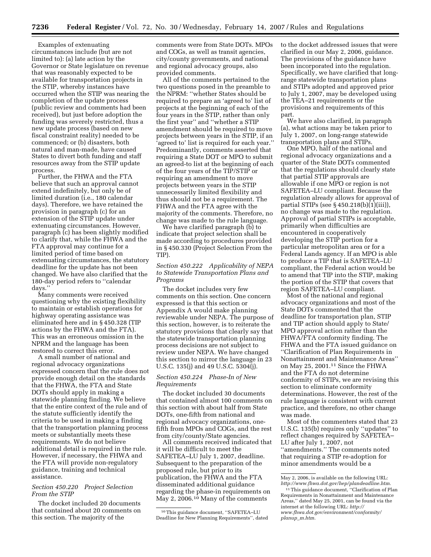Examples of extenuating circumstances include (but are not limited to): (a) late action by the Governor or State legislature on revenue that was reasonably expected to be available for transportation projects in the STIP, whereby instances have occurred when the STIP was nearing the completion of the update process (public review and comments had been received), but just before adoption the funding was severely restricted, thus a new update process (based on new fiscal constraint reality) needed to be commenced; or (b) disasters, both natural and man-made, have caused States to divert both funding and staff resources away from the STIP update process.

Further, the FHWA and the FTA believe that such an approval cannot extend indefinitely, but only be of limited duration (i.e., 180 calendar days). Therefore, we have retained the provision in paragraph (c) for an extension of the STIP update under extenuating circumstances. However, paragraph (c) has been slightly modified to clarify that, while the FHWA and the FTA approval may continue for a limited period of time based on extenuating circumstances, the statutory deadline for the update has not been changed. We have also clarified that the 180-day period refers to ''calendar days.''

Many comments were received questioning why the existing flexibility to maintain or establish operations for highway operating assistance was eliminated here and in § 450.328 (TIP actions by the FHWA and the FTA). This was an erroneous omission in the NPRM and the language has been restored to correct this error.

A small number of national and regional advocacy organizations expressed concern that the rule does not provide enough detail on the standards that the FHWA, the FTA and State DOTs should apply in making a statewide planning finding. We believe that the entire context of the rule and of the statute sufficiently identify the criteria to be used in making a finding that the transportation planning process meets or substantially meets these requirements. We do not believe additional detail is required in the rule. However, if necessary, the FHWA and the FTA will provide non-regulatory guidance, training and technical assistance.

#### *Section 450.220 Project Selection From the STIP*

The docket included 20 documents that contained about 20 comments on this section. The majority of the

comments were from State DOTs. MPOs and COGs, as well as transit agencies, city/county governments, and national and regional advocacy groups, also provided comments.

All of the comments pertained to the two questions posed in the preamble to the NPRM: ''whether States should be required to prepare an 'agreed to' list of projects at the beginning of each of the four years in the STIP, rather than only the first year'' and ''whether a STIP amendment should be required to move projects between years in the STIP, if an 'agreed to' list is required for each year.'' Predominantly, comments asserted that requiring a State DOT or MPO to submit an agreed-to list at the beginning of each of the four years of the TIP/STIP or requiring an amendment to move projects between years in the STIP unnecessarily limited flexibility and thus should not be a requirement. The FHWA and the FTA agree with the majority of the comments. Therefore, no change was made to the rule language.

We have clarified paragraph (b) to indicate that project selection shall be made according to procedures provided in § 450.330 (Project Selection From the TIP).

## *Section 450.222 Applicability of NEPA to Statewide Transportation Plans and Programs*

The docket includes very few comments on this section. One concern expressed is that this section or Appendix A would make planning reviewable under NEPA. The purpose of this section, however, is to reiterate the statutory provisions that clearly say that the statewide transportation planning process decisions are not subject to review under NEPA. We have changed this section to mirror the language in 23 U.S.C. 135(j) and 49 U.S.C. 5304(j).

## *Section 450.224 Phase-In of New Requirements*

The docket included 30 documents that contained almost 100 comments on this section with about half from State DOTs, one-fifth from national and regional advocacy organizations, onefifth from MPOs and COGs, and the rest from city/county/State agencies.

All comments received indicated that it will be difficult to meet the SAFETEA–LU July 1, 2007, deadline. Subsequent to the preparation of the proposed rule, but prior to its publication, the FHWA and the FTA disseminated additional guidance regarding the phase-in requirements on May 2, 2006.10 Many of the comments

to the docket addressed issues that were clarified in our May 2, 2006, guidance. The provisions of the guidance have been incorporated into the regulation. Specifically, we have clarified that longrange statewide transportation plans and STIPs adopted and approved prior to July 1, 2007, may be developed using the TEA–21 requirements or the provisions and requirements of this part.

We have also clarified, in paragraph (a), what actions may be taken prior to July 1, 2007, on long-range statewide transportation plans and STIPs.

One MPO, half of the national and regional advocacy organizations and a quarter of the State DOTs commented that the regulations should clearly state that partial STIP approvals are allowable if one MPO or region is not SAFETEA–LU compliant. Because the regulation already allows for approval of partial STIPs (see  $\S 450.218(b)(1)(iii)$ ), no change was made to the regulation. Approval of partial STIPs is acceptable, primarily when difficulties are encountered in cooperatively developing the STIP portion for a particular metropolitan area or for a Federal Lands agency. If an MPO is able to produce a TIP that is SAFETEA–LU compliant, the Federal action would be to amend that TIP into the STIP, making the portion of the STIP that covers that region SAFETEA–LU compliant.

Most of the national and regional advocacy organizations and most of the State DOTs commented that the deadline for transportation plan, STIP and TIP action should apply to State/ MPO approval action rather than the FHWA/FTA conformity finding. The FHWA and the FTA issued guidance on ''Clarification of Plan Requirements in Nonattainment and Maintenance Areas'' on May 25, 2001.11 Since the FHWA and the FTA do not determine conformity of STIPs, we are revising this section to eliminate conformity determinations. However, the rest of the rule language is consistent with current practice, and therefore, no other change was made.

Most of the commenters stated that 23 U.S.C. 135(b) requires only ''updates'' to reflect changes required by SAFETEA– LU after July 1, 2007, not ''amendments.'' The comments noted that requiring a STIP re-adoption for minor amendments would be a

<sup>10</sup>This guidance document, ''SAFETEA–LU Deadline for New Planning Requirements'', dated

May 2, 2006, is available on the following URL: *http://www.fhwa.dot.gov/hep/plandeadline.htm*.

<sup>11</sup>This guidance document, ''Clarification of Plan Requirements in Nonattainment and Maintenance Areas,'' dated May 25, 2001, can be found via the internet at the following URL: *http:// www.fhwa.dot.gov/environment/conformity/ planup*\_*m.htm*.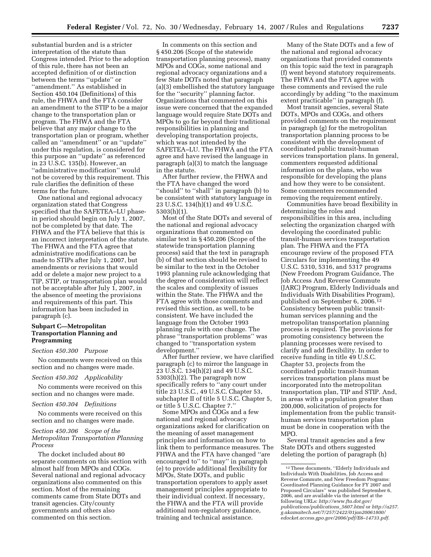substantial burden and is a stricter interpretation of the statute than Congress intended. Prior to the adoption of this rule, there has not been an accepted definition of or distinction between the terms ''update'' or ''amendment.'' As established in Section 450.104 (Definitions) of this rule, the FHWA and the FTA consider an amendment to the STIP to be a major change to the transportation plan or program. The FHWA and the FTA believe that any major change to the transportation plan or program, whether called an ''amendment'' or an ''update'' under this regulation, is considered for this purpose an ''update'' as referenced in 23 U.S.C. 135(b). However, an ''administrative modification'' would not be covered by this requirement. This rule clarifies the definition of these terms for the future.

One national and regional advocacy organization stated that Congress specified that the SAFETEA–LU phasein period should begin on July 1, 2007, not be completed by that date. The FHWA and the FTA believe that this is an incorrect interpretation of the statute. The FHWA and the FTA agree that administrative modifications can be made to STIPs after July 1, 2007, but amendments or revisions that would add or delete a major new project to a TIP, STIP, or transportation plan would not be acceptable after July 1, 2007, in the absence of meeting the provisions and requirements of this part. This information has been included in paragraph (c).

## **Subpart C—Metropolitan Transportation Planning and Programming**

#### *Section 450.300 Purpose*

No comments were received on this section and no changes were made.

#### *Section 450.302 Applicability*

No comments were received on this section and no changes were made.

#### *Section 450.304 Definitions*

No comments were received on this section and no changes were made.

## *Section 450.306 Scope of the Metropolitan Transportation Planning Process*

The docket included about 80 separate comments on this section with almost half from MPOs and COGs. Several national and regional advocacy organizations also commented on this section. Most of the remaining comments came from State DOTs and transit agencies. City/county governments and others also commented on this section.

In comments on this section and § 450.206 (Scope of the statewide transportation planning process), many MPOs and COGs, some national and regional advocacy organizations and a few State DOTs noted that paragraph (a)(3) embellished the statutory language for the ''security'' planning factor. Organizations that commented on this issue were concerned that the expanded language would require State DOTs and MPOs to go far beyond their traditional responsibilities in planning and developing transportation projects, which was not intended by the SAFETEA–LU. The FHWA and the FTA agree and have revised the language in paragraph (a)(3) to match the language in the statute.

After further review, the FHWA and the FTA have changed the word ''should'' to ''shall'' in paragraph (b) to be consistent with statutory language in 23 U.S.C. 134(h)(1) and 49 U.S.C. 5303(h)(1).

Most of the State DOTs and several of the national and regional advocacy organizations that commented on similar text in § 450.206 (Scope of the statewide transportation planning process) said that the text in paragraph (b) of that section should be revised to be similar to the text in the October 1993 planning rule acknowledging that the degree of consideration will reflect the scales and complexity of issues within the State. The FHWA and the FTA agree with those comments and revised this section, as well, to be consistent. We have included the language from the October 1993 planning rule with one change. The phrase ''transportation problems'' was changed to ''transportation system development.''

After further review, we have clarified paragraph (c) to mirror the language in 23 U.S.C. 134(h)(2) and 49 U.S.C. 5303(h)(2). The paragraph now specifically refers to ''any court under title 23 U.S.C., 49 U.S.C. Chapter 53, subchapter II of title 5 U.S.C. Chapter 5, or title 5 U.S.C. Chapter 7.''

Some MPOs and COGs and a few national and regional advocacy organizations asked for clarification on the meaning of asset management principles and information on how to link them to performance measures. The FHWA and the FTA have changed ''are encouraged to'' to ''may'' in paragraph (e) to provide additional flexibility for MPOs, State DOTs, and public transportation operators to apply asset management principles appropriate to their individual context. If necessary, the FHWA and the FTA will provide additional non-regulatory guidance, training and technical assistance.

Many of the State DOTs and a few of the national and regional advocacy organizations that provided comments on this topic said the text in paragraph (f) went beyond statutory requirements. The FHWA and the FTA agree with these comments and revised the rule accordingly by adding ''to the maximum extent practicable'' in paragraph (f).

Most transit agencies, several State DOTs, MPOs and COGs, and others provided comments on the requirement in paragraph (g) for the metropolitan transportation planning process to be consistent with the development of coordinated public transit-human services transportation plans. In general, commenters requested additional information on the plans, who was responsible for developing the plans and how they were to be consistent. Some commenters recommended removing the requirement entirely.

Communities have broad flexibility in determining the roles and responsibilities in this area, including selecting the organization charged with developing the coordinated public transit-human services transportation plan. The FHWA and the FTA encourage review of the proposed FTA Circulars for implementing the 49 U.S.C. 5310, 5316, and 5317 programs (New Freedom Program Guidance, The Job Access And Reverse Commute (JARC) Program, Elderly Individuals and Individuals With Disabilities Program), published on September 6, 2006.12 Consistency between public transithuman services planning and the metropolitan transportation planning process is required. The provisions for promoting consistency between the planning processes were revised to clarify and add flexibility. In order to receive funding in title 49 U.S.C. Chapter 53, projects from the coordinated public transit-human services transportation plans must be incorporated into the metropolitan transportation plan, TIP and STIP. And, in areas with a population greater than 200,000, solicitation of projects for implementation from the public transithuman services transportation plan must be done in cooperation with the MPO.

Several transit agencies and a few State DOTs and others suggested deleting the portion of paragraph (h)

<sup>12</sup>These documents, ''Elderly Individuals and Individuals With Disabilities, Job Access and Reverse Commute, and New Freedom Programs: Coordinated Planning Guidance for FY 2007 and Proposed Circulars'' was published September 6, 2006, and are available via the internet at the following URLs: *http://www.fta.dot.gov/ publications/publications*\_*5607.html* or *http://a257. g.akamaitech.net/7/257/2422/01jan20061800/ edocket.access.gpo.gov/2006/pdf/E6–14733.pdf*.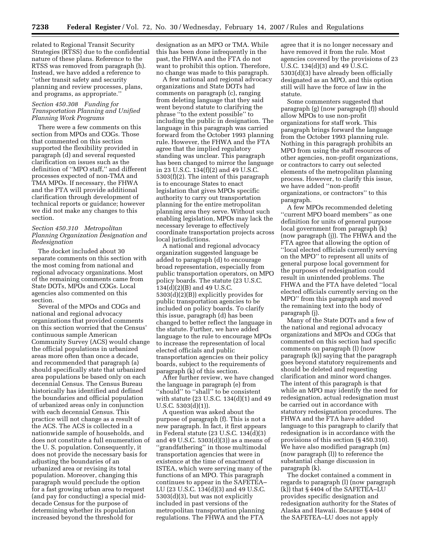related to Regional Transit Security Strategies (RTSS) due to the confidential nature of these plans. Reference to the RTSS was removed from paragraph (h). Instead, we have added a reference to ''other transit safety and security planning and review processes, plans, and programs, as appropriate.''

## *Section 450.308 Funding for Transportation Planning and Unified Planning Work Programs*

There were a few comments on this section from MPOs and COGs. Those that commented on this section supported the flexibility provided in paragraph (d) and several requested clarification on issues such as the definition of ''MPO staff,'' and different processes expected of non-TMA and TMA MPOs. If necessary, the FHWA and the FTA will provide additional clarification through development of technical reports or guidance; however we did not make any changes to this section.

## *Section 450.310 Metropolitan Planning Organization Designation and Redesignation*

The docket included about 30 separate comments on this section with the most coming from national and regional advocacy organizations. Most of the remaining comments came from State DOTs, MPOs and COGs. Local agencies also commented on this section.

Several of the MPOs and COGs and national and regional advocacy organizations that provided comments on this section worried that the Census' continuous sample American Community Survey (ACS) would change the official populations in urbanized areas more often than once a decade, and recommended that paragraph (a) should specifically state that urbanized area populations be based only on each decennial Census. The Census Bureau historically has identified and defined the boundaries and official population of urbanized areas only in conjunction with each decennial Census. This practice will not change as a result of the ACS. The ACS is collected in a nationwide sample of households, and does not constitute a full enumeration of the U. S. population. Consequently, it does not provide the necessary basis for adjusting the boundaries of an urbanized area or revising its total population. Moreover, changing this paragraph would preclude the option for a fast growing urban area to request (and pay for conducting) a special middecade Census for the purpose of determining whether its population increased beyond the threshold for

designation as an MPO or TMA. While this has been done infrequently in the past, the FHWA and the FTA do not want to prohibit this option. Therefore, no change was made to this paragraph.

A few national and regional advocacy organizations and State DOTs had comments on paragraph (c), ranging from deleting language that they said went beyond statute to clarifying the phrase ''to the extent possible'' to including the public in designation. The language in this paragraph was carried forward from the October 1993 planning rule. However, the FHWA and the FTA agree that the implied regulatory standing was unclear. This paragraph has been changed to mirror the language in 23 U.S.C. 134(f)(2) and 49 U.S.C. 5303(f)(2). The intent of this paragraph is to encourage States to enact legislation that gives MPOs specific authority to carry out transportation planning for the entire metropolitan planning area they serve. Without such enabling legislation, MPOs may lack the necessary leverage to effectively coordinate transportation projects across local jurisdictions.

A national and regional advocacy organization suggested language be added to paragraph (d) to encourage broad representation, especially from public transportation operators, on MPO policy boards. The statute (23 U.S.C.  $134(d)(2)(B)$  and 49 U.S.C. 5303(d)(2)(B)) explicitly provides for public transportation agencies to be included on policy boards. To clarify this issue, paragraph (d) has been changed to better reflect the language in the statute. Further, we have added language to the rule to encourage MPOs to increase the representation of local elected officials and public transportation agencies on their policy boards, subject to the requirements of paragraph (k) of this section.

After further review, we have changed the language in paragraph (e) from ''should'' to ''shall'' to be consistent with statute (23 U.S.C. 134(d)(1) and 49 U.S.C. 5303(d)(1)).

A question was asked about the purpose of paragraph (f). This is not a new paragraph. In fact, it first appears in Federal statute (23 U.S.C.  $134(d)(3)$ and 49 U.S.C. 5303(d)(3)) as a means of ''grandfathering'' in those multimodal transportation agencies that were in existence at the time of enactment of ISTEA, which were serving many of the functions of an MPO. This paragraph continues to appear in the SAFETEA– LU (23 U.S.C. 134(d)(3) and 49 U.S.C. 5303(d)(3), but was not explicitly included in past versions of the metropolitan transportation planning regulations. The FHWA and the FTA

agree that it is no longer necessary and have removed it from the rule. Most agencies covered by the provisions of 23 U.S.C. 134(d)(3) and 49 U.S.C. 5303(d)(3) have already been officially designated as an MPO, and this option still will have the force of law in the statute.

Some commenters suggested that paragraph (g) (now paragraph (f)) should allow MPOs to use non-profit organizations for staff work. This paragraph brings forward the language from the October 1993 planning rule. Nothing in this paragraph prohibits an MPO from using the staff resources of other agencies, non-profit organizations, or contractors to carry out selected elements of the metropolitan planning process. However, to clarify this issue, we have added ''non-profit organizations, or contractors'' to this paragraph.

A few MPOs recommended deleting ''current MPO board members'' as one definition for units of general purpose local government from paragraph (k) (now paragraph (j)). The FHWA and the FTA agree that allowing the option of ''local elected officials currently serving on the MPO'' to represent all units of general purpose local government for the purposes of redesignation could result in unintended problems. The FHWA and the FTA have deleted ''local elected officials currently serving on the MPO'' from this paragraph and moved the remaining text into the body of paragraph (j).

Many of the State DOTs and a few of the national and regional advocacy organizations and MPOs and COGs that commented on this section had specific comments on paragraph (l) (now paragraph (k)) saying that the paragraph goes beyond statutory requirements and should be deleted and requesting clarification and minor word changes. The intent of this paragraph is that while an MPO may identify the need for redesignation, actual redesignation must be carried out in accordance with statutory redesignation procedures. The FHWA and the FTA have added language to this paragraph to clarify that redesignation is in accordance with the provisions of this section (§ 450.310). We have also modified paragraph (m) (now paragraph (l)) to reference the substantial change discussion in paragraph (k).

The docket contained a comment in regards to paragraph (l) (now paragraph (k)) that § 4404 of the SAFETEA–LU provides specific designation and redesignation authority for the States of Alaska and Hawaii. Because § 4404 of the SAFETEA–LU does not apply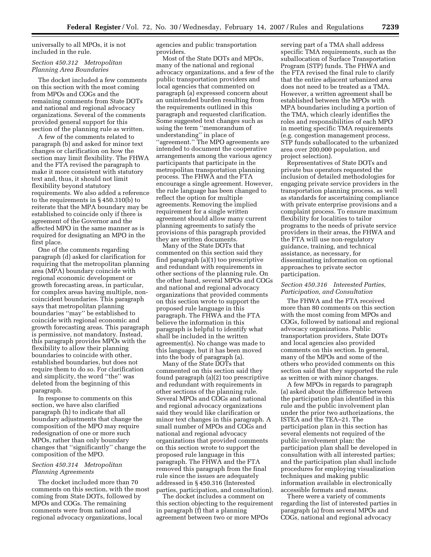universally to all MPOs, it is not included in the rule.

## *Section 450.312 Metropolitan Planning Area Boundaries*

The docket included a few comments on this section with the most coming from MPOs and COGs and the remaining comments from State DOTs and national and regional advocacy organizations. Several of the comments provided general support for this section of the planning rule as written.

A few of the comments related to paragraph (b) and asked for minor text changes or clarification on how the section may limit flexibility. The FHWA and the FTA revised the paragraph to make it more consistent with statutory text and, thus, it should not limit flexibility beyond statutory requirements. We also added a reference to the requirements in § 450.310(b) to reiterate that the MPA boundary may be established to coincide only if there is agreement of the Governor and the affected MPO in the same manner as is required for designating an MPO in the first place.

One of the comments regarding paragraph (d) asked for clarification for requiring that the metropolitan planning area (MPA) boundary coincide with regional economic development or growth forecasting areas, in particular, for complex areas having multiple, noncoincident boundaries. This paragraph says that metropolitan planning boundaries ''may'' be established to coincide with regional economic and growth forecasting areas. This paragraph is permissive, not mandatory. Instead, this paragraph provides MPOs with the flexibility to allow their planning boundaries to coincide with other, established boundaries, but does not require them to do so. For clarification and simplicity, the word ''the'' was deleted from the beginning of this paragraph.

In response to comments on this section, we have also clarified paragraph (h) to indicate that all boundary adjustments that change the composition of the MPO may require redesignation of one or more such MPOs, rather than only boundary changes that ''significantly'' change the composition of the MPO.

#### *Section 450.314 Metropolitan Planning Agreements*

The docket included more than 70 comments on this section, with the most coming from State DOTs, followed by MPOs and COGs. The remaining comments were from national and regional advocacy organizations, local

agencies and public transportation providers.

Most of the State DOTs and MPOs, many of the national and regional advocacy organizations, and a few of the public transportation providers and local agencies that commented on paragraph (a) expressed concern about an unintended burden resulting from the requirements outlined in this paragraph and requested clarification. Some suggested text changes such as using the term ''memorandum of understanding'' in place of ''agreement.'' The MPO agreements are intended to document the cooperative arrangements among the various agency participants that participate in the metropolitan transportation planning process. The FHWA and the FTA encourage a single agreement. However, the rule language has been changed to reflect the option for multiple agreements. Removing the implied requirement for a single written agreement should allow many current planning agreements to satisfy the provisions of this paragraph provided they are written documents.

Many of the State DOTs that commented on this section said they find paragraph (a)(1) too prescriptive and redundant with requirements in other sections of the planning rule. On the other hand, several MPOs and COGs and national and regional advocacy organizations that provided comments on this section wrote to support the proposed rule language in this paragraph. The FHWA and the FTA believe the information in this paragraph is helpful to identify what shall be included in the written agreement(s). No change was made to this language, but it has been moved into the body of paragraph (a).

Many of the State DOTs that commented on this section said they found paragraph (a)(2) too prescriptive and redundant with requirements in other sections of the planning rule. Several MPOs and COGs and national and regional advocacy organizations said they would like clarification or minor text changes in this paragraph. A small number of MPOs and COGs and national and regional advocacy organizations that provided comments on this section wrote to support the proposed rule language in this paragraph. The FHWA and the FTA removed this paragraph from the final rule since the issues are adequately addressed in § 450.316 (Interested parties, participation, and consultation).

The docket includes a comment on this section objecting to the requirement in paragraph (f) that a planning agreement between two or more MPOs

serving part of a TMA shall address specific TMA requirements, such as the suballocation of Surface Transportation Program (STP) funds. The FHWA and the FTA revised the final rule to clarify that the entire adjacent urbanized area does not need to be treated as a TMA. However, a written agreement shall be established between the MPOs with MPA boundaries including a portion of the TMA, which clearly identifies the roles and responsibilities of each MPO in meeting specific TMA requirements (e.g. congestion management process, STP funds suballocated to the urbanized area over 200,000 population, and project selection).

Representatives of State DOTs and private bus operators requested the inclusion of detailed methodologies for engaging private service providers in the transportation planning process, as well as standards for ascertaining compliance with private enterprise provisions and a complaint process. To ensure maximum flexibility for localities to tailor programs to the needs of private service providers in their areas, the FHWA and the FTA will use non-regulatory guidance, training, and technical assistance, as necessary, for disseminating information on optional approaches to private sector participation.

## *Section 450.316 Interested Parties, Participation, and Consultation*

The FHWA and the FTA received more than 80 comments on this section with the most coming from MPOs and COGs, followed by national and regional advocacy organizations. Public transportation providers, State DOTs and local agencies also provided comments on this section. In general, many of the MPOs and some of the others who provided comments on this section said that they supported the rule as written or with minor changes.

A few MPOs in regards to paragraph (a) asked about the difference between the participation plan identified in this rule and the public involvement plan under the prior two authorizations, the ISTEA and the TEA–21. The participation plan in this section has several elements not required of the public involvement plan: the participation plan shall be developed in consultation with all interested parties; and the participation plan shall include procedures for employing visualization techniques and making public information available in electronically accessible formats and means.

There were a variety of comments regarding the list of interested parties in paragraph (a) from several MPOs and COGs, national and regional advocacy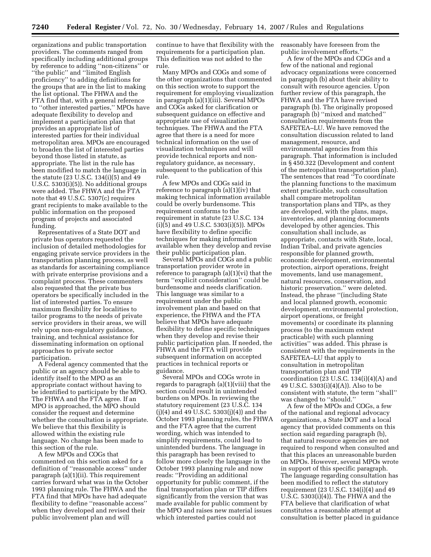organizations and public transportation providers. The comments ranged from specifically including additional groups by reference to adding ''non-citizens'' or ''the public'' and ''limited English proficiency'' to adding definitions for the groups that are in the list to making the list optional. The FHWA and the FTA find that, with a general reference to ''other interested parties,'' MPOs have adequate flexibility to develop and implement a participation plan that provides an appropriate list of interested parties for their individual metropolitan area. MPOs are encouraged to broaden the list of interested parties beyond those listed in statute, as appropriate. The list in the rule has been modified to match the language in the statute (23 U.S.C. 134(i)(5) and 49 U.S.C. 5303(i)(5)). No additional groups were added. The FHWA and the FTA note that 49 U.S.C. 5307(c) requires grant recipients to make available to the public information on the proposed program of projects and associated funding.

Representatives of a State DOT and private bus operators requested the inclusion of detailed methodologies for engaging private service providers in the transportation planning process, as well as standards for ascertaining compliance with private enterprise provisions and a complaint process. These commenters also requested that the private bus operators be specifically included in the list of interested parties. To ensure maximum flexibility for localities to tailor programs to the needs of private service providers in their areas, we will rely upon non-regulatory guidance, training, and technical assistance for disseminating information on optional approaches to private sector participation.

A Federal agency commented that the public or an agency should be able to identify itself to the MPO as an appropriate contact without having to be identified to participate by the MPO. The FHWA and the FTA agree. If an MPO is approached, the MPO should consider the request and determine whether the consultation is appropriate. We believe that this flexibility is allowed within the existing rule language. No change has been made to this section of the rule.

A few MPOs and COGs that commented on this section asked for a definition of ''reasonable access'' under paragraph (a)(1)(ii). This requirement carries forward what was in the October 1993 planning rule. The FHWA and the FTA find that MPOs have had adequate flexibility to define ''reasonable access'' when they developed and revised their public involvement plan and will

continue to have that flexibility with the requirements for a participation plan. This definition was not added to the rule.

Many MPOs and COGs and some of the other organizations that commented on this section wrote to support the requirement for employing visualization in paragraph (a)(1)(iii). Several MPOs and COGs asked for clarification or subsequent guidance on effective and appropriate use of visualization techniques. The FHWA and the FTA agree that there is a need for more technical information on the use of visualization techniques and will provide technical reports and nonregulatory guidance, as necessary, subsequent to the publication of this rule.

A few MPOs and COGs said in reference to paragraph (a)(1)(iv) that making technical information available could be overly burdensome. This requirement conforms to the requirement in statute (23 U.S.C. 134  $(i)(5)$  and 49 U.S.C. 5303 $(i)(5)$ ). MPOs have flexibility to define specific techniques for making information available when they develop and revise their public participation plan.

Several MPOs and COGs and a public transportation provider wrote in reference to paragraph (a)(1)(vi) that the term ''explicit consideration'' could be burdensome and needs clarification. This language was similar to a requirement under the public involvement plan and based on that experience, the FHWA and the FTA believe that MPOs have adequate flexibility to define specific techniques when they develop and revise their public participation plan. If needed, the FHWA and the FTA will provide subsequent information on accepted practices in technical reports or guidance.

Several MPOs and COGs wrote in regards to paragraph (a)(1)(viii) that the section could result in unintended burdens on MPOs. In reviewing the statutory requirement (23 U.S.C. 134 (j)(4) and 49 U.S.C. 5303(j)(4)) and the October 1993 planning rules, the FHWA and the FTA agree that the current wording, which was intended to simplify requirements, could lead to unintended burdens. The language in this paragraph has been revised to follow more closely the language in the October 1993 planning rule and now reads: ''Providing an additional opportunity for public comment, if the final transportation plan or TIP differs significantly from the version that was made available for public comment by the MPO and raises new material issues which interested parties could not

reasonably have foreseen from the public involvement efforts.''

A few of the MPOs and COGs and a few of the national and regional advocacy organizations were concerned in paragraph (b) about their ability to consult with resource agencies. Upon further review of this paragraph, the FHWA and the FTA have revised paragraph (b). The originally proposed paragraph (b) ''mixed and matched'' consultation requirements from the SAFETEA–LU. We have removed the consultation discussion related to land management, resource, and environmental agencies from this paragraph. That information is included in § 450.322 (Development and content of the metropolitan transportation plan). The sentences that read ''To coordinate the planning functions to the maximum extent practicable, such consultation shall compare metropolitan transportation plans and TIPs, as they are developed, with the plans, maps, inventories, and planning documents developed by other agencies. This consultation shall include, as appropriate, contacts with State, local, Indian Tribal, and private agencies responsible for planned growth, economic development, environmental protection, airport operations, freight movements, land use management, natural resources, conservation, and historic preservation.'' were deleted. Instead, the phrase ''(including State and local planned growth, economic development, environmental protection, airport operations, or freight movements) or coordinate its planning process (to the maximum extent practicable) with such planning activities'' was added. This phrase is consistent with the requirements in the SAFETEA–LU that apply to consultation in metropolitan transportation plan and TIP coordination (23 U.S.C.  $134(i)(4)(A)$  and 49 U.S.C. 5303(i)(4)(A)). Also to be consistent with statute, the term ''shall'' was changed to ''should.''

A few of the MPOs and COGs, a few of the national and regional advocacy organizations, a State DOT and a local agency that provided comments on this section said regarding paragraph (b), that natural resource agencies are not required to respond when consulted and that this places an unreasonable burden on MPOs. However, several MPOs wrote in support of this specific paragraph. The language regarding consultation has been modified to reflect the statutory requirement (23 U.S.C. 134(i)(4) and 49 U.S.C. 5303(i)(4)). The FHWA and the FTA believe that clarification of what constitutes a reasonable attempt at consultation is better placed in guidance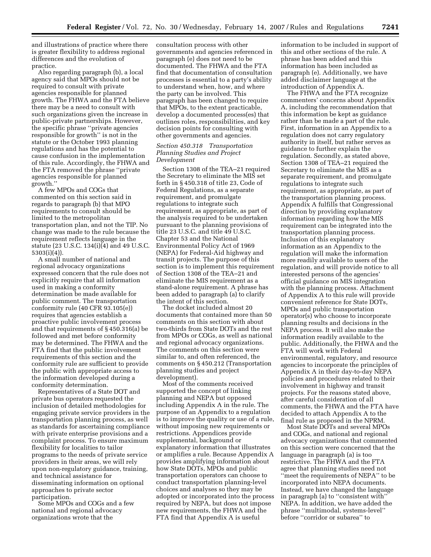and illustrations of practice where there is greater flexibility to address regional differences and the evolution of practice.

Also regarding paragraph (b), a local agency said that MPOs should not be required to consult with private agencies responsible for planned growth. The FHWA and the FTA believe there may be a need to consult with such organizations given the increase in public-private partnerships. However, the specific phrase ''private agencies responsible for growth'' is not in the statute or the October 1993 planning regulations and has the potential to cause confusion in the implementation of this rule. Accordingly, the FHWA and the FTA removed the phrase ''private agencies responsible for planned growth.''

A few MPOs and COGs that commented on this section said in regards to paragraph (b) that MPO requirements to consult should be limited to the metropolitan transportation plan, and not the TIP. No change was made to the rule because the requirement reflects language in the statute (23 U.S.C. 134(i)(4) and 49 U.S.C. 5303(i)(4)).

A small number of national and regional advocacy organizations expressed concern that the rule does not explicitly require that all information used in making a conformity determination be made available for public comment. The transportation conformity rule (40 CFR 93.105(e)) requires that agencies establish a proactive public involvement process and that requirements of § 450.316(a) be followed and met before conformity may be determined. The FHWA and the FTA find that the public involvement requirements of this section and the conformity rule are sufficient to provide the public with appropriate access to the information developed during a conformity determination.

Representatives of a State DOT and private bus operators requested the inclusion of detailed methodologies for engaging private service providers in the transportation planning process, as well as standards for ascertaining compliance with private enterprise provisions and a complaint process. To ensure maximum flexibility for localities to tailor programs to the needs of private service providers in their areas, we will rely upon non-regulatory guidance, training, and technical assistance for disseminating information on optional approaches to private sector participation.

Some MPOs and COGs and a few national and regional advocacy organizations wrote that the

consultation process with other governments and agencies referenced in paragraph (e) does not need to be documented. The FHWA and the FTA find that documentation of consultation processes is essential to a party's ability to understand when, how, and where the party can be involved. This paragraph has been changed to require that MPOs, to the extent practicable, develop a documented process(es) that outlines roles, responsibilities, and key decision points for consulting with other governments and agencies.

## *Section 450.318 Transportation Planning Studies and Project Development*

Section 1308 of the TEA–21 required the Secretary to eliminate the MIS set forth in § 450.318 of title 23, Code of Federal Regulations, as a separate requirement, and promulgate regulations to integrate such requirement, as appropriate, as part of the analysis required to be undertaken pursuant to the planning provisions of title 23 U.S.C. and title 49 U.S.C. Chapter 53 and the National Environmental Policy Act of 1969 (NEPA) for Federal-Aid highway and transit projects. The purpose of this section is to implement this requirement of Section 1308 of the TEA–21 and eliminate the MIS requirement as a stand-alone requirement. A phrase has been added to paragraph (a) to clarify the intent of this section.

The docket included almost 20 documents that contained more than 50 comments on this section with about two-thirds from State DOTs and the rest from MPOs or COGs, as well as national and regional advocacy organizations. The comments on this section were similar to, and often referenced, the comments on § 450.212 (Transportation planning studies and project development).

Most of the comments received supported the concept of linking planning and NEPA but opposed including Appendix A in the rule. The purpose of an Appendix to a regulation is to improve the quality or use of a rule, without imposing new requirements or restrictions. Appendices provide supplemental, background or explanatory information that illustrates or amplifies a rule. Because Appendix A provides amplifying information about how State DOTs, MPOs and public transportation operators can choose to conduct transportation planning-level choices and analyses so they may be adopted or incorporated into the process required by NEPA, but does not impose new requirements, the FHWA and the FTA find that Appendix A is useful

information to be included in support of this and other sections of the rule. A phrase has been added and this information has been included as paragraph (e). Additionally, we have added disclaimer language at the introduction of Appendix A.

The FHWA and the FTA recognize commenters' concerns about Appendix A, including the recommendation that this information be kept as guidance rather than be made a part of the rule. First, information in an Appendix to a regulation does not carry regulatory authority in itself, but rather serves as guidance to further explain the regulation. Secondly, as stated above, Section 1308 of TEA–21 required the Secretary to eliminate the MIS as a separate requirement, and promulgate regulations to integrate such requirement, as appropriate, as part of the transportation planning process. Appendix A fulfills that Congressional direction by providing explanatory information regarding how the MIS requirement can be integrated into the transportation planning process. Inclusion of this explanatory information as an Appendix to the regulation will make the information more readily available to users of the regulation, and will provide notice to all interested persons of the agencies' official guidance on MIS integration with the planning process. Attachment of Appendix A to this rule will provide convenient reference for State DOTs, MPOs and public transportation operator(s) who choose to incorporate planning results and decisions in the NEPA process. It will also make the information readily available to the public. Additionally, the FHWA and the FTA will work with Federal environmental, regulatory, and resource agencies to incorporate the principles of Appendix A in their day-to-day NEPA policies and procedures related to their involvement in highway and transit projects. For the reasons stated above, after careful consideration of all comments, the FHWA and the FTA have decided to attach Appendix A to the final rule as proposed in the NPRM.

Most State DOTs and several MPOs and COGs, and national and regional advocacy organizations that commented on this section were concerned that the language in paragraph (a) is too restrictive. The FHWA and the FTA agree that planning studies need not ''meet the requirements of NEPA'' to be incorporated into NEPA documents. Instead, we have changed the language in paragraph (a) to ''consistent with'' NEPA. In addition, we have added the phrase ''multimodal, systems-level'' before ''corridor or subarea'' to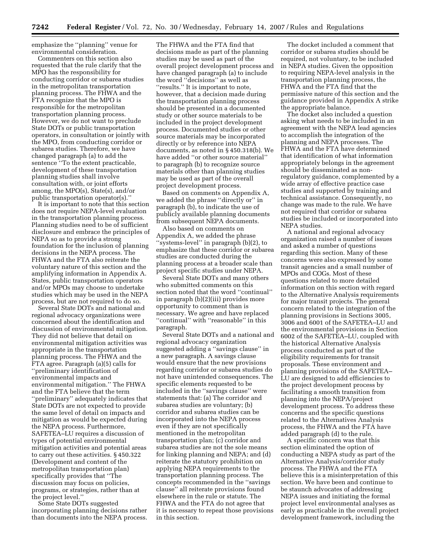emphasize the ''planning'' venue for environmental consideration.

Commenters on this section also requested that the rule clarify that the MPO has the responsibility for conducting corridor or subarea studies in the metropolitan transportation planning process. The FHWA and the FTA recognize that the MPO is responsible for the metropolitan transportation planning process. However, we do not want to preclude State DOTs or public transportation operators, in consultation or jointly with the MPO, from conducting corridor or subarea studies. Therefore, we have changed paragraph (a) to add the sentence ''To the extent practicable, development of these transportation planning studies shall involve consultation with, or joint efforts among, the MPO(s), State(s), and/or public transportation operator(s).''

It is important to note that this section does not require NEPA-level evaluation in the transportation planning process. Planning studies need to be of sufficient disclosure and embrace the principles of NEPA so as to provide a strong foundation for the inclusion of planning decisions in the NEPA process. The FHWA and the FTA also reiterate the voluntary nature of this section and the amplifying information in Appendix A. States, public transportation operators and/or MPOs may choose to undertake studies which may be used in the NEPA process, but are not required to do so.

Several State DOTs and national and regional advocacy organizations were concerned about the identification and discussion of environmental mitigation. They did not believe that detail on environmental mitigation activities was appropriate in the transportation planning process. The FHWA and the FTA agree. Paragraph (a)(5) calls for ''preliminary identification of environmental impacts and environmental mitigation.'' The FHWA and the FTA believe that the term ''preliminary'' adequately indicates that State DOTs are not expected to provide the same level of detail on impacts and mitigation as would be expected during the NEPA process. Furthermore, SAFETEA–LU requires a discussion of types of potential environmental mitigation activities and potential areas to carry out these activities. § 450.322 (Development and content of the metropolitan transportation plan) specifically provides that ''The discussion may focus on policies, programs, or strategies, rather than at the project level.''

Some State DOTs suggested incorporating planning decisions rather than documents into the NEPA process.

The FHWA and the FTA find that decisions made as part of the planning studies may be used as part of the overall project development process and have changed paragraph (a) to include the word ''decisions'' as well as ''results.'' It is important to note, however, that a decision made during the transportation planning process should be presented in a documented study or other source materials to be included in the project development process. Documented studies or other source materials may be incorporated directly or by reference into NEPA documents, as noted in § 450.318(b). We have added ''or other source material'' to paragraph (b) to recognize source materials other than planning studies may be used as part of the overall project development process.

Based on comments on Appendix A, we added the phrase ''directly or'' in paragraph (b), to indicate the use of publicly available planning documents from subsequent NEPA documents.

Also based on comments on Appendix A, we added the phrase ''systems-level'' in paragraph (b)(2), to emphasize that these corridor or subarea studies are conducted during the planning process at a broader scale than project specific studies under NEPA.

Several State DOTs and many others who submitted comments on this section noted that the word ''continual'' in paragraph (b)(2)(iii) provides more opportunity to comment than is necessary. We agree and have replaced ''continual'' with ''reasonable'' in this paragraph.

Several State DOTs and a national and regional advocacy organization suggested adding a ''savings clause'' in a new paragraph. A savings clause would ensure that the new provisions regarding corridor or subarea studies do not have unintended consequences. The specific elements requested to be included in the ''savings clause'' were statements that: (a) The corridor and subarea studies are voluntary; (b) corridor and subarea studies can be incorporated into the NEPA process even if they are not specifically mentioned in the metropolitan transportation plan; (c) corridor and subarea studies are not the sole means for linking planning and NEPA; and (d) reiterate the statutory prohibition on applying NEPA requirements to the transportation planning process. The concepts recommended in the ''savings clause'' all reiterate provisions found elsewhere in the rule or statute. The FHWA and the FTA do not agree that it is necessary to repeat those provisions in this section.

The docket included a comment that corridor or subarea studies should be required, not voluntary, to be included in NEPA studies. Given the opposition to requiring NEPA-level analysis in the transportation planning process, the FHWA and the FTA find that the permissive nature of this section and the guidance provided in Appendix A strike the appropriate balance.

The docket also included a question asking what needs to be included in an agreement with the NEPA lead agencies to accomplish the integration of the planning and NEPA processes. The FHWA and the FTA have determined that identification of what information appropriately belongs in the agreement should be disseminated as nonregulatory guidance, complemented by a wide array of effective practice case studies and supported by training and technical assistance. Consequently, no change was made to the rule. We have not required that corridor or subarea studies be included or incorporated into NEPA studies.

A national and regional advocacy organization raised a number of issues and asked a number of questions regarding this section. Many of these concerns were also expressed by some transit agencies and a small number of MPOs and COGs. Most of these questions related to more detailed information on this section with regard to the Alternative Analysis requirements for major transit projects. The general concern related to the integration of the planning provisions in Sections 3005, 3006 and 6001 of the SAFETEA–LU and the environmental provisions in Section 6002 of the SAFETEA–LU, coupled with the historical Alternative Analysis process conducted as part of the eligibility requirements for transit proposals. These environment and planning provisions of the SAFETEA– LU are designed to add efficiencies to the project development process by facilitating a smooth transition from planning into the NEPA/project development process. To address these concerns and the specific questions related to the Alternatives Analysis process, the FHWA and the FTA have added paragraph (d) to the rule.

A specific concern was that this section eliminated the option of conducting a NEPA study as part of the Alternative Analysis/corridor study process. The FHWA and the FTA believe this is a misinterpretation of this section. We have been and continue to be staunch advocates of addressing NEPA issues and initiating the formal project level environmental analyses as early as practicable in the overall project development framework, including the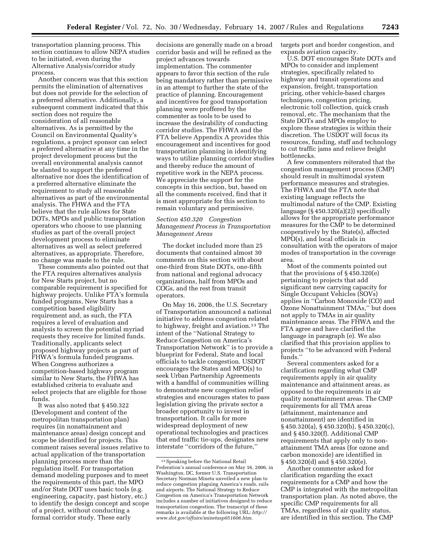transportation planning process. This section continues to allow NEPA studies to be initiated, even during the Alternative Analysis/corridor study process.

Another concern was that this section permits the elimination of alternatives but does not provide for the selection of a preferred alternative. Additionally, a subsequent comment indicated that this section does not require the consideration of all reasonable alternatives. As is permitted by the Council on Environmental Quality's regulations, a project sponsor can select a preferred alternative at any time in the project development process but the overall environmental analysis cannot be slanted to support the preferred alternative nor does the identification of a preferred alternative eliminate the requirement to study all reasonable alternatives as part of the environmental analysis. The FHWA and the FTA believe that the rule allows for State DOTs, MPOs and public transportation operators who choose to use planning studies as part of the overall project development process to eliminate alternatives as well as select preferred alternatives, as appropriate. Therefore, no change was made to the rule.

These comments also pointed out that the FTA requires alternatives analysis for New Starts project, but no comparable requirement is specified for highway projects. Unlike FTA's formula funded programs, New Starts has a competition based eligibility requirement and, as such, the FTA requires a level of evaluation and analysis to screen the potential myriad requests they receive for limited funds. Traditionally, applicants select proposed highway projects as part of FHWA's formula funded programs. When Congress authorizes a competition-based highway program similar to New Starts, the FHWA has established criteria to evaluate and select projects that are eligible for those funds.

It was also noted that § 450.322 (Development and content of the metropolitan transportation plan) requires (in nonattainment and maintenance areas) design concept and scope be identified for projects. This comment raises several issues relative to actual application of the transportation planning process more than the regulation itself. For transportation demand modeling purposes and to meet the requirements of this part, the MPO and/or State DOT uses basic tools (e.g. engineering, capacity, past history, etc.) to identify the design concept and scope of a project, without conducting a formal corridor study. These early

decisions are generally made on a broad corridor basis and will be refined as the project advances towards implementation. The commenter appears to favor this section of the rule being mandatory rather than permissive in an attempt to further the state of the practice of planning. Encouragement and incentives for good transportation planning were proffered by the commenter as tools to be used to increase the desirability of conducting corridor studies. The FHWA and the FTA believe Appendix A provides this encouragement and incentives for good transportation planning in identifying ways to utilize planning corridor studies and thereby reduce the amount of repetitive work in the NEPA process. We appreciate the support for the concepts in this section, but, based on all the comments received, find that it is most appropriate for this section to remain voluntary and permissive.

## *Section 450.320 Congestion Management Process in Transportation Management Areas*

The docket included more than 25 documents that contained almost 30 comments on this section with about one-third from State DOTs, one-fifth from national and regional advocacy organizations, half from MPOs and COGs, and the rest from transit operators.

On May 16, 2006, the U.S. Secretary of Transportation announced a national initiative to address congestion related to highway, freight and aviation.13 The intent of the ''National Strategy to Reduce Congestion on America's Transportation Network'' is to provide a blueprint for Federal, State and local officials to tackle congestion. USDOT encourages the States and MPO(s) to seek Urban Partnership Agreements with a handful of communities willing to demonstrate new congestion relief strategies and encourages states to pass legislation giving the private sector a broader opportunity to invest in transportation. It calls for more widespread deployment of new operational technologies and practices that end traffic tie-ups, designates new interstate ''corridors of the future,''

targets port and border congestion, and expands aviation capacity.

U.S. DOT encourages State DOTs and MPOs to consider and implement strategies, specifically related to highway and transit operations and expansion, freight, transportation pricing, other vehicle-based charges techniques, congestion pricing, electronic toll collection, quick crash removal, etc. The mechanism that the State DOTs and MPOs employ to explore these strategies is within their discretion. The USDOT will focus its resources, funding, staff and technology to cut traffic jams and relieve freight bottlenecks.

A few commenters reiterated that the congestion management process (CMP) should result in multimodal system performance measures and strategies. The FHWA and the FTA note that existing language reflects the multimodal nature of the CMP. Existing language  $(\S 450.320(a)(2))$  specifically allows for the appropriate performance measures for the CMP to be determined cooperatively by the State(s), affected MPO(s), and local officials in consultation with the operators of major modes of transportation in the coverage area.

Most of the comments pointed out that the provisions of § 450.320(e) pertaining to projects that add significant new carrying capacity for Single Occupant Vehicles (SOVs) applies in ''Carbon Monoxide (CO) and Ozone Nonattainment TMAs,'' but does not apply to TMAs in air quality maintenance areas. The FHWA and the FTA agree and have clarified the language in paragraph (e). We also clarified that this provision applies to projects ''to be advanced with Federal funds.''

Several commenters asked for a clarification regarding what CMP requirements apply in air quality maintenance and attainment areas, as opposed to the requirements in air quality nonattainment areas. The CMP requirements for all TMA areas (attainment, maintenance and nonattainment) are identified in § 450.320(a), § 450.320(b), § 450.320(c), and § 450.320(f). Additional CMP requirements that apply only to nonattainment TMA areas (for ozone and carbon monoxide) are identified in § 450.320(d) and § 450.320(e).

Another commenter asked for clarification regarding the exact requirements for a CMP and how the CMP is integrated with the metropolitan transportation plan. As noted above, the specific CMP requirements for all TMAs, regardless of air quality status, are identified in this section. The CMP

<sup>13</sup>Speaking before the National Retail Federation's annual conference on May 16, 2006, in Washington, DC, former U.S. Transportation Secretary Norman Mineta unveiled a new plan to reduce congestion plaguing America's roads, rails and airports. The National Strategy to Reduce Congestion on America's Transportation Network includes a number of initiatives designed to reduce transportation congestion. The transcript of these remarks is available at the following URL: *http:// www.dot.gov/affairs/minetasp051606.htm*.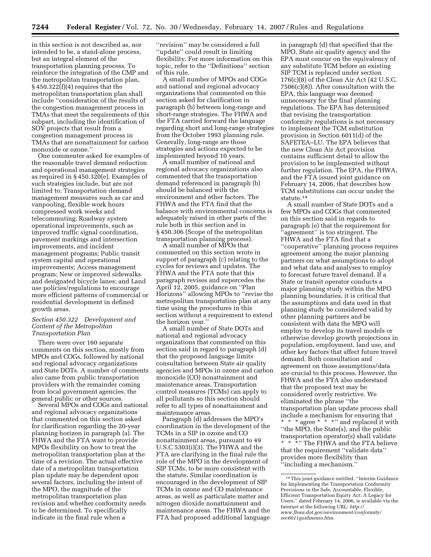in this section is not described as, nor intended to be, a stand-alone process, but an integral element of the transportation planning process. To reinforce the integration of the CMP and the metropolitan transportation plan,  $§$  450.322(f)(4) requires that the metropolitan transportation plan shall include ''consideration of the results of the congestion management process in TMAs that meet the requirements of this subpart, including the identification of SOV projects that result from a congestion management process in TMAs that are nonattainment for carbon monoxide or ozone.''

One commenter asked for examples of the reasonable travel demand reduction and operational management strategies as required in § 450.320(e). Examples of such strategies include, but are not limited to: Transportation demand management measures such as car and vanpooling, flexible work hours compressed work weeks and telecommuting; Roadway system operational improvements, such as improved traffic signal coordination, pavement markings and intersection improvements, and incident management programs; Public transit system capital and operational improvements; Access management program; New or improved sidewalks and designated bicycle lanes; and Land use policies/regulations to encourage more efficient patterns of commercial or residential development in defined growth areas.

## *Section 450.322 Development and Content of the Metropolitan Transportation Plan*

There were over 160 separate comments on this section, mostly from MPOs and COGs, followed by national and regional advocacy organizations and State DOTs. A number of comments also came from public transportation providers with the remainder coming from local government agencies, the general public or other sources.

Several MPOs and COGs and national and regional advocacy organizations that commented on this section asked for clarification regarding the 20-year planning horizon in paragraph (a). The FHWA and the FTA want to provide MPOs flexibility on how to treat the metropolitan transportation plan at the time of a revision. The actual effective date of a metropolitan transportation plan update may be dependent upon several factors, including the intent of the MPO, the magnitude of the metropolitan transportation plan revision and whether conformity needs to be determined. To specifically indicate in the final rule when a

''revision'' may be considered a full ''update'' could result in limiting flexibility. For more information on this topic, refer to the ''Definitions'' section of this rule.

A small number of MPOs and COGs and national and regional advocacy organizations that commented on this section asked for clarification in paragraph (b) between long-range and short-range strategies. The FHWA and the FTA carried forward the language regarding short and long-range strategies from the October 1993 planning rule. Generally, long-range are those strategies and actions expected to be implemented beyond 10 years.

A small number of national and regional advocacy organizations also commented that the transportation demand referenced in paragraph (b) should be balanced with the environment and other factors. The FHWA and the FTA find that the balance with environmental concerns is adequately raised in other parts of the rule both in this section and in § 450.306 (Scope of the metropolitan transportation planning process).

A small number of MPOs that commented on this section wrote in support of paragraph (c) relating to the cycles for reviews and updates. The FHWA and the FTA note that this paragraph revises and supercedes the April 12, 2005, guidance on ''Plan Horizons'' allowing MPOs to ''revise the metropolitan transportation plan at any time using the procedures in this section without a requirement to extend the horizon year.''

A small number of State DOTs and national and regional advocacy organizations that commented on this section said in regard to paragraph (d) that the proposed language limits consultation between State air quality agencies and MPOs in ozone and carbon monoxide (CO) nonattainment and maintenance areas. Transportation control measures (TCMs) can apply to all pollutants so this section should refer to all types of nonattainment and maintenance areas.

Paragraph (d) addresses the MPO's coordination in the development of the TCMs in a SIP in ozone and CO nonattainment areas, pursuant to 49 U.S.C 5303(i)(3). The FHWA and the FTA are clarifying in the final rule the role of the MPO in the development of SIP TCMs, to be more consistent with the statute. Similar coordination is encouraged in the development of SIP TCMs in ozone and CO maintenance areas, as well as particulate matter and nitrogen dioxide nonattainment and maintenance areas. The FHWA and the FTA had proposed additional language

in paragraph (d) that specified that the MPO, State air quality agency and the EPA must concur on the equivalency of any substitute TCM before an existing SIP TCM is replaced under section 176(c)(8) of the Clean Air Act (42 U.S.C. 7506(c)(8)). After consultation with the EPA, this language was deemed unnecessary for the final planning regulations. The EPA has determined that revising the transportation conformity regulations is not necessary to implement the TCM substitution provision in Section 6011(d) of the SAFETEA–LU. The EPA believes that the new Clean Air Act provision contains sufficient detail to allow the provision to be implemented without further regulation. The EPA, the FHWA, and the FTA issued joint guidance on February 14, 2006, that describes how TCM substitutions can occur under the statute.14

A small number of State DOTs and a few MPOs and COGs that commented on this section said in regards to paragraph (e) that the requirement for ''agreement'' is too stringent. The FHWA and the FTA find that a ''cooperative'' planning process requires agreement among the major planning partners on what assumptions to adopt and what data and analyses to employ to forecast future travel demand. If a State or transit operator conducts a major planning study within the MPO planning boundaries, it is critical that the assumptions and data used in that planning study be considered valid by other planning partners and be consistent with data the MPO will employ to develop its travel models or otherwise develop growth projections in population, employment, land use, and other key factors that affect future travel demand. Both consultation and agreement on those assumptions/data are crucial to this process. However, the FHWA and the FTA also understand that the proposed text may be considered overly restrictive. We eliminated the phrase ''the transportation plan update process shall include a mechanism for ensuring that \* \* \* agree \* \* \* " and replaced it with ''the MPO, the State(s), and the public transportation operator(s) shall validate \* \* \*"' The FHWA and the FTA believe that the requirement ''validate data'' provides more flexibility than ''including a mechanism.''

<sup>14</sup>This joint guidance entitled, ''Interim Guidance for Implementing the Transportation Conformity Provisions in the Safe, Accountable, Flexible, Efficient Transportation Equity Act: A Legacy for Users,'' dated February 14, 2006, is available via the Internet at the following URL: *http:// www.fhwa.dot.gov/environment/conformity/ sec6011guidmemo.htm*.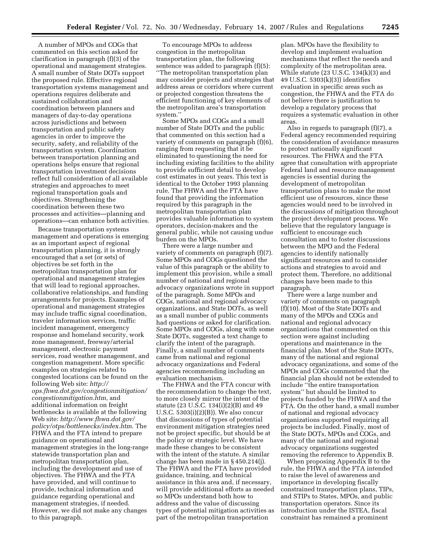A number of MPOs and COGs that commented on this section asked for clarification in paragraph (f)(3) of the operational and management strategies. A small number of State DOTs support the proposed rule. Effective regional transportation systems management and operations requires deliberate and sustained collaboration and coordination between planners and managers of day-to-day operations across jurisdictions and between transportation and public safety agencies in order to improve the security, safety, and reliability of the transportation system. Coordination between transportation planning and operations helps ensure that regional transportation investment decisions reflect full consideration of all available strategies and approaches to meet regional transportation goals and objectives. Strengthening the coordination between these two processes and activities—planning and operations—can enhance both activities.

Because transportation systems management and operations is emerging as an important aspect of regional transportation planning, it is strongly encouraged that a set (or sets) of objectives be set forth in the metropolitan transportation plan for operational and management strategies that will lead to regional approaches, collaborative relationships, and funding arrangements for projects. Examples of operational and management strategies may include traffic signal coordination, traveler information services, traffic incident management, emergency response and homeland security, work zone management, freeway/arterial management, electronic payment services, road weather management, and congestion management. More specific examples on strategies related to congested locations can be found on the following Web site: *http:// ops.fhwa.dot.gov/congestionmitigation/ congestionmitigation.htm*, and additional information on freight bottlenecks is available at the following Web site: *http://www.fhwa.dot.gov/ policy/otps/bottlenecks/index.htm*. The FHWA and the FTA intend to prepare guidance on operational and management strategies in the long-range statewide transportation plan and metropolitan transportation plan, including the development and use of objectives. The FHWA and the FTA have provided, and will continue to provide, technical information and guidance regarding operational and management strategies, if needed. However, we did not make any changes to this paragraph.

To encourage MPOs to address congestion in the metropolitan transportation plan, the following sentence was added to paragraph (f)(5): ''The metropolitan transportation plan may consider projects and strategies that address areas or corridors where current or projected congestion threatens the efficient functioning of key elements of the metropolitan area's transportation system.''

Some MPOs and COGs and a small number of State DOTs and the public that commented on this section had a variety of comments on paragraph (f)(6), ranging from requesting that it be eliminated to questioning the need for including existing facilities to the ability to provide sufficient detail to develop cost estimates in out years. This text is identical to the October 1993 planning rule. The FHWA and the FTA have found that providing the information required by this paragraph in the metropolitan transportation plan provides valuable information to system operators, decision-makers and the general public, while not causing undue burden on the MPOs.

There were a large number and variety of comments on paragraph (f)(7). Some MPOs and COGs questioned the value of this paragraph or the ability to implement this provision, while a small number of national and regional advocacy organizations wrote in support of the paragraph. Some MPOs and COGs, national and regional advocacy organizations, and State DOTs, as well as a small number of public comments had questions or asked for clarification. Some MPOs and COGs, along with some State DOTs, suggested a text change to clarify the intent of the paragraph. Finally, a small number of comments came from national and regional advocacy organizations and Federal agencies recommending including an evaluation mechanism.

The FHWA and the FTA concur with the recommendation to change the text, to more closely mirror the intent of the statute (23 U.S.C. 134(i)(2)(B) and 49 U.S.C. 5303(i)(2)(B)). We also concur that discussions of types of potential environment mitigation strategies need not be project specific, but should be at the policy or strategic level. We have made these changes to be consistent with the intent of the statute. A similar change has been made in § 450.214(j). The FHWA and the FTA have provided guidance, training, and technical assistance in this area and, if necessary, will provide additional efforts as needed so MPOs understand both how to address and the value of discussing types of potential mitigation activities as part of the metropolitan transportation

plan. MPOs have the flexibility to develop and implement evaluation mechanisms that reflect the needs and complexity of the metropolitan area. While statute (23 U.S.C. 134(k)(3) and 49 U.S.C. 5303(k)(3)) identifies evaluation in specific areas such as congestion, the FHWA and the FTA do not believe there is justification to develop a regulatory process that requires a systematic evaluation in other areas.

Also in regards to paragraph (f)(7), a Federal agency recommended requiring the consideration of avoidance measures to protect nationally significant resources. The FHWA and the FTA agree that consultation with appropriate Federal land and resource management agencies is essential during the development of metropolitan transportation plans to make the most efficient use of resources, since these agencies would need to be involved in the discussions of mitigation throughout the project development process. We believe that the regulatory language is sufficient to encourage such consultation and to foster discussions between the MPO and the Federal agencies to identify nationally significant resources and to consider actions and strategies to avoid and protect them. Therefore, no additional changes have been made to this paragraph.

There were a large number and variety of comments on paragraph (f)(10). Most of the State DOTs and many of the MPOs and COGs and national and regional advocacy organizations that commented on this section were against including operations and maintenance in the financial plan. Most of the State DOTs, many of the national and regional advocacy organizations, and some of the MPOs and COGs commented that the financial plan should not be extended to include ''the entire transportation system'' but should be limited to projects funded by the FHWA and the FTA. On the other hand, a small number of national and regional advocacy organizations supported requiring all projects be included. Finally, most of the State DOTs, MPOs and COGs, and many of the national and regional advocacy organizations suggested removing the reference to Appendix B.

When proposing Appendix B to the rule, the FHWA and the FTA intended to raise the level of awareness and importance in developing fiscally constrained transportation plans, TIPs, and STIPs to States, MPOs, and public transportation operators. Since its introduction under the ISTEA, fiscal constraint has remained a prominent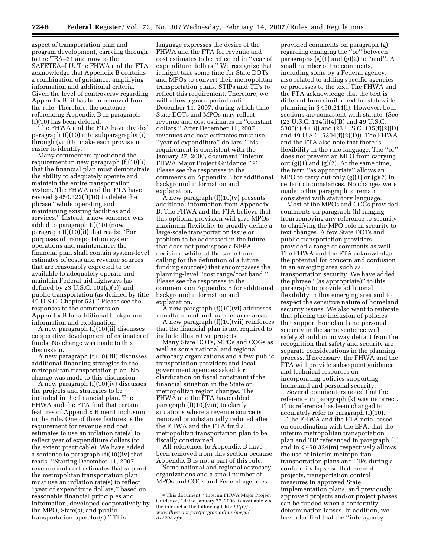aspect of transportation plan and program development, carrying through to the TEA–21 and now to the SAFETEA–LU. The FHWA and the FTA acknowledge that Appendix B contains a combination of guidance, amplifying information and additional criteria. Given the level of controversy regarding Appendix B, it has been removed from the rule. Therefore, the sentence referencing Appendix B in paragraph (f)(10) has been deleted.

The FHWA and the FTA have divided paragraph (f)(10) into subparagraphs (i) through (viii) to make each provision easier to identify.

Many commenters questioned the requirement in new paragraph (f)(10)(i) that the financial plan must demonstrate the ability to adequately operate and maintain the entire transportation system. The FHWA and the FTA have revised § 450.322(f)(10) to delete the phrase ''while operating and maintaining existing facilities and services.'' Instead, a new sentence was added to paragraph (f)(10) (now paragraph (f)(10)(i)) that reads: ''For purposes of transportation system operations and maintenance, the financial plan shall contain system-level estimates of costs and revenue sources that are reasonably expected to be available to adequately operate and maintain Federal-aid highways (as defined by 23 U.S.C.  $101(a)(5)$  and public transportation (as defined by title 49 U.S.C. Chapter 53).'' Please see the responses to the comments on Appendix B for additional background information and explanation.

A new paragraph (f)(10)(ii) discusses cooperative development of estimates of funds. No change was made to this discussion.

A new paragraph (f)(10)(iii) discusses additional financing strategies in the metropolitan transportation plan. No change was made to this discussion.

A new paragraph (f)(10)(iv) discusses the projects and strategies to be included in the financial plan. The FHWA and the FTA find that certain features of Appendix B merit inclusion in the rule. One of these features is the requirement for revenue and cost estimates to use an inflation rate(s) to reflect year of expenditure dollars (to the extent practicable). We have added a sentence to paragraph (f)(10)(iv) that reads: ''Starting December 11, 2007, revenue and cost estimates that support the metropolitan transportation plan must use an inflation rate(s) to reflect ''year of expenditure dollars,'' based on reasonable financial principles and information, developed cooperatively by the MPO, State(s), and public transportation operator(s).'' This

language expresses the desire of the FHWA and the FTA for revenue and cost estimates to be reflected in ''year of expenditure dollars.'' We recognize that it might take some time for State DOTs and MPOs to convert their metropolitan transportation plans, STIPs and TIPs to reflect this requirement. Therefore, we will allow a grace period until December 11, 2007, during which time State DOTs and MPOs may reflect revenue and cost estimates in ''constant dollars.'' After December 11, 2007, revenues and cost estimates must use ''year of expenditure'' dollars. This requirement is consistent with the January 27, 2006, document ''Interim FHWA Major Project Guidance.'' 15 Please see the responses to the comments on Appendix B for additional background information and explanation.

 $\bar{A}$  new paragraph  $(f)(10)(v)$  presents additional information from Appendix B. The FHWA and the FTA believe that this optional provision will give MPOs maximum flexibility to broadly define a large-scale transportation issue or problem to be addressed in the future that does not predispose a NEPA decision, while, at the same time, calling for the definition of a future funding source(s) that encompasses the planning-level ''cost range/cost band.'' Please see the responses to the comments on Appendix B for additional background information and explanation.

A new paragraph (f)(10)(vi) addresses nonattainment and maintenance areas.

A new paragraph (f)(10)(vii) reinforces that the financial plan is not required to include illustrative projects.

Many State DOTs, MPOs and COGs as well as some national and regional advocacy organizations and a few public transportation providers and local government agencies asked for clarification on fiscal constraint if the financial situation in the State or metropolitan region changes. The FHWA and the FTA have added paragraph (f)(10)(viii) to clarify situations where a revenue source is removed or substantially reduced after the FHWA and the FTA find a metropolitan transportation plan to be fiscally constrained.

All references to Appendix B have been removed from this section because Appendix B is not a part of this rule.

Some national and regional advocacy organizations and a small number of MPOs and COGs and Federal agencies

provided comments on paragraph (g) regarding changing the ''or'' between paragraphs  $(g)(1)$  and  $(g)(2)$  to "and". A small number of the comments, including some by a Federal agency, also related to adding specific agencies or processes to the text. The FHWA and the FTA acknowledge that the text is different from similar text for statewide planning in § 450.214(i). However, both sections are consistent with statute. (See (23 U.S.C. 134(i)(4)(B) and 49 U.S.C. 5303(i)(4)(B)) and (23 U.S.C. 135(f)(2)(D) and 49 U.S.C. 5304(f)(2)(D)). The FHWA and the FTA also note that there is flexibility in the rule language. The ''or'' does not prevent an MPO from carrying out  $(g)(1)$  and  $(g)(2)$ . At the same time, the term ''as appropriate'' allows an MPO to carry out only  $(g)(1)$  or  $(g)(2)$  in certain circumstances. No changes were made to this paragraph to remain consistent with statutory language.

Most of the MPOs and COGs provided comments on paragraph (h) ranging from removing any reference to security to clarifying the MPO role in security to text changes. A few State DOTs and public transportation providers provided a range of comments as well. The FHWA and the FTA acknowledge the potential for concern and confusion in an emerging area such as transportation security. We have added the phrase ''(as appropriate)'' to this paragraph to provide additional flexibility in this emerging area and to respect the sensitive nature of homeland security issues. We also want to reiterate that placing the inclusion of policies that support homeland and personal security in the same sentence with safety should in no way detract from the recognition that safety and security are separate considerations in the planning process. If necessary, the FHWA and the FTA will provide subsequent guidance and technical resources on incorporating policies supporting homeland and personal security.

Several commenters noted that the reference in paragraph (k) was incorrect. This reference has been changed to accurately refer to paragraph (f)(10).

The FHWA and the FTA note, based on coordination with the EPA, that the interim metropolitan transportation plan and TIP referenced in paragraph (1) and in § 450.324(m) respectively allows the use of interim metropolitan transportation plans and TIPs during a conformity lapse so that exempt projects, transportation control measures in approved State implementation plans, and previously approved projects and/or project phases can be funded when a conformity determination lapses. In addition, we have clarified that the ''interagency

<sup>15</sup>This document, ''Interim FHWA Major Project Guidance,'' dated January 27, 2006, is available via the internet at the following URL: *http:// www.fhwa.dot.gov/programadmin/mega/ 012706.cfm.*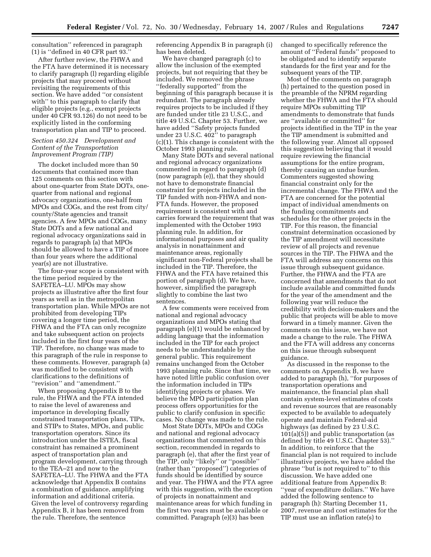consultation'' referenced in paragraph (1) is ''defined in 40 CFR part 93.''

After further review, the FHWA and the FTA have determined it is necessary to clarify paragraph (l) regarding eligible projects that may proceed without revisiting the requirements of this section. We have added ''or consistent with'' to this paragraph to clarify that eligible projects (e.g., exempt projects under 40 CFR 93.126) do not need to be explicitly listed in the conforming transportation plan and TIP to proceed.

## *Section 450.324 Development and Content of the Transportation Improvement Program (TIP)*

The docket included more than 50 documents that contained more than 125 comments on this section with about one-quarter from State DOTs, onequarter from national and regional advocacy organizations, one-half from MPOs and COGs, and the rest from city/ county/State agencies and transit agencies. A few MPOs and COGs, many State DOTs and a few national and regional advocacy organizations said in regards to paragraph (a) that MPOs should be allowed to have a TIP of more than four years where the additional year(s) are not illustrative.

The four-year scope is consistent with the time period required by the SAFETEA–LU. MPOs may show projects as illustrative after the first four years as well as in the metropolitan transportation plan. While MPOs are not prohibited from developing TIPs covering a longer time period, the FHWA and the FTA can only recognize and take subsequent action on projects included in the first four years of the TIP. Therefore, no change was made to this paragraph of the rule in response to these comments. However, paragraph (a) was modified to be consistent with clarifications to the definitions of ''revision'' and ''amendment.''

When proposing Appendix B to the rule, the FHWA and the FTA intended to raise the level of awareness and importance in developing fiscally constrained transportation plans, TIPs, and STIPs to States, MPOs, and public transportation operators. Since its introduction under the ISTEA, fiscal constraint has remained a prominent aspect of transportation plan and program development, carrying through to the TEA–21 and now to the SAFETEA–LU. The FHWA and the FTA acknowledge that Appendix B contains a combination of guidance, amplifying information and additional criteria. Given the level of controversy regarding Appendix B, it has been removed from the rule. Therefore, the sentence

referencing Appendix B in paragraph (i) has been deleted.

We have changed paragraph (c) to allow the inclusion of the exempted projects, but not requiring that they be included. We removed the phrase ''federally supported'' from the beginning of this paragraph because it is redundant. The paragraph already requires projects to be included if they are funded under title 23 U.S.C., and title 49 U.S.C. Chapter 53. Further, we have added ''Safety projects funded under 23 U.S.C. 402'' to paragraph (c)(1). This change is consistent with the October 1993 planning rule.

Many State DOTs and several national and regional advocacy organizations commented in regard to paragraph (d) (now paragraph (e)), that they should not have to demonstrate financial constraint for projects included in the TIP funded with non-FHWA and non-FTA funds. However, the proposed requirement is consistent with and carries forward the requirement that was implemented with the October 1993 planning rule. In addition, for informational purposes and air quality analysis in nonattainment and maintenance areas, regionally significant non-Federal projects shall be included in the TIP. Therefore, the FHWA and the FTA have retained this portion of paragraph (d). We have, however, simplified the paragraph slightly to combine the last two sentences.

A few comments were received from national and regional advocacy organizations and MPOs stating that paragraph (e)(1) would be enhanced by adding language that the information included in the TIP for each project needs to be understandable by the general public. This requirement remains unchanged from the October 1993 planning rule. Since that time, we have noted little public confusion over the information included in TIPs identifying projects or phases. We believe the MPO participation plan process offers opportunities for the public to clarify confusion in specific cases. No change was made to the rule.

Most State DOTs, MPOs and COGs and national and regional advocacy organizations that commented on this section, recommended in regards to paragraph (e), that after the first year of the TIP, only ''likely'' or ''possible'' (rather than ''proposed'') categories of funds should be identified by source and year. The FHWA and the FTA agree with this suggestion, with the exception of projects in nonattainment and maintenance areas for which funding in the first two years must be available or committed. Paragraph (e)(3) has been

changed to specifically reference the amount of ''Federal funds'' proposed to be obligated and to identify separate standards for the first year and for the subsequent years of the TIP.

Most of the comments on paragraph (h) pertained to the question posed in the preamble of the NPRM regarding whether the FHWA and the FTA should require MPOs submitting TIP amendments to demonstrate that funds are ''available or committed'' for projects identified in the TIP in the year the TIP amendment is submitted and the following year. Almost all opposed this suggestion believing that it would require reviewing the financial assumptions for the entire program, thereby causing an undue burden. Commenters suggested showing financial constraint only for the incremental change. The FHWA and the FTA are concerned for the potential impact of individual amendments on the funding commitments and schedules for the other projects in the TIP. For this reason, the financial constraint determination occasioned by the TIP amendment will necessitate review of all projects and revenue sources in the TIP. The FHWA and the FTA will address any concerns on this issue through subsequent guidance. Further, the FHWA and the FTA are concerned that amendments that do not include available and committed funds for the year of the amendment and the following year will reduce the credibility with decision-makers and the public that projects will be able to move forward in a timely manner. Given the comments on this issue, we have not made a change to the rule. The FHWA and the FTA will address any concerns on this issue through subsequent guidance.

As discussed in the response to the comments on Appendix B, we have added to paragraph (h), ''for purposes of transportation operations and maintenance, the financial plan shall contain system-level estimates of costs and revenue sources that are reasonably expected to be available to adequately operate and maintain Federal-aid highways (as defined by 23 U.S.C. 101(a)(5)) and public transportation (as defined by title 49 U.S.C. Chapter 53).'' In addition, to reinforce that the financial plan is not required to include illustrative projects, we have added the phrase ''but is not required to'' to this discussion. We have added one additional feature from Appendix B: ''year of expenditure dollars.'' We have added the following sentence to paragraph (h): Starting December 11, 2007, revenue and cost estimates for the TIP must use an inflation rate(s) to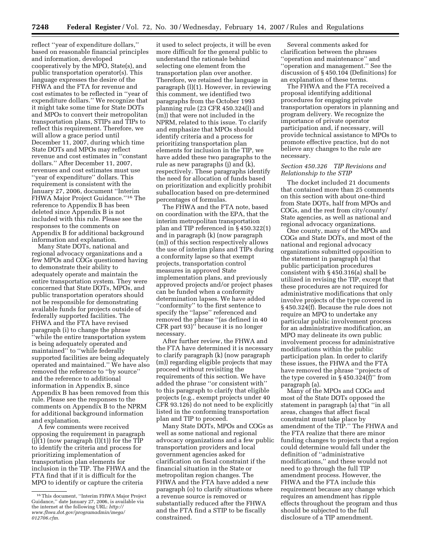reflect ''year of expenditure dollars,'' based on reasonable financial principles and information, developed cooperatively by the MPO, State(s), and public transportation operator(s). This language expresses the desire of the FHWA and the FTA for revenue and cost estimates to be reflected in ''year of expenditure dollars.'' We recognize that it might take some time for State DOTs and MPOs to convert their metropolitan transportation plans, STIPs and TIPs to reflect this requirement. Therefore, we will allow a grace period until December 11, 2007, during which time State DOTs and MPOs may reflect revenue and cost estimates in ''constant dollars.'' After December 11, 2007, revenues and cost estimates must use ''year of expenditure'' dollars. This requirement is consistent with the January 27, 2006, document ''Interim FHWA Major Project Guidance.''16 The reference to Appendix B has been deleted since Appendix B is not included with this rule. Please see the responses to the comments on Appendix B for additional background information and explanation.

Many State DOTs, national and regional advocacy organizations and a few MPOs and COGs questioned having to demonstrate their ability to adequately operate and maintain the entire transportation system. They were concerned that State DOTs, MPOs, and public transportation operators should not be responsible for demonstrating available funds for projects outside of federally supported facilities. The FHWA and the FTA have revised paragraph (i) to change the phrase

''while the entire transportation system is being adequately operated and maintained'' to ''while federally supported facilities are being adequately operated and maintained.'' We have also removed the reference to ''by source'' and the reference to additional information in Appendix B, since Appendix B has been removed from this rule. Please see the responses to the comments on Appendix B to the NPRM for additional background information and explanation.

A few comments were received opposing the requirement in paragraph  $(j)(1)$  (now paragraph  $(l)(1)$ ) for the TIP to identify the criteria and process for prioritizing implementation of transportation plan elements for inclusion in the TIP. The FHWA and the FTA find that if it is difficult for the MPO to identify or capture the criteria

it used to select projects, it will be even more difficult for the general public to understand the rationale behind selecting one element from the transportation plan over another. Therefore, we retained the language in paragraph (l)(1). However, in reviewing this comment, we identified two paragraphs from the October 1993 planning rule (23 CFR 450.324(l) and (m)) that were not included in the NPRM, related to this issue. To clarify and emphasize that MPOs should identify criteria and a process for prioritizing transportation plan elements for inclusion in the TIP, we have added these two paragraphs to the rule as new paragraphs (j) and (k), respectively. These paragraphs identify the need for allocation of funds based on prioritization and explicitly prohibit suballocation based on pre-determined percentages of formulas.

The FHWA and the FTA note, based on coordination with the EPA, that the interim metropolitan transportation plan and TIP referenced in § 450.322(1) and in paragraph (k) (now paragraph (m)) of this section respectively allows the use of interim plans and TIPs during a conformity lapse so that exempt projects, transportation control measures in approved State implementation plans, and previously approved projects and/or project phases can be funded when a conformity determination lapses. We have added ''conformity'' to the first sentence to specify the ''lapse'' referenced and removed the phrase ''(as defined in 40 CFR part 93)'' because it is no longer necessary.

After further review, the FHWA and the FTA have determined it is necessary to clarify paragraph (k) (now paragraph (m)) regarding eligible projects that may proceed without revisiting the requirements of this section. We have added the phrase ''or consistent with'' to this paragraph to clarify that eligible projects (e.g., exempt projects under 40 CFR 93.126) do not need to be explicitly listed in the conforming transportation plan and TIP to proceed.

Many State DOTs, MPOs and COGs as well as some national and regional advocacy organizations and a few public transportation providers and local government agencies asked for clarification on fiscal constraint if the financial situation in the State or metropolitan region changes. The FHWA and the FTA have added a new paragraph (o) to clarify situations where a revenue source is removed or substantially reduced after the FHWA and the FTA find a STIP to be fiscally constrained.

Several comments asked for clarification between the phrases ''operation and maintenance'' and ''operation and management.'' See the discussion of § 450.104 (Definitions) for an explanation of these terms.

The FHWA and the FTA received a proposal identifying additional procedures for engaging private transportation operators in planning and program delivery. We recognize the importance of private operator participation and, if necessary, will provide technical assistance to MPOs to promote effective practice, but do not believe any changes to the rule are necessary.

## *Section 450.326 TIP Revisions and Relationship to the STIP*

The docket included 21 documents that contained more than 25 comments on this section with about one-third from State DOTs, half from MPOs and COGs, and the rest from city/county/ State agencies, as well as national and regional advocacy organizations.

One county, many of the MPOs and COGs and State DOTs, and most of the national and regional advocacy organizations submitted opposition to the statement in paragraph (a) that public participation procedures consistent with § 450.316(a) shall be utilized in revising the TIP, except that these procedures are not required for administrative modifications that only involve projects of the type covered in § 450.324(f). Because the rule does not require an MPO to undertake any particular public involvement process for an administrative modification, an MPO may delineate its own public involvement process for administrative modifications within the public participation plan. In order to clarify these issues, the FHWA and the FTA have removed the phrase ''projects of the type covered in  $\S$  450.324(f)" from paragraph (a).

Many of the MPOs and COGs and most of the State DOTs opposed the statement in paragraph (a) that ''in all areas, changes that affect fiscal constraint must take place by amendment of the TIP.'' The FHWA and the FTA realize that there are minor funding changes to projects that a region could determine would fall under the definition of ''administrative modifications,'' and these would not need to go through the full TIP amendment process. However, the FHWA and the FTA include this requirement because any change which requires an amendment has ripple effects throughout the program and thus should be subjected to the full disclosure of a TIP amendment.

<sup>16</sup>This document, ''Interim FHWA Major Project Guidance,'' date January 27, 2006, is available via the internet at the following URL: *http:// www.fhwa.dot.gov/programadmin/mega/ 012706.cfm.*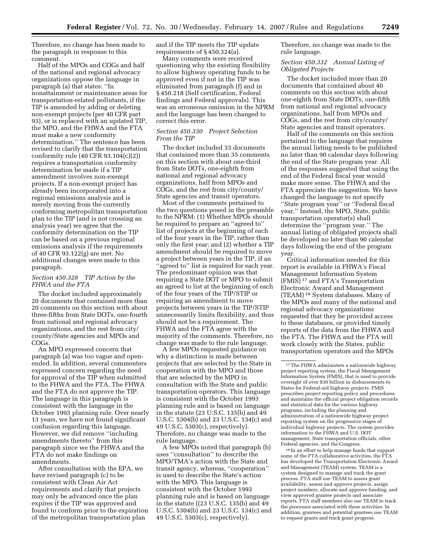Therefore, no change has been made to the paragraph in response to this comment.

Half of the MPOs and COGs and half of the national and regional advocacy organizations oppose the language in paragraph (a) that states: ''In nonattainment or maintenance areas for transportation-related pollutants, if the TIP is amended by adding or deleting non-exempt projects (per 40 CFR part 93), or is replaced with an updated TIP, the MPO, and the FHWA and the FTA must make a new conformity determination.'' The sentence has been revised to clarify that the transportation conformity rule (40 CFR 93.104(c)(2)) requires a transportation conformity determination be made if a TIP amendment involves non-exempt projects. If a non-exempt project has already been incorporated into a regional emissions analysis and is merely moving from the currently conforming metropolitan transportation plan to the TIP (and is not crossing an analysis year) we agree that the conformity determination on the TIP can be based on a previous regional emissions analysis if the requirements of 40 CFR 93.122(g) are met. No additional changes were made to this paragraph.

## *Section 450.328 TIP Action by the FHWA and the FTA*

The docket included approximately 20 documents that contained more than 20 comments on this section with about three-fifths from State DOTs, one-fourth from national and regional advocacy organizations, and the rest from city/ county/State agencies and MPOs and COGs.

An MPO expressed concern that paragraph (a) was too vague and openended. In addition, several commenters expressed concern regarding the need for approval of the TIP when submitted to the FHWA and the FTA. The FHWA and the FTA do not approve the TIP. The language in this paragraph is consistent with the language in the October 1993 planning rule. Over nearly 13 years, we have not found significant confusion regarding this language. However, we did remove ''including amendments thereto'' from this paragraph since we the FHWA and the FTA do not make findings on amendments.

After consultation with the EPA, we have revised paragraph (c) to be consistent with Clean Air Act requirements and clarify that projects may only be advanced once the plan expires if the TIP was approved and found to conform prior to the expiration of the metropolitan transportation plan

and if the TIP meets the TIP update requirements of § 450.324(a).

Many comments were received questioning why the existing flexibility to allow highway operating funds to be approved even if not in the TIP was eliminated from paragraph (f) and in § 450.218 (Self certification, Federal findings and Federal approvals). This was an erroneous omission in the NPRM and the language has been changed to correct this error.

## *Section 450.330 Project Selection From the TIP*

The docket included 33 documents that contained more than 35 comments on this section with about one-third from State DOTs, one-eighth from national and regional advocacy organizations, half from MPOs and COGs, and the rest from city/county/ State agencies and transit operators.

Most of the comments pertained to the two questions posed in the preamble to the NPRM: (1) Whether MPOs should be required to prepare an ''agreed to'' list of projects at the beginning of each of the four years in the TIP, rather than only the first year; and (2) whether a TIP amendment should be required to move a project between years in the TIP, if an ''agreed to'' list is required for each year. The predominant opinion was that requiring a State DOT or MPO to submit an agreed to list at the beginning of each of the four years of the TIP/STIP or requiring an amendment to move projects between years in the TIP/STIP unnecessarily limits flexibility, and thus should not be a requirement. The FHWA and the FTA agree with the majority of the comments. Therefore, no change was made to the rule language.

A few MPOs requested guidance on why a distinction is made between projects that are selected by the State in cooperation with the MPO and those that are selected by the MPO in consultation with the State and public transportation operators. This language is consistent with the October 1993 planning rule and is based on language in the statute (23 U.S.C. 135(b) and 49 U.S.C. 5304(b) and 23 U.S.C. 134(c) and 49 U.S.C. 5303(c), respectively). Therefore, no change was made to the rule language.

A few MPOs noted that paragraph (b) uses ''consultation'' to describe the MPO/TMA's action with the State and transit agency, whereas, ''cooperation'' is used to describe the State's action with the MPO. This language is consistent with the October 1993 planning rule and is based on language in the statute ((23 U.S.C. 135(b) and 49 U.S.C. 5304(b) and 23 U.S.C. 134(c) and 49 U.S.C. 5303(c), respectively).

Therefore, no change was made to the rule language.

## *Section 450.332 Annual Listing of Obligated Projects*

The docket included more than 20 documents that contained about 40 comments on this section with about one-eighth from State DOTs, one-fifth from national and regional advocacy organizations, half from MPOs and COGs, and the rest from city/county/ State agencies and transit operators.

Half of the comments on this section pertained to the language that requires the annual listing needs to be published no later than 90 calendar days following the end of the State program year. All of the responses suggested that using the end of the Federal fiscal year would make more sense. The FHWA and the FTA appreciate the suggestion. We have changed the language to not specify ''State program year'' or ''Federal fiscal year.'' Instead, the MPO, State, public transportation operator(s) shall determine the ''program year.'' The annual listing of obligated projects shall be developed no later than 90 calendar days following the end of the program year.

Critical information needed for this report is available in FHWA's Fiscal Management Information System (FMIS) 17 and FTA's Transportation Electronic Award and Management (TEAM) 18 System databases. Many of the MPOs and many of the national and regional advocacy organizations requested that they be provided access to these databases, or provided timely reports of the data from the FHWA and the FTA. The FHWA and the FTA will work closely with the States, public transportation operators and the MPOs

18 In an effort to help manage funds that support some of the FTA collaborative activities, the FTA has developed the Transportation Electronic Award and Management (TEAM) system. TEAM is a system designed to manage and track the grant process. FTA staff use TEAM to assess grant availability, assess and approve projects, assign project numbers, allocate and approve funding, and view approved grantee projects and associate reports. FTA staff members also use TEAM to track the processes associated with these activities. In addition, grantees and potential grantees use TEAM to request grants and track grant progress.

<sup>&</sup>lt;sup>17</sup>The FHWA administers a nationwide highway project reporting system, the Fiscal Management Information System (FMIS), that is used to provide oversight of over \$30 billion in disbursements to States for Federal-aid highway projects. FMIS prescribes project reporting policy and procedures and maintains the official project obligation records and statistical data for the various highway programs, including the planning and administration of a nationwide highway project reporting system on the progressive stages of individual highway projects. The system provides information to the FHWA and U.S. DOT management, State transportation officials, other Federal agencies, and the Congress.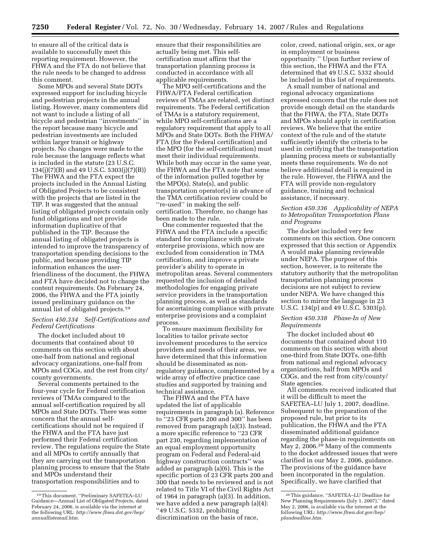to ensure all of the critical data is available to successfully meet this reporting requirement. However, the FHWA and the FTA do not believe that the rule needs to be changed to address this comment.

Some MPOs and several State DOTs expressed support for including bicycle and pedestrian projects in the annual listing. However, many commenters did not want to include a listing of all bicycle and pedestrian ''investments'' in the report because many bicycle and pedestrian investments are included within larger transit or highway projects. No changes were made to the rule because the language reflects what is included in the statute (23 U.S.C. 134(j)(7)(B) and 49 U.S.C. 5303(j)(7)(B)) The FHWA and the FTA expect the projects included in the Annual Listing of Obligated Projects to be consistent with the projects that are listed in the TIP. It was suggested that the annual listing of obligated projects contain only fund obligations and not provide information duplicative of that published in the TIP. Because the annual listing of obligated projects is intended to improve the transparency of transportation spending decisions to the public, and because providing TIP information enhances the userfriendliness of the document, the FHWA and FTA have decided not to change the content requirements. On February 24, 2006, the FHWA and the FTA jointly issued preliminary guidance on the annual list of obligated projects.19

## *Section 450.334 Self-Certifications and Federal Certifications*

The docket included about 10 documents that contained about 10 comments on this section with about one-half from national and regional advocacy organizations, one-half from MPOs and COGs, and the rest from city/ county governments.

Several comments pertained to the four-year cycle for Federal certification reviews of TMAs compared to the annual self-certification required by all MPOs and State DOTs. There was some concern that the annual selfcertifications should not be required if the FHWA and the FTA have just performed their Federal certification review. The regulations require the State and all MPOs to certify annually that they are carrying out the transportation planning process to ensure that the State and MPOs understand their transportation responsibilities and to

ensure that their responsibilities are actually being met. This selfcertification must affirm that the transportation planning process is conducted in accordance with all applicable requirements.

The MPO self-certifications and the FHWA/FTA Federal certification reviews of TMAs are related, yet distinct requirements. The Federal certification of TMAs is a statutory requirement, while MPO self-certifications are a regulatory requirement that apply to all MPOs and State DOTs. Both the FHWA/ FTA (for the Federal certification) and the MPO (for the self-certification) must meet their individual requirements. While both may occur in the same year, the FHWA and the FTA note that some of the information pulled together by the MPO(s), State(s), and public transportation operator(s) in advance of the TMA certification review could be ''re-used'' in making the selfcertification. Therefore, no change has been made to the rule.

One commenter requested that the FHWA and the FTA include a specific standard for compliance with private enterprise provisions, which now are excluded from consideration in TMA certification, and improve a private provider's ability to operate in metropolitan areas. Several commenters requested the inclusion of detailed methodologies for engaging private service providers in the transportation planning process, as well as standards for ascertaining compliance with private enterprise provisions and a complaint process.

To ensure maximum flexibility for localities to tailor private sector involvement procedures to the service providers and needs of their areas, we have determined that this information should be disseminated as nonregulatory guidance, complemented by a wide array of effective practice case studies and supported by training and technical assistance.

The FHWA and the FTA have updated the list of applicable requirements in paragraph (a). Reference to ''23 CFR parts 200 and 300'' has been removed from paragraph (a)(3). Instead, a more specific reference to ''23 CFR part 230, regarding implementation of an equal employment opportunity program on Federal and Federal-aid highway construction contracts'' was added as paragraph (a)(6). This is the specific portion of 23 CFR parts 200 and 300 that needs to be reviewed and is not related to Title VI of the Civil Rights Act of 1964 in paragraph (a)(3). In addition, we have added a new paragraph (a)(4): ''49 U.S.C. 5332, prohibiting discrimination on the basis of race,

color, creed, national origin, sex, or age in employment or business opportunity.'' Upon further review of this section, the FHWA and the FTA determined that 49 U.S.C. 5332 should be included in this list of requirements.

A small number of national and regional advocacy organizations expressed concern that the rule does not provide enough detail on the standards that the FHWA, the FTA, State DOTs and MPOs should apply in certification reviews. We believe that the entire context of the rule and of the statute sufficiently identify the criteria to be used in certifying that the transportation planning process meets or substantially meets these requirements. We do not believe additional detail is required in the rule. However, the FHWA and the FTA will provide non-regulatory guidance, training and technical assistance, if necessary.

## *Section 450.336 Applicability of NEPA to Metropolitan Transportation Plans and Programs*

The docket included very few comments on this section. One concern expressed that this section or Appendix A would make planning reviewable under NEPA. The purpose of this section, however, is to reiterate the statutory authority that the metropolitan transportation planning process decisions are not subject to review under NEPA. We have changed this section to mirror the language in 23 U.S.C. 134(p) and 49 U.S.C. 5303(p).

## *Section 450.338 Phase-In of New Requirements*

The docket included about 40 documents that contained about 110 comments on this section with about one-third from State DOTs, one-fifth from national and regional advocacy organizations, half from MPOs and COGs, and the rest from city/county/ State agencies.

All comments received indicated that it will be difficult to meet the SAFETEA–LU July 1, 2007, deadline. Subsequent to the preparation of the proposed rule, but prior to its publication, the FHWA and the FTA disseminated additional guidance regarding the phase-in requirements on May 2, 2006.<sup>20</sup> Many of the comments to the docket addressed issues that were clarified in our May 2, 2006, guidance. The provisions of the guidance have been incorporated in the regulation. Specifically, we have clarified that

<sup>19</sup>This document, ''Preliminary SAFETEA–LU Guidance—Annual List of Obligated Projects, dated February 24, 2006, is available via the internet at the following URL: *http://www.fhwa.dot.gov/hep/ annuallistemail.htm.* 

<sup>20</sup>This guidance, ''SAFETEA–LU Deadline for New Planning Requirements (July 1, 2007),'' dated May 2, 2006, is available via the internet at the following URL: *http://www.fhwa.dot.gov/hep/ plandeadline.htm.*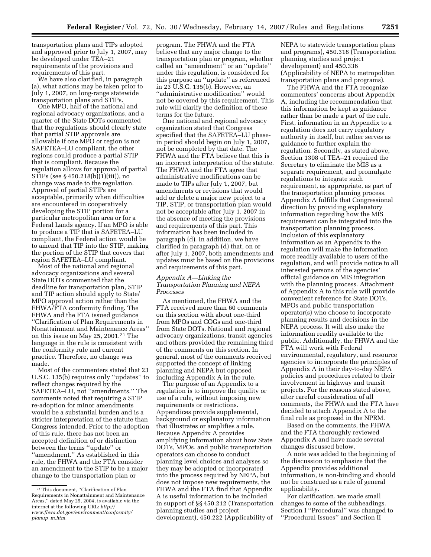transportation plans and TIPs adopted and approved prior to July 1, 2007, may be developed under TEA–21 requirements of the provisions and requirements of this part.

We have also clarified, in paragraph (a), what actions may be taken prior to July 1, 2007, on long-range statewide transportation plans and STIPs.

One MPO, half of the national and regional advocacy organizations, and a quarter of the State DOTs commented that the regulations should clearly state that partial STIP approvals are allowable if one MPO or region is not SAFETEA–LU compliant, the other regions could produce a partial STIP that is compliant. Because the regulation allows for approval of partial STIPs (see § 450.218(b)(1)(iii)), no change was made to the regulation. Approval of partial STIPs are acceptable, primarily when difficulties are encountered in cooperatively developing the STIP portion for a particular metropolitan area or for a Federal Lands agency. If an MPO is able to produce a TIP that is SAFETEA–LU compliant, the Federal action would be to amend that TIP into the STIP, making the portion of the STIP that covers that region SAFETEA–LU compliant.

Most of the national and regional advocacy organizations and several State DOTs commented that the deadline for transportation plan, STIP and TIP action should apply to State/ MPO approval action rather than the FHWA/FTA conformity finding. The FHWA and the FTA issued guidance ''Clarification of Plan Requirements in Nonattainment and Maintenance Areas'' on this issue on May 25, 2001.21 The language in the rule is consistent with the conformity rule and current practice. Therefore, no change was made.

Most of the commenters stated that 23 U.S.C. 135(b) requires only ''updates'' to reflect changes required by the SAFETEA–LU, not ''amendments.'' The comments noted that requiring a STIP re-adoption for minor amendments would be a substantial burden and is a stricter interpretation of the statute than Congress intended. Prior to the adoption of this rule, there has not been an accepted definition of or distinction between the terms ''update'' or ''amendment.'' As established in this rule, the FHWA and the FTA consider an amendment to the STIP to be a major change to the transportation plan or

program. The FHWA and the FTA believe that any major change to the transportation plan or program, whether called an ''amendment'' or an ''update'' under this regulation, is considered for this purpose an ''update'' as referenced in 23 U.S.C. 135(b). However, an ''administrative modification'' would not be covered by this requirement. This rule will clarify the definition of these terms for the future.

One national and regional advocacy organization stated that Congress specified that the SAFETEA–LU phasein period should begin on July 1, 2007, not be completed by that date. The FHWA and the FTA believe that this is an incorrect interpretation of the statute. The FHWA and the FTA agree that administrative modifications can be made to TIPs after July 1, 2007, but amendments or revisions that would add or delete a major new project to a TIP, STIP, or transportation plan would not be acceptable after July 1, 2007 in the absence of meeting the provisions and requirements of this part. This information has been included in paragraph (d). In addition, we have clarified in paragraph (d) that, on or after July 1, 2007, both amendments and updates must be based on the provisions and requirements of this part.

## *Appendix A—Linking the Transportation Planning and NEPA Processes*

As mentioned, the FHWA and the FTA received more than 60 comments on this section with about one-third from MPOs and COGs and one-third from State DOTs. National and regional advocacy organizations, transit agencies and others provided the remaining third of the comments on this section. In general, most of the comments received supported the concept of linking planning and NEPA but opposed including Appendix A in the rule.

The purpose of an Appendix to a regulation is to improve the quality or use of a rule, without imposing new requirements or restrictions. Appendices provide supplemental, background or explanatory information that illustrates or amplifies a rule. Because Appendix A provides amplifying information about how State DOTs, MPOs, and public transportation operators can choose to conduct planning level choices and analyses so they may be adopted or incorporated into the process required by NEPA, but does not impose new requirements, the FHWA and the FTA find that Appendix A is useful information to be included in support of §§ 450.212 (Transportation planning studies and project development), 450.222 (Applicability of

NEPA to statewide transportation plans and programs), 450.318 (Transportation planning studies and project development) and 450.336 (Applicability of NEPA to metropolitan transportation plans and programs).

The FHWA and the FTA recognize commenters' concerns about Appendix A, including the recommendation that this information be kept as guidance rather than be made a part of the rule. First, information in an Appendix to a regulation does not carry regulatory authority in itself, but rather serves as guidance to further explain the regulation. Secondly, as stated above, Section 1308 of TEA–21 required the Secretary to eliminate the MIS as a separate requirement, and promulgate regulations to integrate such requirement, as appropriate, as part of the transportation planning process. Appendix A fulfills that Congressional direction by providing explanatory information regarding how the MIS requirement can be integrated into the transportation planning process. Inclusion of this explanatory information as an Appendix to the regulation will make the information more readily available to users of the regulation, and will provide notice to all interested persons of the agencies' official guidance on MIS integration with the planning process. Attachment of Appendix A to this rule will provide convenient reference for State DOTs, MPOs and public transportation operator(s) who choose to incorporate planning results and decisions in the NEPA process. It will also make the information readily available to the public. Additionally, the FHWA and the FTA will work with Federal environmental, regulatory, and resource agencies to incorporate the principles of Appendix A in their day-to-day NEPA policies and procedures related to their involvement in highway and transit projects. For the reasons stated above, after careful consideration of all comments, the FHWA and the FTA have decided to attach Appendix A to the final rule as proposed in the NPRM.

Based on the comments, the FHWA and the FTA thoroughly reviewed Appendix A and have made several changes discussed below.

A note was added to the beginning of the discussion to emphasize that the Appendix provides additional information, is non-binding and should not be construed as a rule of general applicability.

For clarification, we made small changes to some of the subheadings. Section I ''Procedural'' was changed to ''Procedural Issues'' and Section II

<sup>21</sup>This document, ''Clarification of Plan Requirements in Nonattainment and Maintenance Areas,'' dated May 25, 2004, is available via the internet at the following URL: *http:// www.fhwa.dot.gov/environment/conformity/ planup*\_*m.htm.*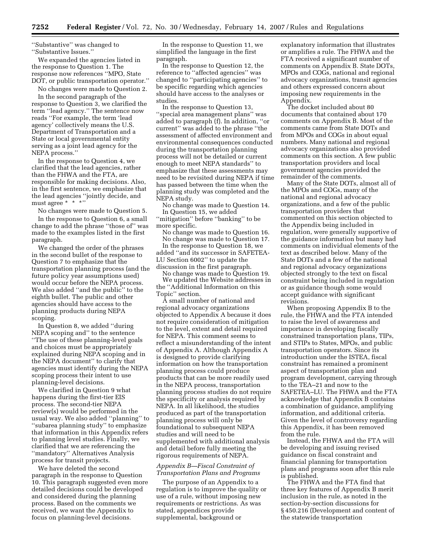''Substantive'' was changed to

''Substantive Issues.''

We expanded the agencies listed in the response to Question 1. The response now references ''MPO, State DOT, or public transportation operator.''

No changes were made to Question 2.

In the second paragraph of the response to Question 3, we clarified the term ''lead agency.'' The sentence now reads ''For example, the term 'lead agency' collectively means the U.S. Department of Transportation and a State or local governmental entity serving as a joint lead agency for the NEPA process.''

In the response to Question 4, we clarified that the lead agencies, rather than the FHWA and the FTA, are responsible for making decisions. Also, in the first sentence, we emphasize that the lead agencies ''jointly decide, and must agree \* \* \*''

No changes were made to Question 5. In the response to Question 6, a small change to add the phrase ''those of'' was made to the examples listed in the first paragraph.

We changed the order of the phrases in the second bullet of the response to Question 7 to emphasize that the transportation planning process (and the future policy year assumptions used) would occur before the NEPA process. We also added ''and the public'' to the eighth bullet. The public and other agencies should have access to the planning products during NEPA scoping.

In Question 8, we added ''during NEPA scoping and'' to the sentence ''The use of these planning-level goals and choices must be appropriately explained during NEPA scoping and in the NEPA document'' to clarify that agencies must identify during the NEPA scoping process their intent to use planning-level decisions.

We clarified in Question 9 what happens during the first-tier EIS process. The second-tier NEPA review(s) would be performed in the usual way. We also added ''planning'' to ''subarea planning study'' to emphasize that information in this Appendix refers to planning level studies. Finally, we clarified that we are referencing the ''mandatory'' Alternatives Analysis process for transit projects.

We have deleted the second paragraph in the response to Question 10. This paragraph suggested even more detailed decisions could be developed and considered during the planning process. Based on the comments we received, we want the Appendix to focus on planning-level decisions.

In the response to Question 11, we simplified the language in the first paragraph.

In the response to Question 12, the reference to ''affected agencies'' was changed to ''participating agencies'' to be specific regarding which agencies should have access to the analyses or studies.

In the response to Question 13, ''special area management plans'' was added to paragraph (f). In addition, ''or current'' was added to the phrase ''the assessment of affected environment and environmental consequences conducted during the transportation planning process will not be detailed or current enough to meet NEPA standards'' to emphasize that these assessments may need to be revisited during NEPA if time has passed between the time when the planning study was completed and the NEPA study.

No change was made to Question 14. In Question 15, we added

''mitigation'' before ''banking'' to be more specific.

No change was made to Question 16.

No change was made to Question 17. In the response to Question 18, we added ''and its successor in SAFETEA-LU Section 6002'' to update the discussion in the first paragraph.

No change was made to Question 19. We updated the Website addresses in

the ''Additional Information on this Topic'' section.

A small number of national and regional advocacy organizations objected to Appendix A because it does not require consideration of mitigation to the level, extent and detail required for NEPA. This comment seems to reflect a misunderstanding of the intent of Appendix A. Although Appendix A is designed to provide clarifying information on how the transportation planning process could produce products that can be more readily used in the NEPA process, transportation planning process studies do not require the specificity or analysis required by NEPA. In all likelihood, the studies produced as part of the transportation planning process will only be foundational to subsequent NEPA studies and will need to be supplemented with additional analysis and detail before fully meeting the rigorous requirements of NEPA.

## *Appendix B—Fiscal Constraint of Transportation Plans and Programs*

The purpose of an Appendix to a regulation is to improve the quality or use of a rule, without imposing new requirements or restrictions. As was stated, appendices provide supplemental, background or

explanatory information that illustrates or amplifies a rule. The FHWA and the FTA received a significant number of comments on Appendix B. State DOTs, MPOs and COGs, national and regional advocacy organizations, transit agencies and others expressed concern about imposing new requirements in the Appendix.

The docket included about 80 documents that contained about 170 comments on Appendix B. Most of the comments came from State DOTs and from MPOs and COGs in about equal numbers. Many national and regional advocacy organizations also provided comments on this section. A few public transportation providers and local government agencies provided the remainder of the comments.

Many of the State DOTs, almost all of the MPOs and COGs, many of the national and regional advocacy organizations, and a few of the public transportation providers that commented on this section objected to the Appendix being included in regulation, were generally supportive of the guidance information but many had comments on individual elements of the text as described below. Many of the State DOTs and a few of the national and regional advocacy organizations objected strongly to the text on fiscal constraint being included in regulation or as guidance though some would accept guidance with significant revisions.

When proposing Appendix B to the rule, the FHWA and the FTA intended to raise the level of awareness and importance in developing fiscally constrained transportation plans, TIPs, and STIPs to States, MPOs, and public transportation operators. Since its introduction under the ISTEA, fiscal constraint has remained a prominent aspect of transportation plan and program development, carrying through to the TEA–21 and now to the SAFETEA–LU. The FHWA and the FTA acknowledge that Appendix B contains a combination of guidance, amplifying information, and additional criteria. Given the level of controversy regarding this Appendix, it has been removed from the rule.

Instead, the FHWA and the FTA will be developing and issuing revised guidance on fiscal constraint and financial planning for transportation plans and programs soon after this rule is published.

The FHWA and the FTA find that three key features of Appendix B merit inclusion in the rule, as noted in the section-by-section discussions for § 450.216 (Development and content of the statewide transportation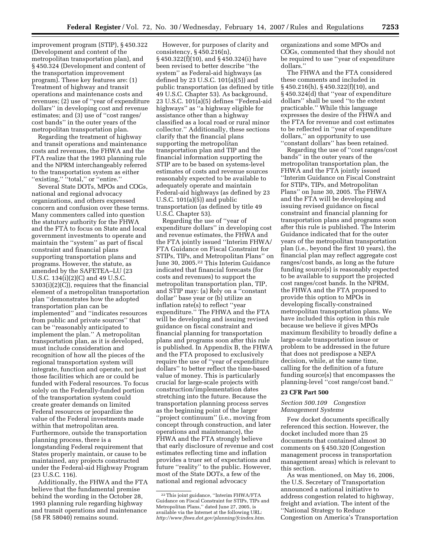improvement program (STIP), § 450.322 (Development and content of the metropolitan transportation plan), and § 450.324 (Development and content of the transportation improvement program). These key features are: (1) Treatment of highway and transit operations and maintenance costs and revenues; (2) use of ''year of expenditure dollars'' in developing cost and revenue estimates; and (3) use of ''cost ranges/ cost bands'' in the outer years of the metropolitan transportation plan.

Regarding the treatment of highway and transit operations and maintenance costs and revenues, the FHWA and the FTA realize that the 1993 planning rule and the NPRM interchangeably referred to the transportation system as either ''existing,'' ''total,'' or ''entire.''

Several State DOTs, MPOs and COGs, national and regional advocacy organizations, and others expressed concern and confusion over these terms. Many commenters called into question the statutory authority for the FHWA and the FTA to focus on State and local government investments to operate and maintain the ''system'' as part of fiscal constraint and financial plans supporting transportation plans and programs. However, the statute, as amended by the SAFETEA–LU (23 U.S.C. 134(i)(2)(C) and 49 U.S.C. 5303(i)(2)(C)), requires that the financial element of a metropolitan transportation plan ''demonstrates how the adopted transportation plan can be implemented'' and ''indicates resources from public and private sources'' that can be ''reasonably anticipated to implement the plan.'' A metropolitan transportation plan, as it is developed, must include consideration and recognition of how all the pieces of the regional transportation system will integrate, function and operate, not just those facilities which are or could be funded with Federal resources. To focus solely on the Federally-funded portion of the transportation system could create greater demands on limited Federal resources or jeopardize the value of the Federal investments made within that metropolitan area. Furthermore, outside the transportation planning process, there is a longstanding Federal requirement that States properly maintain, or cause to be maintained, any projects constructed under the Federal-aid Highway Program (23 U.S.C. 116).

Additionally, the FHWA and the FTA believe that the fundamental premise behind the wording in the October 28, 1993 planning rule regarding highway and transit operations and maintenance (58 FR 58040) remains sound.

However, for purposes of clarity and consistency, § 450.216(n), § 450.322(f)(10), and § 450.324(i) have been revised to better describe ''the system'' as Federal-aid highways (as defined by 23 U.S.C. 101(a)(5)) and public transportation (as defined by title 49 U.S.C. Chapter 53). As background, 23 U.S.C. 101(a)(5) defines ''Federal-aid highways'' as ''a highway eligible for assistance other than a highway classified as a local road or rural minor collector.'' Additionally, these sections clarify that the financial plans supporting the metropolitan transportation plan and TIP and the financial information supporting the STIP are to be based on systems-level estimates of costs and revenue sources reasonably expected to be available to adequately operate and maintain Federal-aid highways (as defined by 23 U.S.C. 101(a)(5)) and public transportation (as defined by title 49 U.S.C. Chapter 53).

Regarding the use of ''year of expenditure dollars'' in developing cost and revenue estimates, the FHWA and the FTA jointly issued ''Interim FHWA/ FTA Guidance on Fiscal Constraint for STIPs, TIPs, and Metropolitan Plans'' on June 30, 2005.22 This Interim Guidance indicated that financial forecasts (for costs and revenues) to support the metropolitan transportation plan, TIP, and STIP may: (a) Rely on a ''constant dollar'' base year or (b) utilize an inflation rate(s) to reflect ''year expenditure.'' The FHWA and the FTA will be developing and issuing revised guidance on fiscal constraint and financial planning for transportation plans and programs soon after this rule is published. In Appendix B, the FHWA and the FTA proposed to exclusively require the use of ''year of expenditure dollars'' to better reflect the time-based value of money. This is particularly crucial for large-scale projects with construction/implementation dates stretching into the future. Because the transportation planning process serves as the beginning point of the larger ''project continuum'' (i.e., moving from concept through construction, and later operations and maintenance), the FHWA and the FTA strongly believe that early disclosure of revenue and cost estimates reflecting time and inflation provides a truer set of expectations and future ''reality'' to the public. However, most of the State DOTs, a few of the national and regional advocacy

organizations and some MPOs and COGs, commented that they should not be required to use ''year of expenditure dollars.''

The FHWA and the FTA considered these comments and included in § 450.216(h), § 450.322(f)(10), and § 450.324(d) that ''year of expenditure dollars'' shall be used ''to the extent practicable.'' While this language expresses the desire of the FHWA and the FTA for revenue and cost estimates to be reflected in ''year of expenditure dollars,'' an opportunity to use ''constant dollars'' has been retained.

Regarding the use of ''cost ranges/cost bands'' in the outer years of the metropolitan transportation plan, the FHWA and the FTA jointly issued ''Interim Guidance on Fiscal Constraint for STIPs, TIPs, and Metropolitan Plans'' on June 30, 2005. The FHWA and the FTA will be developing and issuing revised guidance on fiscal constraint and financial planning for transportation plans and programs soon after this rule is published. The Interim Guidance indicated that for the outer years of the metropolitan transportation plan (i.e., beyond the first 10 years), the financial plan may reflect aggregate cost ranges/cost bands, as long as the future funding source(s) is reasonably expected to be available to support the projected cost ranges/cost bands. In the NPRM, the FHWA and the FTA proposed to provide this option to MPOs in developing fiscally-constrained metropolitan transportation plans. We have included this option in this rule because we believe it gives MPOs maximum flexibility to broadly define a large-scale transportation issue or problem to be addressed in the future that does not predispose a NEPA decision, while, at the same time, calling for the definition of a future funding source(s) that encompasses the planning-level ''cost range/cost band.''

#### **23 CFR Part 500**

## *Section 500.109 Congestion Management Systems*

Few docket documents specifically referenced this section. However, the docket included more than 25 documents that contained almost 30 comments on § 450.320 (Congestion management process in transportation management areas) which is relevant to this section.

As was mentioned, on May 16, 2006, the U.S. Secretary of Transportation announced a national initiative to address congestion related to highway, freight and aviation. The intent of the ''National Strategy to Reduce Congestion on America's Transportation

<sup>22</sup>This joint guidance, ''Interim FHWA/FTA Guidance on Fiscal Constraint for STIPs, TIPs and Metropolitan Plans,'' dated June 27, 2005, is available via the Internet at the following URL: *http://www.fhwa.dot.gov/planning/fcindex.htm*.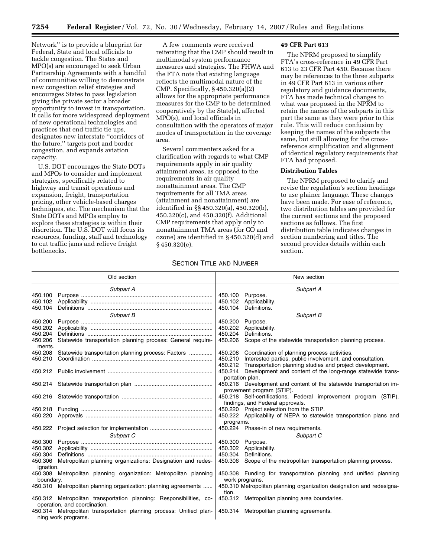Network'' is to provide a blueprint for Federal, State and local officials to tackle congestion. The States and MPO(s) are encouraged to seek Urban Partnership Agreements with a handful of communities willing to demonstrate new congestion relief strategies and encourages States to pass legislation giving the private sector a broader opportunity to invest in transportation. It calls for more widespread deployment of new operational technologies and practices that end traffic tie ups, designates new interstate ''corridors of the future,'' targets port and border congestion, and expands aviation capacity.

U.S. DOT encourages the State DOTs and MPOs to consider and implement strategies, specifically related to highway and transit operations and expansion, freight, transportation pricing, other vehicle-based charges techniques, etc. The mechanism that the State DOTs and MPOs employ to explore these strategies is within their discretion. The U.S. DOT will focus its resources, funding, staff and technology to cut traffic jams and relieve freight bottlenecks.

A few comments were received reiterating that the CMP should result in multimodal system performance measures and strategies. The FHWA and the FTA note that existing language reflects the multimodal nature of the CMP. Specifically, § 450.320(a)(2) allows for the appropriate performance measures for the CMP to be determined cooperatively by the State(s), affected MPO(s), and local officials in consultation with the operators of major modes of transportation in the coverage area.

Several commenters asked for a clarification with regards to what CMP requirements apply in air quality attainment areas, as opposed to the requirements in air quality nonattainment areas. The CMP requirements for all TMA areas (attainment and nonattainment) are identified in §§ 450.320(a), 450.320(b), 450.320(c), and 450.320(f). Additional CMP requirements that apply only to nonattainment TMA areas (for CO and ozone) are identified in § 450.320(d) and § 450.320(e).

#### **49 CFR Part 613**

The NPRM proposed to simplify FTA's cross-reference in 49 CFR Part 613 to 23 CFR Part 450. Because there may be references to the three subparts in 49 CFR Part 613 in various other regulatory and guidance documents, FTA has made technical changes to what was proposed in the NPRM to retain the names of the subparts in this part the same as they were prior to this rule. This will reduce confusion by keeping the names of the subparts the same, but still allowing for the crossreference simplification and alignment of identical regulatory requirements that FTA had proposed.

## **Distribution Tables**

The NPRM proposed to clarify and revise the regulation's section headings to use plainer language. These changes have been made. For ease of reference, two distribution tables are provided for the current sections and the proposed sections as follows. The first distribution table indicates changes in section numbering and titles. The second provides details within each section.

## **SECTION TITLE AND NUMBER**

| Old section        |                                                                                                     | New section |                                                                                                                 |
|--------------------|-----------------------------------------------------------------------------------------------------|-------------|-----------------------------------------------------------------------------------------------------------------|
|                    | Subpart A                                                                                           |             | Subpart A                                                                                                       |
| 450.100            |                                                                                                     |             | 450.100 Purpose.                                                                                                |
| 450.102            |                                                                                                     | 450.102     | Applicability.                                                                                                  |
| 450.104            |                                                                                                     | 450.104     | Definitions.                                                                                                    |
|                    | Subpart B                                                                                           |             | Subpart B                                                                                                       |
| 450.200            |                                                                                                     | 450.200     | Purpose.                                                                                                        |
| 450.202            |                                                                                                     | 450.202     | Applicability.                                                                                                  |
| 450.204            |                                                                                                     | 450.204     | Definitions.                                                                                                    |
| 450.206<br>ments.  | Statewide transportation planning process: General require-                                         | 450.206     | Scope of the statewide transportation planning process.                                                         |
| 450.208            | Statewide transportation planning process: Factors                                                  |             | 450.208 Coordination of planning process activities.                                                            |
| 450.210            |                                                                                                     |             | 450.210 Interested parties, public involvement, and consultation.                                               |
|                    |                                                                                                     |             | 450.212 Transportation planning studies and project development.                                                |
| 450.212            |                                                                                                     |             | 450.214 Development and content of the long-range statewide trans-                                              |
|                    |                                                                                                     |             | portation plan.                                                                                                 |
| 450.214            |                                                                                                     |             | 450.216 Development and content of the statewide transportation im-                                             |
|                    |                                                                                                     |             | provement program (STIP).                                                                                       |
| 450.216            |                                                                                                     |             | 450.218 Self-certifications, Federal improvement program (STIP).                                                |
|                    |                                                                                                     |             | findings, and Federal approvals.                                                                                |
| 450.218<br>450.220 |                                                                                                     |             | 450.220 Project selection from the STIP.<br>450.222 Applicability of NEPA to statewide transportation plans and |
|                    |                                                                                                     |             |                                                                                                                 |
| 450.222            |                                                                                                     | programs.   | 450.224 Phase-in of new requirements.                                                                           |
|                    |                                                                                                     |             |                                                                                                                 |
| 450.300            | Subpart C                                                                                           |             | Subpart C<br>450.300 Purpose.                                                                                   |
| 450.302            |                                                                                                     |             | 450.302 Applicability.                                                                                          |
| 450.304            |                                                                                                     | 450.304     | Definitions.                                                                                                    |
| 450.306            | Metropolitan planning organizations: Designation and redes-                                         | 450.306     | Scope of the metropolitan transportation planning process.                                                      |
| ignation.          |                                                                                                     |             |                                                                                                                 |
|                    | 450.308 Metropolitan planning organization: Metropolitan planning                                   |             | 450.308 Funding for transportation planning and unified planning                                                |
| boundary.          |                                                                                                     |             | work programs.                                                                                                  |
| 450.310            | Metropolitan planning organization: planning agreements                                             | tion.       | 450.310 Metropolitan planning organization designation and redesigna-                                           |
|                    | 450.312 Metropolitan transportation planning: Responsibilities, co-<br>operation, and coordination. |             | 450.312 Metropolitan planning area boundaries.                                                                  |
|                    | 450.314 Metropolitan transportation planning process: Unified plan-                                 | 450.314     | Metropolitan planning agreements.                                                                               |
|                    | ning work programs.                                                                                 |             |                                                                                                                 |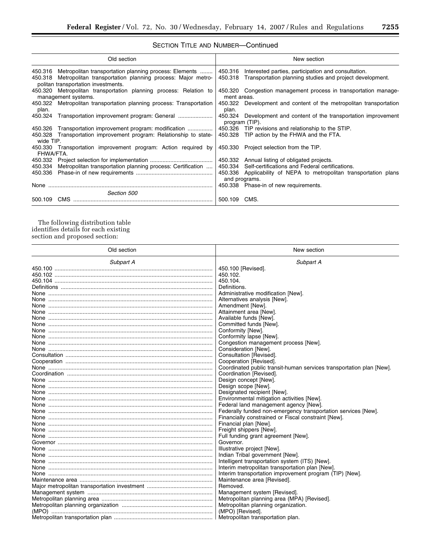$\equiv$ 

## SECTION TITLE AND NUMBER—Continued

|           | Old section                                                                                                                                                                 |               | New section                                                                                                                     |
|-----------|-----------------------------------------------------------------------------------------------------------------------------------------------------------------------------|---------------|---------------------------------------------------------------------------------------------------------------------------------|
|           | 450.316 Metropolitan transportation planning process: Elements<br>450.318 Metropolitan transportation planning process: Major metro-<br>politan transportation investments. |               | 450.316 Interested parties, participation and consultation.<br>450.318 Transportation planning studies and project development. |
|           | 450.320 Metropolitan transportation planning process: Relation to<br>management systems.                                                                                    | ment areas.   | 450.320 Congestion management process in transportation manage-                                                                 |
| plan.     | 450.322 Metropolitan transportation planning process: Transportation                                                                                                        | plan.         | 450.322 Development and content of the metropolitan transportation                                                              |
|           | 450.324 Transportation improvement program: General                                                                                                                         |               | 450.324 Development and content of the transportation improvement<br>program (TIP).                                             |
|           | 450.326 Transportation improvement program: modification                                                                                                                    |               | 450.326 TIP revisions and relationship to the STIP.                                                                             |
| wide TIP. | 450.328 Transportation improvement program: Relationship to state-                                                                                                          |               | 450.328 TIP action by the FHWA and the FTA.                                                                                     |
| FHWA/FTA. | 450.330 Transportation improvement program: Action required by                                                                                                              |               | 450.330 Project selection from the TIP.                                                                                         |
|           |                                                                                                                                                                             |               | 450.332 Annual listing of obligated projects.                                                                                   |
| 450.334   | Metropolitan transportation planning process: Certification                                                                                                                 | 450.334       | Self-certifications and Federal certifications.                                                                                 |
|           |                                                                                                                                                                             | and programs. | 450.336 Applicability of NEPA to metropolitan transportation plans                                                              |
| None      |                                                                                                                                                                             |               | 450.338 Phase-in of new requirements.                                                                                           |
|           | Section 500                                                                                                                                                                 |               |                                                                                                                                 |
| 500.109   | CMS                                                                                                                                                                         | 500.109 CMS.  |                                                                                                                                 |

The following distribution table identifies details for each existing section and proposed section:

| Old section                                     | New section                                                          |
|-------------------------------------------------|----------------------------------------------------------------------|
| Subpart A                                       | Subpart A                                                            |
|                                                 | 450.100 [Revised].                                                   |
| 450.102                                         | 450.102.                                                             |
|                                                 | 450.104.                                                             |
|                                                 | Definitions.                                                         |
|                                                 | Administrative modification [New].                                   |
|                                                 | Alternatives analysis [New].                                         |
| None ……………………………………………………………………………………………        | Amendment [New].                                                     |
| None ……………………………………………………………………………………………        | Attainment area [New].                                               |
| None ……………………………………………………………………………………………        | Available funds [New].                                               |
| <u>None ……………………………………………………………………………………………</u> | Committed funds [New].                                               |
| <u>None ……………………………………………………………………………………………</u> | Conformity [New].                                                    |
| None ……………………………………………………………………………………………        | Conformity lapse [New].                                              |
|                                                 | Congestion management process [New].                                 |
| None ……………………………………………………………………………………………        | Consideration [New].                                                 |
|                                                 | Consultation [Revised].                                              |
|                                                 | Cooperation [Revised].                                               |
| <u>None ……………………………………………………………………………………………</u> | Coordinated public transit-human services transportation plan [New]. |
|                                                 | Coordination [Revised].                                              |
|                                                 | Design concept [New].                                                |
| None ……………………………………………………………………………………………        | Design scope [New].                                                  |
|                                                 | Designated recipient [New].                                          |
| <u>None ……………………………………………………………………………………………</u> | Environmental mitigation activities [New].                           |
| <u>None ……………………………………………………………………………………………</u> | Federal land management agency [New].                                |
| <u>None ……………………………………………………………………………………………</u> | Federally funded non-emergency transportation services [New].        |
|                                                 | Financially constrained or Fiscal constraint [New].                  |
| None ……………………………………………………………………………………………        | Financial plan [New].                                                |
| None ……………………………………………………………………………………………        | Freight shippers [New].                                              |
|                                                 | Full funding grant agreement [New].                                  |
|                                                 | Governor.                                                            |
| None ……………………………………………………………………………………………        | Illustrative project [New].                                          |
| None ……………………………………………………………………………………………        | Indian Tribal government [New].                                      |
| None ……………………………………………………………………………………………        | Intelligent transportation system (ITS) [New].                       |
| None ……………………………………………………………………………………………        | Interim metropolitan transportation plan [New].                      |
| <u>None ……………………………………………………………………………………………</u> | Interim transportation improvement program (TIP) [New].              |
|                                                 | Maintenance area [Revised].                                          |
|                                                 | Removed.                                                             |
|                                                 | Management system [Revised].                                         |
|                                                 | Metropolitan planning area (MPA) [Revised].                          |
|                                                 | Metropolitan planning organization.                                  |
|                                                 | (MPO) [Revised].                                                     |
|                                                 | Metropolitan transportation plan.                                    |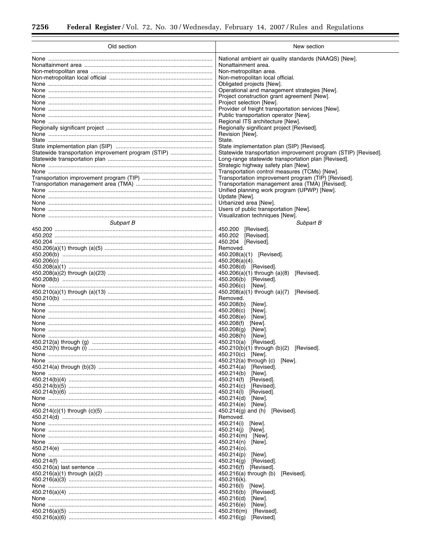$\equiv$ 

| Old section                                                                                                                                                                                                                                                                                                                                                                                                                                                                                                             | New section                                                                                                                                                                                                                                                                                                                                                                                                                                                                                                                                                                                                                                                                                                                                                                                                                                                                                                                                                                                                                          |  |
|-------------------------------------------------------------------------------------------------------------------------------------------------------------------------------------------------------------------------------------------------------------------------------------------------------------------------------------------------------------------------------------------------------------------------------------------------------------------------------------------------------------------------|--------------------------------------------------------------------------------------------------------------------------------------------------------------------------------------------------------------------------------------------------------------------------------------------------------------------------------------------------------------------------------------------------------------------------------------------------------------------------------------------------------------------------------------------------------------------------------------------------------------------------------------------------------------------------------------------------------------------------------------------------------------------------------------------------------------------------------------------------------------------------------------------------------------------------------------------------------------------------------------------------------------------------------------|--|
| <u>None ……………………………………………………………………………………………</u><br>None ……………………………………………………………………………………………<br><u>None ……………………………………………………………………………………………</u><br><u>None ……………………………………………………………………………………………</u><br><u>None ……………………………………………………………………………………………</u><br><u>None ……………………………………………………………………………………………</u><br><u>None ……………………………………………………………………………………………</u><br><u>None ……………………………………………………………………………………………</u><br>Statewide transportation improvement program (STIP)<br><u>None ……………………………………………………………………………………………</u> | National ambient air quality standards (NAAQS) [New].<br>Nonattainment area.<br>Non-metropolitan area.<br>Non-metropolitan local official.<br>Obligated projects [New].<br>Operational and management strategies [New].<br>Project construction grant agreement [New].<br>Project selection [New].<br>Provider of freight transportation services [New].<br>Public transportation operator [New].<br>Regional ITS architecture [New].<br>Regionally significant project [Revised].<br>Revision [New].<br>State.<br>State implementation plan (SIP) [Revised].<br>Statewide transportation improvement program (STIP) [Revised].<br>Long-range statewide transportation plan [Revised].<br>Strategic highway safety plan [New].                                                                                                                                                                                                                                                                                                       |  |
| <u>None ……………………………………………………………………………………………</u><br>None ……………………………………………………………………………………………<br>None ……………………………………………………………………………………………<br>Subpart B                                                                                                                                                                                                                                                                                                                                                                    | Transportation control measures (TCMs) [New].<br>Transportation improvement program (TIP) [Revised].<br>Transportation management area (TMA) [Revised].<br>Unified planning work program (UPWP) [New].<br>Update [New].<br>Urbanized area [New].<br>Users of public transportation [New].<br>Visualization techniques [New].                                                                                                                                                                                                                                                                                                                                                                                                                                                                                                                                                                                                                                                                                                         |  |
| <u>None ……………………………………………………………………………………………</u><br><u>None ……………………………………………………………………………………………</u><br><u>None ……………………………………………………………………………………………</u><br><u>None ……………………………………………………………………………………………</u><br><u>None ……………………………………………………………………………………………</u><br><u>None ……………………………………………………………………………………………</u><br><u>None ……………………………………………………………………………………………</u><br><u>None ……………………………………………………………………………………………</u>                                                                                                    | Subpart B<br>450.200<br>[Revised].<br>450.202<br>[Revised].<br>450.204<br>[Revised].<br>Removed.<br>450.208(a)(1) [Revised].<br>450.208(a)(4).<br>450.208(d) [Revised].<br>$450.206(a)(1)$ through $(a)(8)$<br>[Revised].<br>450.206(b) [Revised].<br>450.206(c) [New].<br>450.208(a)(1) through (a)(7) [Revised].<br>Removed.<br>450.208(b)<br>[New].<br>450.208(c)<br>[New].<br>450.208(e)<br>[New].<br>450.208(f)<br>[New].<br>450.208(g)<br>[New].<br>450.208(h)<br>[New].<br>450.210(a) [Revised].<br>450.210(b)(1) through (b)(2) [Revised].<br>450.210(c) [New]<br>450.212(a) through (c) [New].<br>450.214(a)<br>[Revised].<br>450.214(b) [New].<br>450.214(f)<br>[Revised].<br>450.214(c) [Revised].<br>450.214(l)<br>[Revised].<br>450.214(d)<br>[New].<br>450.214(e) [New].<br>450.214 $(g)$ and $(h)$<br>[Revised].<br>Removed.<br>450.214(i)<br>[New].<br>450.214(j)<br>[New].<br>450.214(m) [New].<br>450.214(n)<br>[New].<br>450.214(o).<br>450.214(p)<br>[New].<br>450.214(g)<br>[Revised].<br>450.216(f) [Revised]. |  |
| <u>None ……………………………………………………………………………………………</u>                                                                                                                                                                                                                                                                                                                                                                                                                                                                         | $450.216(a)$ through (b)<br>[Revised].<br>450.216(k).<br>450.216(I) [New].<br>450.216(b) [Revised].<br>450.216(d)<br>[New].<br>450.216(e)<br>[New].<br>450.216(m) [Revised].<br>450.216(g)<br>[Revised].                                                                                                                                                                                                                                                                                                                                                                                                                                                                                                                                                                                                                                                                                                                                                                                                                             |  |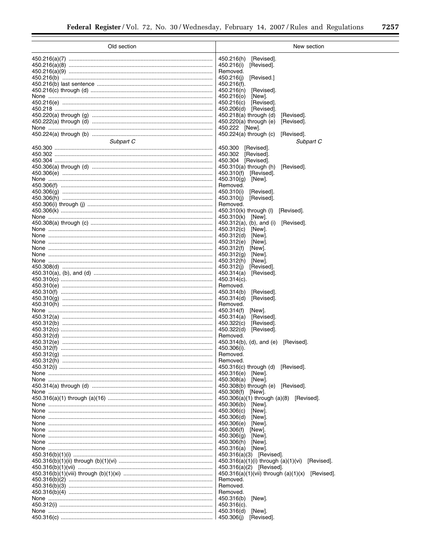=

| Old section                                     | New section                                                                    |
|-------------------------------------------------|--------------------------------------------------------------------------------|
|                                                 | [Revised].<br>450.216(h)                                                       |
|                                                 | 450.216(i)<br>[Revised].                                                       |
|                                                 | Removed.                                                                       |
|                                                 | 450.216(j)<br>[Revised.]                                                       |
|                                                 | 450.216(f).                                                                    |
|                                                 | 450.216(n)<br>[Revised].                                                       |
| <u>None ……………………………………………………………………………………………</u> | 450.216(o)<br>[New].                                                           |
|                                                 | 450.216(c)<br>[Revised].                                                       |
|                                                 | 450.206(d) [Revised].                                                          |
|                                                 | $450.218(a)$ through (d)<br>[Revised].<br>450.220(a) through (e)<br>[Revised]. |
|                                                 | 450.222 [New].                                                                 |
|                                                 | $450.224(a)$ through (c)<br>[Revised].                                         |
| Subpart C                                       | Subpart C                                                                      |
|                                                 | 450.300<br>[Revised].                                                          |
|                                                 | 450.302<br>[Revised].                                                          |
|                                                 | 450.304<br>[Revised].                                                          |
|                                                 | $450.310(a)$ through (h)<br>[Revised].                                         |
|                                                 | 450.310(f) [Revised].                                                          |
|                                                 | 450.310(q)<br>[New].                                                           |
|                                                 | Removed.<br>450.310(i)<br>[Revised].                                           |
|                                                 | 450.310(j)<br>[Revised].                                                       |
|                                                 | Removed.                                                                       |
|                                                 | 450.310(k) through (I)<br>[Revised].                                           |
|                                                 | 450.310(k) [New].                                                              |
|                                                 | $450.312(a)$ , (b), and (i)<br>[Revised].                                      |
|                                                 | 450.312(c)<br>[New].                                                           |
|                                                 | 450.312(d)<br>[New].                                                           |
| <u>None ……………………………………………………………………………………………</u> | 450.312(e)<br>[New].<br>450.312(f)<br>[New].                                   |
|                                                 | 450.312(g)<br>[New].                                                           |
| <u>None ……………………………………………………………………………………………</u> | 450.312(h)<br>[New].                                                           |
|                                                 | 450.312(j)<br>[Revised].                                                       |
|                                                 | 450.314(a)<br>[Revised].                                                       |
|                                                 | 450.314(c).                                                                    |
|                                                 | Removed.                                                                       |
|                                                 | 450.314(b)<br>[Revised].                                                       |
|                                                 | 450.314(d)<br>[Revised].<br>Removed.                                           |
|                                                 | 450.314(f)<br>[New].                                                           |
|                                                 | 450.314(a)<br>[Revised].                                                       |
|                                                 | 450.322(c)<br>[Revised].                                                       |
|                                                 | 450.322(d)<br>[Revised].                                                       |
|                                                 | Removed.                                                                       |
|                                                 | 450.314(b), (d), and (e)<br>[Revised].                                         |
|                                                 | 450.306(i).<br>Removed.                                                        |
|                                                 | Removed.                                                                       |
|                                                 | 450.316(c) through (d)<br>[Revised].                                           |
|                                                 | 450.316(e) [New].                                                              |
| <u>None ……………………………………………………………………………………………</u> | 450.308(a) [New].                                                              |
|                                                 | 450.308(b) through (e) [Revised].                                              |
|                                                 | 450.308(f) [New].                                                              |
|                                                 | $450.306(a)(1)$ through $(a)(8)$ [Revised].<br>450.306(b) [New].               |
|                                                 | 450.306(c) [New].                                                              |
|                                                 | 450.306(d)<br>[New].                                                           |
| <u>None ……………………………………………………………………………………………</u> | 450.306(e)<br>[New].                                                           |
| <u>None …………………………………………………………………………………………</u>  | 450.306(f)<br>[New].                                                           |
| <u>None ……………………………………………………………………………………………</u> | 450.306(g)<br>[New].                                                           |
| <u>None ……………………………………………………………………………………………</u> | 450.306(h) [New].                                                              |
| <u>None ……………………………………………………………………………………………</u> | 450.316(a) [New].                                                              |
|                                                 | 450.316(a)(3) [Revised].<br>450.316(a)(1)(i) through (a)(1)(vi) [Revised].     |
|                                                 | 450.316(a)(2) [Revised].                                                       |
|                                                 | $450.316(a)(1)(vii)$ through $(a)(1)(x)$ [Revised].                            |
|                                                 | Removed.                                                                       |
|                                                 | Removed.                                                                       |
|                                                 | Removed.                                                                       |
| <u>None …………………………………………………………………………………………</u>  | 450.316(b)<br>[New].                                                           |
|                                                 | $450.316(c)$ .                                                                 |
| <u>None …………………………………………………………………………………………</u>  | 450.316(d)<br>[New].                                                           |
|                                                 | 450.306(j)<br>[Revised].                                                       |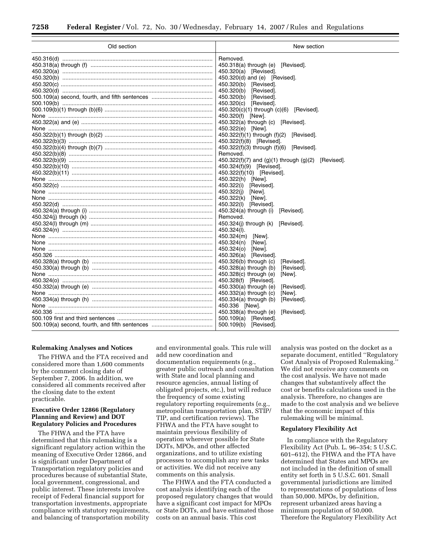| Removed.<br>450.318(a) through (e)<br>[Revised].<br>450.320(a) [Revised].<br>450.320(d) and (e) [Revised].<br>450.320(b) [Revised].<br>450.320(b)<br>[Revised].<br>450.320(b)<br>[Revised].<br>450.320(c) [Revised].<br>450.320(c)(1) through (c)(6) [Revised].<br>450.320(f) [New].<br>$450.322(a)$ through $(c)$ [Revised].<br>450.322(e) [New].<br>$450.322(f)(1)$ through $(f)(2)$ [Revised].<br>450.322(f)(8) [Revised].<br>450.322(f)(3) through (f)(6) [Revised].<br>Removed.<br>450.322(f)(7) and (g)(1) through (g)(2) [Revised].<br>450.324(f)(9) [Revised].<br>450.322(f)(10) [Revised].<br>450.322(h) [New].<br>450.322(i)<br>[Revised].<br>450.322(j)<br>[New].<br>450.322(k)<br>[New].<br>450.322(I) [Revised].<br>450.324(a) through (i)<br>[Revised].<br>Removed.<br>450.324(j) through (k)<br>[Revised].<br>450.324(I).<br>450.324(m) [New].<br>450.324(n)<br>[New].<br>450.324(o)<br>[New].<br>450.326(a) [Revised].<br>450.326(b) through (c)<br>[Revised].<br>450.328(a) through (b)<br>[Revised].<br>450.328(c) through (e)<br>[New].<br>450.328(f) [Revised].<br>450.330(a) through (e)<br>[Revised].<br>$450.332(a)$ through (c)<br>[New].<br>450.334(a) through (b)<br>[Revised]. | Old section | New section |
|-----------------------------------------------------------------------------------------------------------------------------------------------------------------------------------------------------------------------------------------------------------------------------------------------------------------------------------------------------------------------------------------------------------------------------------------------------------------------------------------------------------------------------------------------------------------------------------------------------------------------------------------------------------------------------------------------------------------------------------------------------------------------------------------------------------------------------------------------------------------------------------------------------------------------------------------------------------------------------------------------------------------------------------------------------------------------------------------------------------------------------------------------------------------------------------------------------------|-------------|-------------|
|                                                                                                                                                                                                                                                                                                                                                                                                                                                                                                                                                                                                                                                                                                                                                                                                                                                                                                                                                                                                                                                                                                                                                                                                           |             |             |
|                                                                                                                                                                                                                                                                                                                                                                                                                                                                                                                                                                                                                                                                                                                                                                                                                                                                                                                                                                                                                                                                                                                                                                                                           |             |             |
|                                                                                                                                                                                                                                                                                                                                                                                                                                                                                                                                                                                                                                                                                                                                                                                                                                                                                                                                                                                                                                                                                                                                                                                                           |             |             |
|                                                                                                                                                                                                                                                                                                                                                                                                                                                                                                                                                                                                                                                                                                                                                                                                                                                                                                                                                                                                                                                                                                                                                                                                           |             |             |
|                                                                                                                                                                                                                                                                                                                                                                                                                                                                                                                                                                                                                                                                                                                                                                                                                                                                                                                                                                                                                                                                                                                                                                                                           |             |             |
|                                                                                                                                                                                                                                                                                                                                                                                                                                                                                                                                                                                                                                                                                                                                                                                                                                                                                                                                                                                                                                                                                                                                                                                                           |             |             |
|                                                                                                                                                                                                                                                                                                                                                                                                                                                                                                                                                                                                                                                                                                                                                                                                                                                                                                                                                                                                                                                                                                                                                                                                           |             |             |
|                                                                                                                                                                                                                                                                                                                                                                                                                                                                                                                                                                                                                                                                                                                                                                                                                                                                                                                                                                                                                                                                                                                                                                                                           |             |             |
|                                                                                                                                                                                                                                                                                                                                                                                                                                                                                                                                                                                                                                                                                                                                                                                                                                                                                                                                                                                                                                                                                                                                                                                                           |             |             |
|                                                                                                                                                                                                                                                                                                                                                                                                                                                                                                                                                                                                                                                                                                                                                                                                                                                                                                                                                                                                                                                                                                                                                                                                           |             |             |
|                                                                                                                                                                                                                                                                                                                                                                                                                                                                                                                                                                                                                                                                                                                                                                                                                                                                                                                                                                                                                                                                                                                                                                                                           |             |             |
|                                                                                                                                                                                                                                                                                                                                                                                                                                                                                                                                                                                                                                                                                                                                                                                                                                                                                                                                                                                                                                                                                                                                                                                                           |             |             |
|                                                                                                                                                                                                                                                                                                                                                                                                                                                                                                                                                                                                                                                                                                                                                                                                                                                                                                                                                                                                                                                                                                                                                                                                           |             |             |
|                                                                                                                                                                                                                                                                                                                                                                                                                                                                                                                                                                                                                                                                                                                                                                                                                                                                                                                                                                                                                                                                                                                                                                                                           |             |             |
|                                                                                                                                                                                                                                                                                                                                                                                                                                                                                                                                                                                                                                                                                                                                                                                                                                                                                                                                                                                                                                                                                                                                                                                                           |             |             |
|                                                                                                                                                                                                                                                                                                                                                                                                                                                                                                                                                                                                                                                                                                                                                                                                                                                                                                                                                                                                                                                                                                                                                                                                           |             |             |
|                                                                                                                                                                                                                                                                                                                                                                                                                                                                                                                                                                                                                                                                                                                                                                                                                                                                                                                                                                                                                                                                                                                                                                                                           |             |             |
|                                                                                                                                                                                                                                                                                                                                                                                                                                                                                                                                                                                                                                                                                                                                                                                                                                                                                                                                                                                                                                                                                                                                                                                                           |             |             |
|                                                                                                                                                                                                                                                                                                                                                                                                                                                                                                                                                                                                                                                                                                                                                                                                                                                                                                                                                                                                                                                                                                                                                                                                           |             |             |
|                                                                                                                                                                                                                                                                                                                                                                                                                                                                                                                                                                                                                                                                                                                                                                                                                                                                                                                                                                                                                                                                                                                                                                                                           |             |             |
|                                                                                                                                                                                                                                                                                                                                                                                                                                                                                                                                                                                                                                                                                                                                                                                                                                                                                                                                                                                                                                                                                                                                                                                                           |             |             |
|                                                                                                                                                                                                                                                                                                                                                                                                                                                                                                                                                                                                                                                                                                                                                                                                                                                                                                                                                                                                                                                                                                                                                                                                           |             |             |
|                                                                                                                                                                                                                                                                                                                                                                                                                                                                                                                                                                                                                                                                                                                                                                                                                                                                                                                                                                                                                                                                                                                                                                                                           |             |             |
|                                                                                                                                                                                                                                                                                                                                                                                                                                                                                                                                                                                                                                                                                                                                                                                                                                                                                                                                                                                                                                                                                                                                                                                                           |             |             |
|                                                                                                                                                                                                                                                                                                                                                                                                                                                                                                                                                                                                                                                                                                                                                                                                                                                                                                                                                                                                                                                                                                                                                                                                           |             |             |
|                                                                                                                                                                                                                                                                                                                                                                                                                                                                                                                                                                                                                                                                                                                                                                                                                                                                                                                                                                                                                                                                                                                                                                                                           |             |             |
|                                                                                                                                                                                                                                                                                                                                                                                                                                                                                                                                                                                                                                                                                                                                                                                                                                                                                                                                                                                                                                                                                                                                                                                                           |             |             |
|                                                                                                                                                                                                                                                                                                                                                                                                                                                                                                                                                                                                                                                                                                                                                                                                                                                                                                                                                                                                                                                                                                                                                                                                           |             |             |
|                                                                                                                                                                                                                                                                                                                                                                                                                                                                                                                                                                                                                                                                                                                                                                                                                                                                                                                                                                                                                                                                                                                                                                                                           |             |             |
|                                                                                                                                                                                                                                                                                                                                                                                                                                                                                                                                                                                                                                                                                                                                                                                                                                                                                                                                                                                                                                                                                                                                                                                                           |             |             |
|                                                                                                                                                                                                                                                                                                                                                                                                                                                                                                                                                                                                                                                                                                                                                                                                                                                                                                                                                                                                                                                                                                                                                                                                           |             |             |
|                                                                                                                                                                                                                                                                                                                                                                                                                                                                                                                                                                                                                                                                                                                                                                                                                                                                                                                                                                                                                                                                                                                                                                                                           |             |             |
|                                                                                                                                                                                                                                                                                                                                                                                                                                                                                                                                                                                                                                                                                                                                                                                                                                                                                                                                                                                                                                                                                                                                                                                                           |             |             |
|                                                                                                                                                                                                                                                                                                                                                                                                                                                                                                                                                                                                                                                                                                                                                                                                                                                                                                                                                                                                                                                                                                                                                                                                           |             |             |
|                                                                                                                                                                                                                                                                                                                                                                                                                                                                                                                                                                                                                                                                                                                                                                                                                                                                                                                                                                                                                                                                                                                                                                                                           |             |             |
|                                                                                                                                                                                                                                                                                                                                                                                                                                                                                                                                                                                                                                                                                                                                                                                                                                                                                                                                                                                                                                                                                                                                                                                                           |             |             |
|                                                                                                                                                                                                                                                                                                                                                                                                                                                                                                                                                                                                                                                                                                                                                                                                                                                                                                                                                                                                                                                                                                                                                                                                           |             |             |
|                                                                                                                                                                                                                                                                                                                                                                                                                                                                                                                                                                                                                                                                                                                                                                                                                                                                                                                                                                                                                                                                                                                                                                                                           |             |             |
|                                                                                                                                                                                                                                                                                                                                                                                                                                                                                                                                                                                                                                                                                                                                                                                                                                                                                                                                                                                                                                                                                                                                                                                                           |             |             |
|                                                                                                                                                                                                                                                                                                                                                                                                                                                                                                                                                                                                                                                                                                                                                                                                                                                                                                                                                                                                                                                                                                                                                                                                           |             |             |
| 450.336 [New].                                                                                                                                                                                                                                                                                                                                                                                                                                                                                                                                                                                                                                                                                                                                                                                                                                                                                                                                                                                                                                                                                                                                                                                            |             |             |
| 450.338(a) through (e)<br>[Revised].                                                                                                                                                                                                                                                                                                                                                                                                                                                                                                                                                                                                                                                                                                                                                                                                                                                                                                                                                                                                                                                                                                                                                                      |             |             |
| 500.109(a) [Revised].                                                                                                                                                                                                                                                                                                                                                                                                                                                                                                                                                                                                                                                                                                                                                                                                                                                                                                                                                                                                                                                                                                                                                                                     |             |             |
| 500.109(b) [Revised].                                                                                                                                                                                                                                                                                                                                                                                                                                                                                                                                                                                                                                                                                                                                                                                                                                                                                                                                                                                                                                                                                                                                                                                     |             |             |

## **Rulemaking Analyses and Notices**

The FHWA and the FTA received and considered more than 1,600 comments by the comment closing date of September 7, 2006. In addition, we considered all comments received after the closing date to the extent practicable.

## **Executive Order 12866 (Regulatory Planning and Review) and DOT Regulatory Policies and Procedures**

The FHWA and the FTA have determined that this rulemaking is a significant regulatory action within the meaning of Executive Order 12866, and is significant under Department of Transportation regulatory policies and procedures because of substantial State, local government, congressional, and public interest. These interests involve receipt of Federal financial support for transportation investments, appropriate compliance with statutory requirements, and balancing of transportation mobility

and environmental goals. This rule will add new coordination and documentation requirements (e.g., greater public outreach and consultation with State and local planning and resource agencies, annual listing of obligated projects, etc.), but will reduce the frequency of some existing regulatory reporting requirements (e.g. metropolitan transportation plan, STIP/ TIP, and certification reviews). The FHWA and the FTA have sought to maintain previous flexibility of operation wherever possible for State DOTs, MPOs, and other affected organizations, and to utilize existing processes to accomplish any new tasks or activities. We did not receive any comments on this analysis.

The FHWA and the FTA conducted a cost analysis identifying each of the proposed regulatory changes that would have a significant cost impact for MPOs or State DOTs, and have estimated those costs on an annual basis. This cost

analysis was posted on the docket as a separate document, entitled ''Regulatory Cost Analysis of Proposed Rulemaking.'' We did not receive any comments on the cost analysis. We have not made changes that substantively affect the cost or benefits calculations used in the analysis. Therefore, no changes are made to the cost analysis and we believe that the economic impact of this rulemaking will be minimal.

## **Regulatory Flexibility Act**

In compliance with the Regulatory Flexibility Act (Pub. L. 96–354; 5 U.S.C. 601–612), the FHWA and the FTA have determined that States and MPOs are not included in the definition of small entity set forth in 5 U.S.C. 601. Small governmental jurisdictions are limited to representations of populations of less than 50,000. MPOs, by definition, represent urbanized areas having a minimum population of 50,000. Therefore the Regulatory Flexibility Act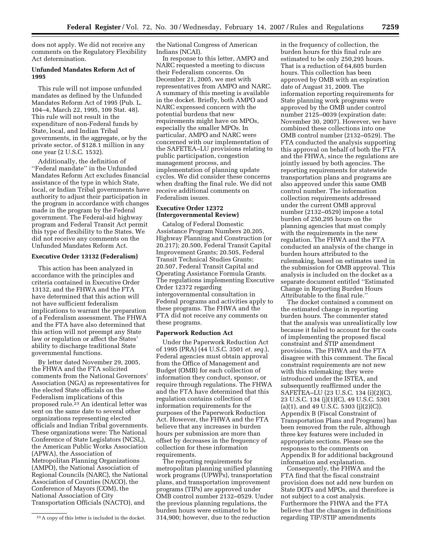does not apply. We did not receive any comments on the Regulatory Flexibility Act determination.

## **Unfunded Mandates Reform Act of 1995**

This rule will not impose unfunded mandates as defined by the Unfunded Mandates Reform Act of 1995 (Pub. L. 104–4, March 22, 1995, 109 Stat. 48). This rule will not result in the expenditure of non-Federal funds by State, local, and Indian Tribal governments, in the aggregate, or by the private sector, of \$128.1 million in any one year (2 U.S.C. 1532).

Additionally, the definition of ''Federal mandate'' in the Unfunded Mandates Reform Act excludes financial assistance of the type in which State, local, or Indian Tribal governments have authority to adjust their participation in the program in accordance with changes made in the program by the Federal government. The Federal-aid highway program and Federal Transit Act permit this type of flexibility to the States. We did not receive any comments on the Unfunded Mandates Reform Act.

## **Executive Order 13132 (Federalism)**

This action has been analyzed in accordance with the principles and criteria contained in Executive Order 13132, and the FHWA and the FTA have determined that this action will not have sufficient federalism implications to warrant the preparation of a Federalism assessment. The FHWA and the FTA have also determined that this action will not preempt any State law or regulation or affect the States' ability to discharge traditional State governmental functions.

By letter dated November 29, 2005, the FHWA and the FTA solicited comments from the National Governors' Association (NGA) as representatives for the elected State officials on the Federalism implications of this proposed rule.23 An identical letter was sent on the same date to several other organizations representing elected officials and Indian Tribal governments. These organizations were: The National Conference of State Legislators (NCSL), the American Public Works Association (APWA), the Association of Metropolitan Planning Organizations (AMPO), the National Association of Regional Councils (NARC), the National Association of Counties (NACO), the Conference of Mayors (COM), the National Association of City Transportation Officials (NACTO), and

the National Congress of American Indians (NCAI).

In response to this letter, AMPO and NARC requested a meeting to discuss their Federalism concerns. On December 21, 2005, we met with representatives from AMPO and NARC. A summary of this meeting is available in the docket. Briefly, both AMPO and NARC expressed concern with the potential burdens that new requirements might have on MPOs, especially the smaller MPOs. In particular, AMPO and NARC were concerned with our implementation of the SAFETEA–LU provisions relating to public participation, congestion management process, and implementation of planning update cycles. We did consider these concerns when drafting the final rule. We did not receive additional comments on Federalism issues.

## **Executive Order 12372 (Intergovernmental Review)**

Catalog of Federal Domestic Assistance Program Numbers 20.205, Highway Planning and Construction (or 20.217); 20.500, Federal Transit Capital Improvement Grants; 20.505, Federal Transit Technical Studies Grants; 20.507, Federal Transit Capital and Operating Assistance Formula Grants. The regulations implementing Executive Order 12372 regarding intergovernmental consultation in Federal programs and activities apply to these programs. The FHWA and the FTA did not receive any comments on these programs.

#### **Paperwork Reduction Act**

Under the Paperwork Reduction Act of 1995 (PRA) (44 U.S.C. 3501 *et. seq.*), Federal agencies must obtain approval from the Office of Management and Budget (OMB) for each collection of information they conduct, sponsor, or require through regulations. The FHWA and the FTA have determined that this regulation contains collection of information requirements for the purposes of the Paperwork Reduction Act. However, the FHWA and the FTA believe that any increases in burden hours per submission are more than offset by decreases in the frequency of collection for these information requirements.

The reporting requirements for metropolitan planning unified planning work programs (UPWPs), transportation plans, and transportation improvement programs (TIPs) are approved under OMB control number 2132–0529. Under the previous planning regulations, the burden hours were estimated to be 314,900; however, due to the reduction

in the frequency of collection, the burden hours for this final rule are estimated to be only 250,295 hours. That is a reduction of 64,605 burden hours. This collection has been approved by OMB with an expiration date of August 31, 2009. The information reporting requirements for State planning work programs were approved by the OMB under control number 2125–0039 (expiration date: November 30, 2007). However, we have combined these collections into one OMB control number (2132–0529). The FTA conducted the analysis supporting this approval on behalf of both the FTA and the FHWA, since the regulations are jointly issued by both agencies. The reporting requirements for statewide transportation plans and programs are also approved under this same OMB control number. The information collection requirements addressed under the current OMB approval number (2132–0529) impose a total burden of 250,295 hours on the planning agencies that must comply with the requirements in the new regulation. The FHWA and the FTA conducted an analysis of the change in burden hours attributed to the rulemaking, based on estimates used in the submission for OMB approval. This analysis is included on the docket as a separate document entitled ''Estimated Change in Reporting Burden Hours Attributable to the final rule.''

The docket contained a comment on the estimated change in reporting burden hours. The commenter stated that the analysis was unrealistically low because it failed to account for the costs of implementing the proposed fiscal constraint and STIP amendment provisions. The FHWA and the FTA disagree with this comment. The fiscal constraint requirements are not new with this rulemaking; they were introduced under the ISTEA, and subsequently reaffirmed under the SAFETEA–LU (23 U.S.C. 134 (i)(2)(C), 23 U.S.C. 134 (j)(1)(C), 49 U.S.C. 5301  $(a)(1)$ , and 49 U.S.C. 5303  $(j)(2)(C)$ . Appendix B (Fiscal Constraint of Transportation Plans and Programs) has been removed from the rule, although three key features were included in appropriate sections. Please see the responses to the comments on Appendix B for additional background information and explanation.

Consequently, the FHWA and the FTA find that the fiscal constraint provision does not add new burden on State DOTs and MPOs, and therefore is not subject to a cost analysis. Furthermore the FHWA and the FTA believe that the changes in definitions regarding TIP/STIP amendments

<sup>23</sup>A copy of this letter is included in the docket.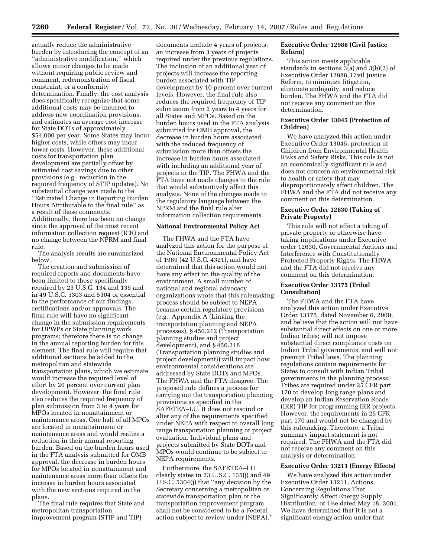actually reduce the administrative burden by introducing the concept of an ''administrative modification,'' which allows minor changes to be made without requiring public review and comment, redemonstration of fiscal constraint, or a conformity determination. Finally, the cost analysis does specifically recognize that some additional costs may be incurred to address new coordination provisions, and estimates an average cost increase for State DOTs of approximately \$54,000 per year. Some States may incur higher costs, while others may incur lower costs. However, these additional costs for transportation plan development are partially offset by estimated cost savings due to other provisions (e.g., reduction in the required frequency of STIP updates). No substantial change was made to the ''Estimated Change in Reporting Burden Hours Attributable to the final rule'' as a result of these comments. Additionally, there has been no change since the approval of the most recent information collection request (ICR) and no change between the NPRM and final rule.

The analysis results are summarized below.

The creation and submission of required reports and documents have been limited to those specifically required by 23 U.S.C. 134 and 135 and in 49 U.S.C. 5303 and 5304 or essential to the performance of our findings, certifications and/or approvals. The final rule will have no significant change in the submission requirements for UPWPs or State planning work programs; therefore there is no change in the annual reporting burden for this element. The final rule will require that additional sections be added to the metropolitan and statewide transportation plans, which we estimate would increase the required level of effort by 20 percent over current plan development. However, the final rule also reduces the required frequency of plan submission from 3 to 4 years for MPOs located in nonattainment or maintenance areas. One half of all MPOs are located in nonattainment or maintenance areas and would realize a reduction in their annual reporting burden. Based on the burden hours used in the FTA analysis submitted for OMB approval, the decrease in burden hours for MPOs located in nonattainment and maintenance areas more than offsets the increase in burden hours associated with the new sections required in the plans.

The final rule requires that State and metropolitan transportation improvement program (STIP and TIP)

documents include 4 years of projects; an increase from 3 years of projects required under the previous regulations. The inclusion of an additional year of projects will increase the reporting burden associated with TIP development by 10 percent over current levels. However, the final rule also reduces the required frequency of TIP submission from 2 years to 4 years for all States and MPOs. Based on the burden hours used in the FTA analysis submitted for OMB approval, the decrease in burden hours associated with the reduced frequency of submission more than offsets the increase in burden hours associated with including an additional year of projects in the TIP. The FHWA and the FTA have not made changes to the rule that would substantively affect this analysis. None of the changes made to the regulatory language between the NPRM and the final rule alter information collection requirements.

#### **National Environmental Policy Act**

The FHWA and the FTA have analyzed this action for the purpose of the National Environmental Policy Act of 1969 (42 U.S.C. 4321), and have determined that this action would not have any effect on the quality of the environment. A small number of national and regional advocacy organizations wrote that this rulemaking process should be subject to NEPA because certain regulatory provisions (e.g., Appendix A (Linking the transportation planning and NEPA processes), § 450.212 (Transportation planning studies and project development), and § 450.318 (Transportation planning studies and project development)) will impact how environmental considerations are addressed by State DOTs and MPOs. The FHWA and the FTA disagree. The proposed rule defines a process for carrying out the transportation planning provisions as specified in the SAFETEA–LU. It does not rescind or alter any of the requirements specified under NEPA with respect to overall long range transportation planning or project evaluation. Individual plans and projects submitted by State DOTs and MPOs would continue to be subject to NEPA requirements.

Furthermore, the SAFETEA–LU clearly states in 23 U.S.C. 135(j) and 49 U.S.C. 5304(j) that ''any decision by the Secretary concerning a metropolitan or statewide transportation plan or the transportation improvement program shall not be considered to be a Federal action subject to review under [NEPA].''

## **Executive Order 12988 (Civil Justice Reform)**

This action meets applicable standards in sections 3(a) and 3(b)(2) of Executive Order 12988, Civil Justice Reform, to minimize litigation, eliminate ambiguity, and reduce burden. The FHWA and the FTA did not receive any comment on this determination.

## **Executive Order 13045 (Protection of Children)**

We have analyzed this action under Executive Order 13045, protection of Children from Environmental Health Risks and Safety Risks. This rule is not an economically significant rule and does not concern an environmental risk to health or safety that may disproportionately affect children. The FHWA and the FTA did not receive any comment on this determination.

## **Executive Order 12630 (Taking of Private Property)**

This rule will not effect a taking of private property or otherwise have taking implications under Executive order 12630, Governmental Actions and Interference with Constitutionally Protected Property Rights. The FHWA and the FTA did not receive any comment on this determination.

## **Executive Order 13175 (Tribal Consultation)**

The FHWA and the FTA have analyzed this action under Executive Order 13175, dated November 6, 2000, and believe that the action will not have substantial direct effects on one or more Indian tribes; will not impose substantial direct compliance costs on Indian Tribal governments; and will not preempt Tribal laws. The planning regulations contain requirements for States to consult with Indian Tribal governments in the planning process. Tribes are required under 25 CFR part 170 to develop long range plans and develop an Indian Reservation Roads (IRR) TIP for programming IRR projects. However, the requirements in 25 CFR part 170 and would not be changed by this rulemaking. Therefore, a Tribal summary impact statement is not required. The FHWA and the FTA did not receive any comment on this analysis or determination.

## **Executive Order 13211 (Energy Effects)**

We have analyzed this action under Executive Order 13211, Actions Concerning Regulations That Significantly Affect Energy Supply, Distribution, or Use dated May 18, 2001. We have determined that it is not a significant energy action under that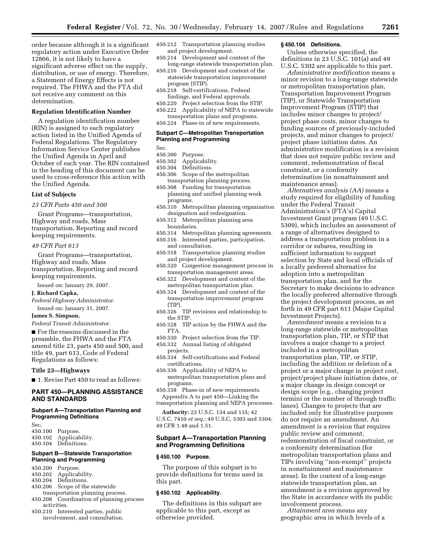order because although it is a significant regulatory action under Executive Order 12866, it is not likely to have a significant adverse effect on the supply, distribution, or use of energy. Therefore, a Statement of Energy Effects is not required. The FHWA and the FTA did not receive any comment on this determination.

## **Regulation Identification Number**

A regulation identification number (RIN) is assigned to each regulatory action listed in the Unified Agenda of Federal Regulations. The Regulatory Information Service Center publishes the Unified Agenda in April and October of each year. The RIN contained in the heading of this document can be used to cross-reference this action with the Unified Agenda.

#### **List of Subjects**

*23 CFR Parts 450 and 500* 

Grant Programs—transportation, Highway and roads, Mass transportation, Reporting and record keeping requirements.

#### *49 CFR Part 613*

Grant Programs—transportation, Highway and roads, Mass transportation, Reporting and record keeping requirements.

Issued on: January 29, 2007.

## **J. Richard Capka,**

*Federal Highway Administrator.*  Issued on: January 31, 2007.

#### **James S. Simpson,**

*Federal Transit Administrator.* 

■ For the reasons discussed in the preamble, the FHWA and the FTA amend title 23, parts 450 and 500, and title 49, part 613, Code of Federal Regulations as follows:

#### **Title 23—Highways**

■ 1. Revise Part 450 to read as follows:

## **PART 450—PLANNING ASSISTANCE AND STANDARDS**

## **Subpart A—Transportation Planning and Programming Definitions**

Sec.

450.100 Purpose.<br>450.102 Applicab Applicability.

450.104 Definitions.

#### **Subpart B—Statewide Transportation Planning and Programming**

- 450.200 Purpose.
- 
- 450.202 Applicability.<br>450.204 Definitions. Definitions.
- 450.206 Scope of the statewide
- transportation planning process.
- 450.208 Coordination of planning process activities.
- 450.210 Interested parties, public involvement, and consultation.
- 450.212 Transportation planning studies and project development.
- 450.214 Development and content of the long-range statewide transportation plan.
- 450.216 Development and content of the statewide transportation improvement program (STIP).
- 450.218 Self-certifications, Federal findings, and Federal approvals.
- 450.220 Project selection from the STIP.
- 450.222 Applicability of NEPA to statewide transportation plans and programs.
- 450.224 Phase-in of new requirements.

## **Subpart C—Metropolitan Transportation Planning and Programming**

Sec.

- 450.300 Purpose.<br>450.302 Applicab
- Applicability.
- 450.304 Definitions.
- 450.306 Scope of the metropolitan transportation planning process.
- 450.308 Funding for transportation planning and unified planning work programs.
- 450.310 Metropolitan planning organization designation and redesignation.
- 450.312 Metropolitan planning area boundaries.
- 450.314 Metropolitan planning agreements.
- 450.316 Interested parties, participation, and consultation.
- 450.318 Transportation planning studies and project development.
- 450.320 Congestion management process in transportation management areas.
- 450.322 Development and content of the metropolitan transportation plan.
- 450.324 Development and content of the transportation improvement program (TIP).
- 450.326 TIP revisions and relationship to the STIP.
- 450.328 TIP action by the FHWA and the FTA.
- 450.330 Project selection from the TIP.
- 450.332 Annual listing of obligated
- projects.
- 450.334 Self-certifications and Federal certifications.
- 450.336 Applicability of NEPA to metropolitan transportation plans and programs.
- 450.338 Phase-in of new requirements. Appendix A to part 450—Linking the transportation planning and NEPA processes.
- **Authority:** 23 U.S.C. 134 and 135; 42

U.S.C. 7410 *et seq.*; 49 U.S.C. 5303 and 5304; 49 CFR 1.48 and 1.51.

## **Subpart A—Transportation Planning and Programming Definitions**

#### **§ 450.100 Purpose.**

The purpose of this subpart is to provide definitions for terms used in this part.

#### **§ 450.102 Applicability.**

The definitions in this subpart are applicable to this part, except as otherwise provided.

## **§ 450.104 Definitions.**

Unless otherwise specified, the definitions in 23 U.S.C. 101(a) and 49 U.S.C. 5302 are applicable to this part.

*Administrative modification* means a minor revision to a long-range statewide or metropolitan transportation plan, Transportation Improvement Program (TIP), or Statewide Transportation Improvement Program (STIP) that includes minor changes to project/ project phase costs, minor changes to funding sources of previously-included projects, and minor changes to project/ project phase initiation dates. An administrative modification is a revision that does not require public review and comment, redemonstration of fiscal constraint, or a conformity determination (in nonattainment and maintenance areas).

*Alternatives analysis (AA)* means a study required for eligibility of funding under the Federal Transit Administration's (FTA's) Capital Investment Grant program (49 U.S.C. 5309), which includes an assessment of a range of alternatives designed to address a transportation problem in a corridor or subarea, resulting in sufficient information to support selection by State and local officials of a locally preferred alternative for adoption into a metropolitan transportation plan, and for the Secretary to make decisions to advance the locally preferred alternative through the project development process, as set forth in 49 CFR part 611 (Major Capital Investment Projects).

*Amendment* means a revision to a long-range statewide or metropolitan transportation plan, TIP, or STIP that involves a major change to a project included in a metropolitan transportation plan, TIP, or STIP, including the addition or deletion of a project or a major change in project cost, project/project phase initiation dates, or a major change in design concept or design scope (e.g., changing project termini or the number of through traffic lanes). Changes to projects that are included only for illustrative purposes do not require an amendment. An amendment is a revision that requires public review and comment, redemonstration of fiscal constraint, or a conformity determination (for metropolitan transportation plans and TIPs involving ''non-exempt'' projects in nonattainment and maintenance areas). In the context of a long-range statewide transportation plan, an amendment is a revision approved by the State in accordance with its public involvement process.

*Attainment area* means any geographic area in which levels of a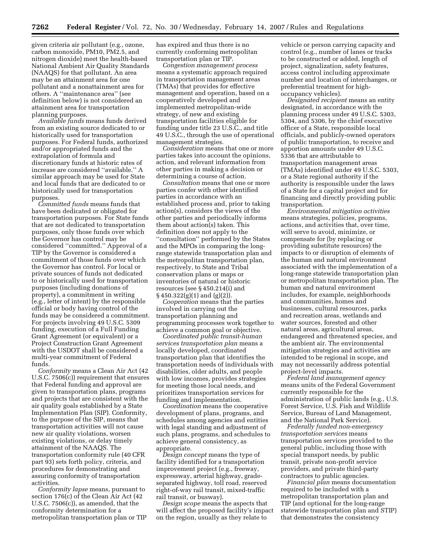given criteria air pollutant (e.g., ozone, carbon monoxide, PM10, PM2.5, and nitrogen dioxide) meet the health-based National Ambient Air Quality Standards (NAAQS) for that pollutant. An area may be an attainment area for one pollutant and a nonattainment area for others. A ''maintenance area'' (see definition below) is not considered an attainment area for transportation planning purposes.

*Available funds* means funds derived from an existing source dedicated to or historically used for transportation purposes. For Federal funds, authorized and/or appropriated funds and the extrapolation of formula and discretionary funds at historic rates of increase are considered ''available.'' A similar approach may be used for State and local funds that are dedicated to or historically used for transportation purposes.

*Committed funds* means funds that have been dedicated or obligated for transportation purposes. For State funds that are not dedicated to transportation purposes, only those funds over which the Governor has control may be considered ''committed.'' Approval of a TIP by the Governor is considered a commitment of those funds over which the Governor has control. For local or private sources of funds not dedicated to or historically used for transportation purposes (including donations of property), a commitment in writing (e.g., letter of intent) by the responsible official or body having control of the funds may be considered a commitment. For projects involving 49 U.S.C. 5309 funding, execution of a Full Funding Grant Agreement (or equivalent) or a Project Construction Grant Agreement with the USDOT shall be considered a multi-year commitment of Federal funds.

*Conformity* means a Clean Air Act (42 U.S.C. 7506(c)) requirement that ensures that Federal funding and approval are given to transportation plans, programs and projects that are consistent with the air quality goals established by a State Implementation Plan (SIP). Conformity, to the purpose of the SIP, means that transportation activities will not cause new air quality violations, worsen existing violations, or delay timely attainment of the NAAQS. The transportation conformity rule (40 CFR part 93) sets forth policy, criteria, and procedures for demonstrating and assuring conformity of transportation activities.

*Conformity lapse* means, pursuant to section 176(c) of the Clean Air Act (42 U.S.C. 7506(c)), as amended, that the conformity determination for a metropolitan transportation plan or TIP has expired and thus there is no currently conforming metropolitan transportation plan or TIP.

*Congestion management process*  means a systematic approach required in transportation management areas (TMAs) that provides for effective management and operation, based on a cooperatively developed and implemented metropolitan-wide strategy, of new and existing transportation facilities eligible for funding under title 23 U.S.C., and title 49 U.S.C., through the use of operational management strategies.

*Consideration* means that one or more parties takes into account the opinions, action, and relevant information from other parties in making a decision or determining a course of action.

*Consultation* means that one or more parties confer with other identified parties in accordance with an established process and, prior to taking action(s), considers the views of the other parties and periodically informs them about action(s) taken. This definition does not apply to the ''consultation'' performed by the States and the MPOs in comparing the longrange statewide transportation plan and the metropolitan transportation plan, respectively, to State and Tribal conservation plans or maps or inventories of natural or historic resources (see § 450.214(i) and § 450.322(g)(1) and (g)(2)).

*Cooperation* means that the parties involved in carrying out the transportation planning and programming processes work together to achieve a common goal or objective.

*Coordinated public transit-human services transportation plan* means a locally developed, coordinated transportation plan that identifies the transportation needs of individuals with disabilities, older adults, and people with low incomes, provides strategies for meeting those local needs, and prioritizes transportation services for funding and implementation.

*Coordination* means the cooperative development of plans, programs, and schedules among agencies and entities with legal standing and adjustment of such plans, programs, and schedules to achieve general consistency, as appropriate.

*Design concept* means the type of facility identified for a transportation improvement project (e.g., freeway, expressway, arterial highway, gradeseparated highway, toll road, reserved right-of-way rail transit, mixed-traffic rail transit, or busway).

*Design scope* means the aspects that will affect the proposed facility's impact on the region, usually as they relate to

vehicle or person carrying capacity and control (e.g., number of lanes or tracks to be constructed or added, length of project, signalization, safety features, access control including approximate number and location of interchanges, or preferential treatment for highoccupancy vehicles).

*Designated recipient* means an entity designated, in accordance with the planning process under 49 U.S.C. 5303, 5304, and 5306, by the chief executive officer of a State, responsible local officials, and publicly-owned operators of public transportation, to receive and apportion amounts under 49 U.S.C. 5336 that are attributable to transportation management areas (TMAs) identified under 49 U.S.C. 5303, or a State regional authority if the authority is responsible under the laws of a State for a capital project and for financing and directly providing public transportation.

*Environmental mitigation activities*  means strategies, policies, programs, actions, and activities that, over time, will serve to avoid, minimize, or compensate for (by replacing or providing substitute resources) the impacts to or disruption of elements of the human and natural environment associated with the implementation of a long-range statewide transportation plan or metropolitan transportation plan. The human and natural environment includes, for example, neighborhoods and communities, homes and businesses, cultural resources, parks and recreation areas, wetlands and water sources, forested and other natural areas, agricultural areas, endangered and threatened species, and the ambient air. The environmental mitigation strategies and activities are intended to be regional in scope, and may not necessarily address potential project-level impacts.

*Federal land management agency*  means units of the Federal Government currently responsible for the administration of public lands (e.g., U.S. Forest Service, U.S. Fish and Wildlife Service, Bureau of Land Management, and the National Park Service).

*Federally funded non-emergency transportation services* means transportation services provided to the general public, including those with special transport needs, by public transit, private non-profit service providers, and private third-party contractors to public agencies.

*Financial plan* means documentation required to be included with a metropolitan transportation plan and TIP (and optional for the long-range statewide transportation plan and STIP) that demonstrates the consistency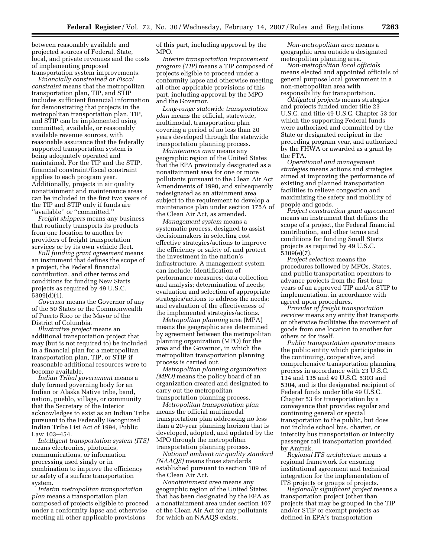between reasonably available and projected sources of Federal, State, local, and private revenues and the costs of implementing proposed transportation system improvements.

*Financially constrained or Fiscal constraint* means that the metropolitan transportation plan, TIP, and STIP includes sufficient financial information for demonstrating that projects in the metropolitan transportation plan, TIP, and STIP can be implemented using committed, available, or reasonably available revenue sources, with reasonable assurance that the federally supported transportation system is being adequately operated and maintained. For the TIP and the STIP, financial constraint/fiscal constraint applies to each program year. Additionally, projects in air quality nonattainment and maintenance areas can be included in the first two years of the TIP and STIP only if funds are "available" or "committed."

*Freight shippers* means any business that routinely transports its products from one location to another by providers of freight transportation services or by its own vehicle fleet.

*Full funding grant agreement* means an instrument that defines the scope of a project, the Federal financial contribution, and other terms and conditions for funding New Starts projects as required by 49 U.S.C. 5309(d)(1).

*Governor* means the Governor of any of the 50 States or the Commonwealth of Puerto Rico or the Mayor of the District of Columbia.

*Illustrative project* means an additional transportation project that may (but is not required to) be included in a financial plan for a metropolitan transportation plan, TIP, or STIP if reasonable additional resources were to become available.

*Indian Tribal government* means a duly formed governing body for an Indian or Alaska Native tribe, band, nation, pueblo, village, or community that the Secretary of the Interior acknowledges to exist as an Indian Tribe pursuant to the Federally Recognized Indian Tribe List Act of 1994, Public Law 103–454.

*Intelligent transportation system (ITS)*  means electronics, photonics, communications, or information processing used singly or in combination to improve the efficiency or safety of a surface transportation system.

*Interim metropolitan transportation plan* means a transportation plan composed of projects eligible to proceed under a conformity lapse and otherwise meeting all other applicable provisions

of this part, including approval by the MPO.

*Interim transportation improvement program (TIP)* means a TIP composed of projects eligible to proceed under a conformity lapse and otherwise meeting all other applicable provisions of this part, including approval by the MPO and the Governor.

*Long-range statewide transportation plan* means the official, statewide, multimodal, transportation plan covering a period of no less than 20 years developed through the statewide transportation planning process.

*Maintenance area* means any geographic region of the United States that the EPA previously designated as a nonattainment area for one or more pollutants pursuant to the Clean Air Act Amendments of 1990, and subsequently redesignated as an attainment area subject to the requirement to develop a maintenance plan under section 175A of the Clean Air Act, as amended.

*Management system* means a systematic process, designed to assist decisionmakers in selecting cost effective strategies/actions to improve the efficiency or safety of, and protect the investment in the nation's infrastructure. A management system can include: Identification of performance measures; data collection and analysis; determination of needs; evaluation and selection of appropriate strategies/actions to address the needs; and evaluation of the effectiveness of the implemented strategies/actions.

*Metropolitan planning* area (MPA) means the geographic area determined by agreement between the metropolitan planning organization (MPO) for the area and the Governor, in which the metropolitan transportation planning process is carried out.

*Metropolitan planning organization (MPO)* means the policy board of an organization created and designated to carry out the metropolitan transportation planning process.

*Metropolitan transportation plan*  means the official multimodal transportation plan addressing no less than a 20-year planning horizon that is developed, adopted, and updated by the MPO through the metropolitan transportation planning process.

*National ambient air quality standard (NAAQS)* means those standards established pursuant to section 109 of the Clean Air Act.

*Nonattainment area* means any geographic region of the United States that has been designated by the EPA as a nonattainment area under section 107 of the Clean Air Act for any pollutants for which an NAAQS exists.

*Non-metropolitan area* means a geographic area outside a designated metropolitan planning area.

*Non-metropolitan local officials*  means elected and appointed officials of general purpose local government in a non-metropolitan area with responsibility for transportation.

*Obligated projects* means strategies and projects funded under title 23 U.S.C. and title 49 U.S.C. Chapter 53 for which the supporting Federal funds were authorized and committed by the State or designated recipient in the preceding program year, and authorized by the FHWA or awarded as a grant by the FTA.

*Operational and management strategies* means actions and strategies aimed at improving the performance of existing and planned transportation facilities to relieve congestion and maximizing the safety and mobility of people and goods.

*Project construction grant agreement*  means an instrument that defines the scope of a project, the Federal financial contribution, and other terms and conditions for funding Small Starts projects as required by 49 U.S.C. 5309(e)(7).

*Project selection* means the procedures followed by MPOs, States, and public transportation operators to advance projects from the first four years of an approved TIP and/or STIP to implementation, in accordance with agreed upon procedures.

*Provider of freight transportation services* means any entity that transports or otherwise facilitates the movement of goods from one location to another for others or for itself.

*Public transportation operator* means the public entity which participates in the continuing, cooperative, and comprehensive transportation planning process in accordance with 23 U.S.C. 134 and 135 and 49 U.S.C. 5303 and 5304, and is the designated recipient of Federal funds under title 49 U.S.C. Chapter 53 for transportation by a conveyance that provides regular and continuing general or special transportation to the public, but does not include school bus, charter, or intercity bus transportation or intercity passenger rail transportation provided by Amtrak.

*Regional ITS architecture* means a regional framework for ensuring institutional agreement and technical integration for the implementation of ITS projects or groups of projects.

*Regionally significant project* means a transportation project (other than projects that may be grouped in the TIP and/or STIP or exempt projects as defined in EPA's transportation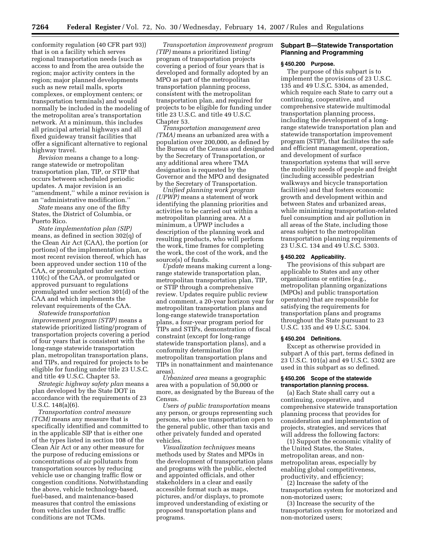conformity regulation (40 CFR part 93)) that is on a facility which serves regional transportation needs (such as access to and from the area outside the region; major activity centers in the region; major planned developments such as new retail malls, sports complexes, or employment centers; or transportation terminals) and would normally be included in the modeling of the metropolitan area's transportation network. At a minimum, this includes all principal arterial highways and all fixed guideway transit facilities that offer a significant alternative to regional highway travel.

*Revision* means a change to a longrange statewide or metropolitan transportation plan, TIP, or STIP that occurs between scheduled periodic updates. A major revision is an "amendment," while a minor revision is an ''administrative modification.''

*State* means any one of the fifty States, the District of Columbia, or Puerto Rico.

*State implementation plan (SIP)*  means, as defined in section 302(q) of the Clean Air Act (CAA), the portion (or portions) of the implementation plan, or most recent revision thereof, which has been approved under section 110 of the CAA, or promulgated under section 110(c) of the CAA, or promulgated or approved pursuant to regulations promulgated under section 301(d) of the CAA and which implements the relevant requirements of the CAA.

*Statewide transportation improvement program (STIP)* means a statewide prioritized listing/program of transportation projects covering a period of four years that is consistent with the long-range statewide transportation plan, metropolitan transportation plans, and TIPs, and required for projects to be eligible for funding under title 23 U.S.C. and title 49 U.S.C. Chapter 53.

*Strategic highway safety plan* means a plan developed by the State DOT in accordance with the requirements of 23 U.S.C. 148(a)(6).

*Transportation control measure (TCM)* means any measure that is specifically identified and committed to in the applicable SIP that is either one of the types listed in section 108 of the Clean Air Act or any other measure for the purpose of reducing emissions or concentrations of air pollutants from transportation sources by reducing vehicle use or changing traffic flow or congestion conditions. Notwithstanding the above, vehicle technology-based, fuel-based, and maintenance-based measures that control the emissions from vehicles under fixed traffic conditions are not TCMs.

*Transportation improvement program (TIP)* means a prioritized listing/ program of transportation projects covering a period of four years that is developed and formally adopted by an MPO as part of the metropolitan transportation planning process, consistent with the metropolitan transportation plan, and required for projects to be eligible for funding under title 23 U.S.C. and title 49 U.S.C. Chapter 53.

*Transportation management area (TMA)* means an urbanized area with a population over 200,000, as defined by the Bureau of the Census and designated by the Secretary of Transportation, or any additional area where TMA designation is requested by the Governor and the MPO and designated by the Secretary of Transportation.

*Unified planning work program (UPWP)* means a statement of work identifying the planning priorities and activities to be carried out within a metropolitan planning area. At a minimum, a UPWP includes a description of the planning work and resulting products, who will perform the work, time frames for completing the work, the cost of the work, and the source(s) of funds.

*Update* means making current a longrange statewide transportation plan, metropolitan transportation plan, TIP, or STIP through a comprehensive review. Updates require public review and comment, a 20-year horizon year for metropolitan transportation plans and long-range statewide transportation plans, a four-year program period for TIPs and STIPs, demonstration of fiscal constraint (except for long-range statewide transportation plans), and a conformity determination (for metropolitan transportation plans and TIPs in nonattainment and maintenance areas).

*Urbanized area* means a geographic area with a population of 50,000 or more, as designated by the Bureau of the Census.

*Users of public transportation* means any person, or groups representing such persons, who use transportation open to the general public, other than taxis and other privately funded and operated vehicles.

*Visualization techniques* means methods used by States and MPOs in the development of transportation plans and programs with the public, elected and appointed officials, and other stakeholders in a clear and easily accessible format such as maps, pictures, and/or displays, to promote improved understanding of existing or proposed transportation plans and programs.

## **Subpart B—Statewide Transportation Planning and Programming**

#### **§ 450.200 Purpose.**

The purpose of this subpart is to implement the provisions of 23 U.S.C. 135 and 49 U.S.C. 5304, as amended, which require each State to carry out a continuing, cooperative, and comprehensive statewide multimodal transportation planning process, including the development of a longrange statewide transportation plan and statewide transportation improvement program (STIP), that facilitates the safe and efficient management, operation, and development of surface transportation systems that will serve the mobility needs of people and freight (including accessible pedestrian walkways and bicycle transportation facilities) and that fosters economic growth and development within and between States and urbanized areas, while minimizing transportation-related fuel consumption and air pollution in all areas of the State, including those areas subject to the metropolitan transportation planning requirements of 23 U.S.C. 134 and 49 U.S.C. 5303.

#### **§ 450.202 Applicability.**

The provisions of this subpart are applicable to States and any other organizations or entities (e.g., metropolitan planning organizations (MPOs) and public transportation operators) that are responsible for satisfying the requirements for transportation plans and programs throughout the State pursuant to 23 U.S.C. 135 and 49 U.S.C. 5304.

#### **§ 450.204 Definitions.**

Except as otherwise provided in subpart A of this part, terms defined in 23 U.S.C. 101(a) and 49 U.S.C. 5302 are used in this subpart as so defined.

#### **§ 450.206 Scope of the statewide transportation planning process.**

(a) Each State shall carry out a continuing, cooperative, and comprehensive statewide transportation planning process that provides for consideration and implementation of projects, strategies, and services that will address the following factors:

(1) Support the economic vitality of the United States, the States, metropolitan areas, and nonmetropolitan areas, especially by enabling global competitiveness, productivity, and efficiency;

(2) Increase the safety of the transportation system for motorized and non-motorized users;

(3) Increase the security of the transportation system for motorized and non-motorized users;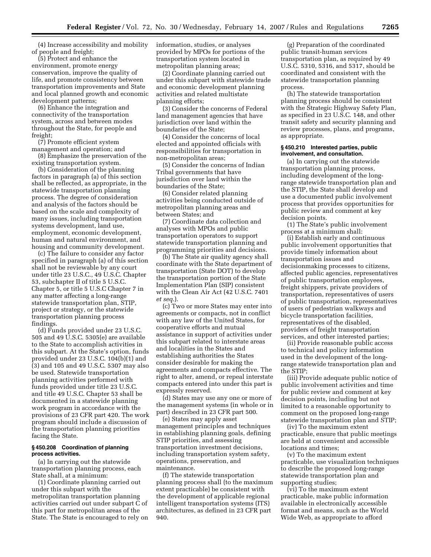(4) Increase accessibility and mobility of people and freight;

(5) Protect and enhance the environment, promote energy conservation, improve the quality of life, and promote consistency between transportation improvements and State and local planned growth and economic development patterns;

(6) Enhance the integration and connectivity of the transportation system, across and between modes throughout the State, for people and freight;

(7) Promote efficient system management and operation; and

(8) Emphasize the preservation of the existing transportation system.

(b) Consideration of the planning factors in paragraph (a) of this section shall be reflected, as appropriate, in the statewide transportation planning process. The degree of consideration and analysis of the factors should be based on the scale and complexity of many issues, including transportation systems development, land use, employment, economic development, human and natural environment, and housing and community development.

(c) The failure to consider any factor specified in paragraph (a) of this section shall not be reviewable by any court under title 23 U.S.C., 49 U.S.C. Chapter 53, subchapter II of title 5 U.S.C. Chapter 5, or title 5 U.S.C Chapter 7 in any matter affecting a long-range statewide transportation plan, STIP, project or strategy, or the statewide transportation planning process findings.

(d) Funds provided under 23 U.S.C. 505 and 49 U.S.C. 5305(e) are available to the State to accomplish activities in this subpart. At the State's option, funds provided under 23 U.S.C. 104(b)(1) and (3) and 105 and 49 U.S.C. 5307 may also be used. Statewide transportation planning activities performed with funds provided under title 23 U.S.C. and title 49 U.S.C. Chapter 53 shall be documented in a statewide planning work program in accordance with the provisions of 23 CFR part 420. The work program should include a discussion of the transportation planning priorities facing the State.

#### **§ 450.208 Coordination of planning process activities.**

(a) In carrying out the statewide transportation planning process, each State shall, at a minimum:

(1) Coordinate planning carried out under this subpart with the metropolitan transportation planning activities carried out under subpart C of this part for metropolitan areas of the State. The State is encouraged to rely on information, studies, or analyses provided by MPOs for portions of the transportation system located in metropolitan planning areas;

(2) Coordinate planning carried out under this subpart with statewide trade and economic development planning activities and related multistate planning efforts;

(3) Consider the concerns of Federal land management agencies that have jurisdiction over land within the boundaries of the State;

(4) Consider the concerns of local elected and appointed officials with responsibilities for transportation in non-metropolitan areas;

(5) Consider the concerns of Indian Tribal governments that have jurisdiction over land within the boundaries of the State;

(6) Consider related planning activities being conducted outside of metropolitan planning areas and between States; and

(7) Coordinate data collection and analyses with MPOs and public transportation operators to support statewide transportation planning and programming priorities and decisions.

(b) The State air quality agency shall coordinate with the State department of transportation (State DOT) to develop the transportation portion of the State Implementation Plan (SIP) consistent with the Clean Air Act (42 U.S.C. 7401 *et seq.*).

(c) Two or more States may enter into agreements or compacts, not in conflict with any law of the United States, for cooperative efforts and mutual assistance in support of activities under this subpart related to interstate areas and localities in the States and establishing authorities the States consider desirable for making the agreements and compacts effective. The right to alter, amend, or repeal interstate compacts entered into under this part is expressly reserved.

(d) States may use any one or more of the management systems (in whole or in part) described in 23 CFR part 500.

(e) States may apply asset management principles and techniques in establishing planning goals, defining STIP priorities, and assessing transportation investment decisions, including transportation system safety, operations, preservation, and maintenance.

(f) The statewide transportation planning process shall (to the maximum extent practicable) be consistent with the development of applicable regional intelligent transportation systems (ITS) architectures, as defined in 23 CFR part 940.

(g) Preparation of the coordinated public transit-human services transportation plan, as required by 49 U.S.C. 5310, 5316, and 5317, should be coordinated and consistent with the statewide transportation planning process.

(h) The statewide transportation planning process should be consistent with the Strategic Highway Safety Plan, as specified in 23 U.S.C. 148, and other transit safety and security planning and review processes, plans, and programs, as appropriate.

#### **§ 450.210 Interested parties, public involvement, and consultation.**

(a) In carrying out the statewide transportation planning process, including development of the longrange statewide transportation plan and the STIP, the State shall develop and use a documented public involvement process that provides opportunities for public review and comment at key decision points.

(1) The State's public involvement process at a minimum shall:

(i) Establish early and continuous public involvement opportunities that provide timely information about transportation issues and decisionmaking processes to citizens, affected public agencies, representatives of public transportation employees, freight shippers, private providers of transportation, representatives of users of public transportation, representatives of users of pedestrian walkways and bicycle transportation facilities, representatives of the disabled, providers of freight transportation services, and other interested parties;

(ii) Provide reasonable public access to technical and policy information used in the development of the longrange statewide transportation plan and the STIP;

(iii) Provide adequate public notice of public involvement activities and time for public review and comment at key decision points, including but not limited to a reasonable opportunity to comment on the proposed long-range statewide transportation plan and STIP;

(iv) To the maximum extent practicable, ensure that public meetings are held at convenient and accessible locations and times;

(v) To the maximum extent practicable, use visualization techniques to describe the proposed long-range statewide transportation plan and supporting studies;

(vi) To the maximum extent practicable, make public information available in electronically accessible format and means, such as the World Wide Web, as appropriate to afford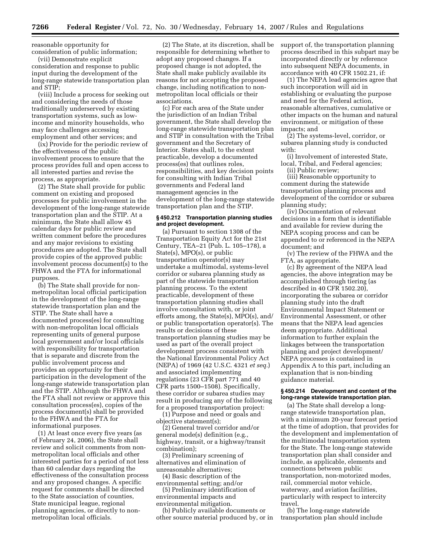reasonable opportunity for consideration of public information;

(vii) Demonstrate explicit consideration and response to public input during the development of the long-range statewide transportation plan and STIP;

(viii) Include a process for seeking out and considering the needs of those traditionally underserved by existing transportation systems, such as lowincome and minority households, who may face challenges accessing employment and other services; and

(ix) Provide for the periodic review of the effectiveness of the public involvement process to ensure that the process provides full and open access to all interested parties and revise the process, as appropriate.

(2) The State shall provide for public comment on existing and proposed processes for public involvement in the development of the long-range statewide transportation plan and the STIP. At a minimum, the State shall allow 45 calendar days for public review and written comment before the procedures and any major revisions to existing procedures are adopted. The State shall provide copies of the approved public involvement process document(s) to the FHWA and the FTA for informational purposes.

(b) The State shall provide for nonmetropolitan local official participation in the development of the long-range statewide transportation plan and the STIP. The State shall have a documented process(es) for consulting with non-metropolitan local officials representing units of general purpose local government and/or local officials with responsibility for transportation that is separate and discrete from the public involvement process and provides an opportunity for their participation in the development of the long-range statewide transportation plan and the STIP. Although the FHWA and the FTA shall not review or approve this consultation process(es), copies of the process document(s) shall be provided to the FHWA and the FTA for informational purposes.

(1) At least once every five years (as of February 24, 2006), the State shall review and solicit comments from nonmetropolitan local officials and other interested parties for a period of not less than 60 calendar days regarding the effectiveness of the consultation process and any proposed changes. A specific request for comments shall be directed to the State association of counties, State municipal league, regional planning agencies, or directly to nonmetropolitan local officials.

(2) The State, at its discretion, shall be responsible for determining whether to adopt any proposed changes. If a proposed change is not adopted, the State shall make publicly available its reasons for not accepting the proposed change, including notification to nonmetropolitan local officials or their associations.

(c) For each area of the State under the jurisdiction of an Indian Tribal government, the State shall develop the long-range statewide transportation plan and STIP in consultation with the Tribal government and the Secretary of Interior. States shall, to the extent practicable, develop a documented process(es) that outlines roles, responsibilities, and key decision points for consulting with Indian Tribal governments and Federal land management agencies in the development of the long-range statewide transportation plan and the STIP.

#### **§ 450.212 Transportation planning studies and project development.**

(a) Pursuant to section 1308 of the Transportation Equity Act for the 21st Century, TEA–21 (Pub. L. 105–178), a State(s), MPO(s), or public transportation operator(s) may undertake a multimodal, systems-level corridor or subarea planning study as part of the statewide transportation planning process. To the extent practicable, development of these transportation planning studies shall involve consultation with, or joint efforts among, the State(s), MPO(s), and/ or public transportation operator(s). The results or decisions of these transportation planning studies may be used as part of the overall project development process consistent with the National Environmental Policy Act (NEPA) of 1969 (42 U.S.C. 4321 *et seq.*) and associated implementing regulations (23 CFR part 771 and 40 CFR parts 1500–1508). Specifically, these corridor or subarea studies may result in producing any of the following for a proposed transportation project:

(1) Purpose and need or goals and objective statement(s);

(2) General travel corridor and/or general mode(s) definition (e.g., highway, transit, or a highway/transit combination);

(3) Preliminary screening of alternatives and elimination of unreasonable alternatives;

(4) Basic description of the environmental setting; and/or

(5) Preliminary identification of environmental impacts and environmental mitigation.

(b) Publicly available documents or other source material produced by, or in support of, the transportation planning process described in this subpart may be incorporated directly or by reference into subsequent NEPA documents, in accordance with 40 CFR 1502.21, if:

(1) The NEPA lead agencies agree that such incorporation will aid in establishing or evaluating the purpose and need for the Federal action, reasonable alternatives, cumulative or other impacts on the human and natural environment, or mitigation of these impacts; and

(2) The systems-level, corridor, or subarea planning study is conducted with:

(i) Involvement of interested State, local, Tribal, and Federal agencies;

(ii) Public review;

(iii) Reasonable opportunity to comment during the statewide transportation planning process and development of the corridor or subarea planning study;

(iv) Documentation of relevant decisions in a form that is identifiable and available for review during the NEPA scoping process and can be appended to or referenced in the NEPA document; and

(v) The review of the FHWA and the FTA, as appropriate.

(c) By agreement of the NEPA lead agencies, the above integration may be accomplished through tiering (as described in 40 CFR 1502.20), incorporating the subarea or corridor planning study into the draft Environmental Impact Statement or Environmental Assessment, or other means that the NEPA lead agencies deem appropriate. Additional information to further explain the linkages between the transportation planning and project development/ NEPA processes is contained in Appendix A to this part, including an explanation that is non-binding guidance material.

#### **§ 450.214 Development and content of the long-range statewide transportation plan.**

(a) The State shall develop a longrange statewide transportation plan, with a minimum 20-year forecast period at the time of adoption, that provides for the development and implementation of the multimodal transportation system for the State. The long-range statewide transportation plan shall consider and include, as applicable, elements and connections between public transportation, non-motorized modes, rail, commercial motor vehicle, waterway, and aviation facilities, particularly with respect to intercity travel.

(b) The long-range statewide transportation plan should include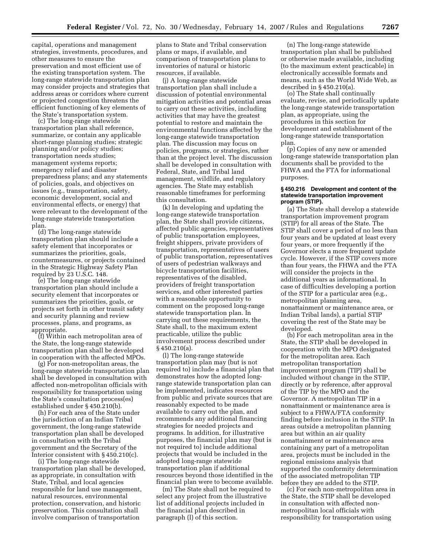capital, operations and management strategies, investments, procedures, and other measures to ensure the preservation and most efficient use of the existing transportation system. The long-range statewide transportation plan may consider projects and strategies that address areas or corridors where current or projected congestion threatens the efficient functioning of key elements of the State's transportation system.

(c) The long-range statewide transportation plan shall reference, summarize, or contain any applicable short-range planning studies; strategic planning and/or policy studies; transportation needs studies; management systems reports; emergency relief and disaster preparedness plans; and any statements of policies, goals, and objectives on issues (e.g., transportation, safety, economic development, social and environmental effects, or energy) that were relevant to the development of the long-range statewide transportation plan.

(d) The long-range statewide transportation plan should include a safety element that incorporates or summarizes the priorities, goals, countermeasures, or projects contained in the Strategic Highway Safety Plan required by 23 U.S.C. 148.

(e) The long-range statewide transportation plan should include a security element that incorporates or summarizes the priorities, goals, or projects set forth in other transit safety and security planning and review processes, plans, and programs, as appropriate.

(f) Within each metropolitan area of the State, the long-range statewide transportation plan shall be developed in cooperation with the affected MPOs.

(g) For non-metropolitan areas, the long-range statewide transportation plan shall be developed in consultation with affected non-metropolitan officials with responsibility for transportation using the State's consultation process(es) established under § 450.210(b).

(h) For each area of the State under the jurisdiction of an Indian Tribal government, the long-range statewide transportation plan shall be developed in consultation with the Tribal government and the Secretary of the Interior consistent with § 450.210(c).

(i) The long-range statewide transportation plan shall be developed, as appropriate, in consultation with State, Tribal, and local agencies responsible for land use management, natural resources, environmental protection, conservation, and historic preservation. This consultation shall involve comparison of transportation

plans to State and Tribal conservation plans or maps, if available, and comparison of transportation plans to inventories of natural or historic resources, if available.

(j) A long-range statewide transportation plan shall include a discussion of potential environmental mitigation activities and potential areas to carry out these activities, including activities that may have the greatest potential to restore and maintain the environmental functions affected by the long-range statewide transportation plan. The discussion may focus on policies, programs, or strategies, rather than at the project level. The discussion shall be developed in consultation with Federal, State, and Tribal land management, wildlife, and regulatory agencies. The State may establish reasonable timeframes for performing this consultation.

(k) In developing and updating the long-range statewide transportation plan, the State shall provide citizens, affected public agencies, representatives of public transportation employees, freight shippers, private providers of transportation, representatives of users of public transportation, representatives of users of pedestrian walkways and bicycle transportation facilities, representatives of the disabled, providers of freight transportation services, and other interested parties with a reasonable opportunity to comment on the proposed long-range statewide transportation plan. In carrying out these requirements, the State shall, to the maximum extent practicable, utilize the public involvement process described under § 450.210(a).

(l) The long-range statewide transportation plan may (but is not required to) include a financial plan that demonstrates how the adopted longrange statewide transportation plan can be implemented, indicates resources from public and private sources that are reasonably expected to be made available to carry out the plan, and recommends any additional financing strategies for needed projects and programs. In addition, for illustrative purposes, the financial plan may (but is not required to) include additional projects that would be included in the adopted long-range statewide transportation plan if additional resources beyond those identified in the financial plan were to become available.

(m) The State shall not be required to select any project from the illustrative list of additional projects included in the financial plan described in paragraph (l) of this section.

(n) The long-range statewide transportation plan shall be published or otherwise made available, including (to the maximum extent practicable) in electronically accessible formats and means, such as the World Wide Web, as described in § 450.210(a).

(o) The State shall continually evaluate, revise, and periodically update the long-range statewide transportation plan, as appropriate, using the procedures in this section for development and establishment of the long-range statewide transportation plan.

(p) Copies of any new or amended long-range statewide transportation plan documents shall be provided to the FHWA and the FTA for informational purposes.

#### **§ 450.216 Development and content of the statewide transportation improvement program (STIP).**

(a) The State shall develop a statewide transportation improvement program (STIP) for all areas of the State. The STIP shall cover a period of no less than four years and be updated at least every four years, or more frequently if the Governor elects a more frequent update cycle. However, if the STIP covers more than four years, the FHWA and the FTA will consider the projects in the additional years as informational. In case of difficulties developing a portion of the STIP for a particular area (e.g., metropolitan planning area, nonattainment or maintenance area, or Indian Tribal lands), a partial STIP covering the rest of the State may be developed.

(b) For each metropolitan area in the State, the STIP shall be developed in cooperation with the MPO designated for the metropolitan area. Each metropolitan transportation improvement program (TIP) shall be included without change in the STIP, directly or by reference, after approval of the TIP by the MPO and the Governor. A metropolitan TIP in a nonattainment or maintenance area is subject to a FHWA/FTA conformity finding before inclusion in the STIP. In areas outside a metropolitan planning area but within an air quality nonattainment or maintenance area containing any part of a metropolitan area, projects must be included in the regional emissions analysis that supported the conformity determination of the associated metropolitan TIP before they are added to the STIP.

(c) For each non-metropolitan area in the State, the STIP shall be developed in consultation with affected nonmetropolitan local officials with responsibility for transportation using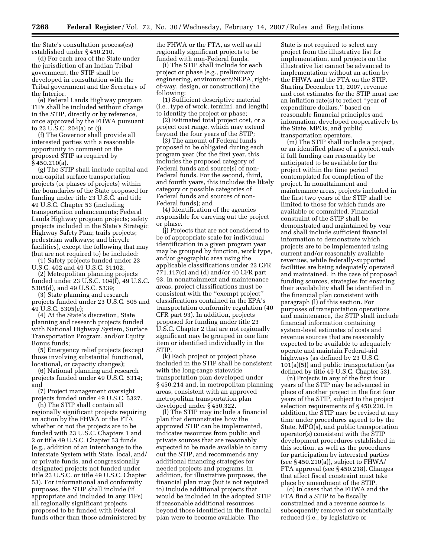the State's consultation process(es) established under § 450.210.

(d) For each area of the State under the jurisdiction of an Indian Tribal government, the STIP shall be developed in consultation with the Tribal government and the Secretary of the Interior.

(e) Federal Lands Highway program TIPs shall be included without change in the STIP, directly or by reference, once approved by the FHWA pursuant to 23 U.S.C. 204(a) or (j).

(f) The Governor shall provide all interested parties with a reasonable opportunity to comment on the proposed STIP as required by § 450.210(a).

(g) The STIP shall include capital and non-capital surface transportation projects (or phases of projects) within the boundaries of the State proposed for funding under title 23 U.S.C. and title 49 U.S.C. Chapter 53 (including transportation enhancements; Federal Lands Highway program projects; safety projects included in the State's Strategic Highway Safety Plan; trails projects; pedestrian walkways; and bicycle facilities), except the following that may (but are not required to) be included:

(1) Safety projects funded under 23 U.S.C. 402 and 49 U.S.C. 31102;

(2) Metropolitan planning projects funded under 23 U.S.C. 104(f), 49 U.S.C. 5305(d), and 49 U.S.C. 5339;

(3) State planning and research projects funded under 23 U.S.C. 505 and 49 U.S.C. 5305(e);

(4) At the State's discretion, State planning and research projects funded with National Highway System, Surface Transportation Program, and/or Equity Bonus funds;

(5) Emergency relief projects (except those involving substantial functional, locational, or capacity changes);

(6) National planning and research projects funded under 49 U.S.C. 5314; and

(7) Project management oversight projects funded under 49 U.S.C. 5327.

(h) The STIP shall contain all regionally significant projects requiring an action by the FHWA or the FTA whether or not the projects are to be funded with 23 U.S.C. Chapters 1 and 2 or title 49 U.S.C. Chapter 53 funds (e.g., addition of an interchange to the Interstate System with State, local, and/ or private funds, and congressionally designated projects not funded under title 23 U.S.C. or title 49 U.S.C. Chapter 53). For informational and conformity purposes, the STIP shall include (if appropriate and included in any TIPs) all regionally significant projects proposed to be funded with Federal funds other than those administered by

the FHWA or the FTA, as well as all regionally significant projects to be funded with non-Federal funds.

(i) The STIP shall include for each project or phase (e.g., preliminary engineering, environment/NEPA, rightof-way, design, or construction) the following:

(1) Sufficient descriptive material (i.e., type of work, termini, and length) to identify the project or phase;

(2) Estimated total project cost, or a project cost range, which may extend beyond the four years of the STIP;

(3) The amount of Federal funds proposed to be obligated during each program year (for the first year, this includes the proposed category of Federal funds and source(s) of non-Federal funds. For the second, third, and fourth years, this includes the likely category or possible categories of Federal funds and sources of non-Federal funds); and

(4) Identification of the agencies responsible for carrying out the project or phase.

(j) Projects that are not considered to be of appropriate scale for individual identification in a given program year may be grouped by function, work type, and/or geographic area using the applicable classifications under 23 CFR 771.117(c) and (d) and/or 40 CFR part 93. In nonattainment and maintenance areas, project classifications must be consistent with the ''exempt project'' classifications contained in the EPA's transportation conformity regulation (40 CFR part 93). In addition, projects proposed for funding under title 23 U.S.C. Chapter 2 that are not regionally significant may be grouped in one line item or identified individually in the STIP.

(k) Each project or project phase included in the STIP shall be consistent with the long-range statewide transportation plan developed under § 450.214 and, in metropolitan planning areas, consistent with an approved metropolitan transportation plan developed under § 450.322.

(l) The STIP may include a financial plan that demonstrates how the approved STIP can be implemented, indicates resources from public and private sources that are reasonably expected to be made available to carry out the STIP, and recommends any additional financing strategies for needed projects and programs. In addition, for illustrative purposes, the financial plan may (but is not required to) include additional projects that would be included in the adopted STIP if reasonable additional resources beyond those identified in the financial plan were to become available. The

State is not required to select any project from the illustrative list for implementation, and projects on the illustrative list cannot be advanced to implementation without an action by the FHWA and the FTA on the STIP. Starting December 11, 2007, revenue and cost estimates for the STIP must use an inflation rate(s) to reflect ''year of expenditure dollars,'' based on reasonable financial principles and information, developed cooperatively by the State, MPOs, and public transportation operators.

(m) The STIP shall include a project, or an identified phase of a project, only if full funding can reasonably be anticipated to be available for the project within the time period contemplated for completion of the project. In nonattainment and maintenance areas, projects included in the first two years of the STIP shall be limited to those for which funds are available or committed. Financial constraint of the STIP shall be demonstrated and maintained by year and shall include sufficient financial information to demonstrate which projects are to be implemented using current and/or reasonably available revenues, while federally-supported facilities are being adequately operated and maintained. In the case of proposed funding sources, strategies for ensuring their availability shall be identified in the financial plan consistent with paragraph (l) of this section. For purposes of transportation operations and maintenance, the STIP shall include financial information containing system-level estimates of costs and revenue sources that are reasonably expected to be available to adequately operate and maintain Federal-aid highways (as defined by 23 U.S.C. 101(a)(5)) and public transportation (as defined by title 49 U.S.C. Chapter 53).

(n) Projects in any of the first four years of the STIP may be advanced in place of another project in the first four years of the STIP, subject to the project selection requirements of § 450.220. In addition, the STIP may be revised at any time under procedures agreed to by the State, MPO(s), and public transportation operator(s) consistent with the STIP development procedures established in this section, as well as the procedures for participation by interested parties (see  $\S$  450.210(a)), subject to FHWA/ FTA approval (see § 450.218). Changes that affect fiscal constraint must take place by amendment of the STIP.

(o) In cases that the FHWA and the FTA find a STIP to be fiscally constrained and a revenue source is subsequently removed or substantially reduced (i.e., by legislative or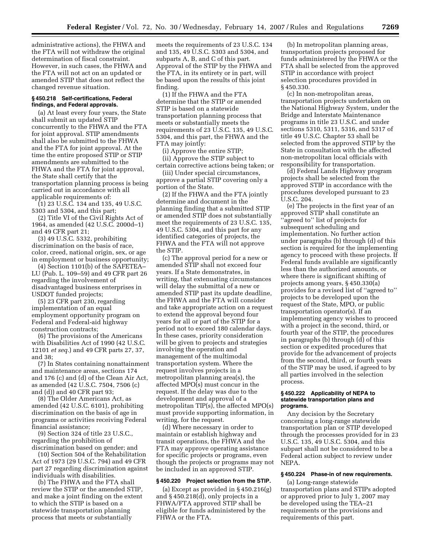administrative actions), the FHWA and the FTA will not withdraw the original determination of fiscal constraint. However, in such cases, the FHWA and the FTA will not act on an updated or amended STIP that does not reflect the changed revenue situation.

## **§ 450.218 Self-certifications, Federal findings, and Federal approvals.**

(a) At least every four years, the State shall submit an updated STIP concurrently to the FHWA and the FTA for joint approval. STIP amendments shall also be submitted to the FHWA and the FTA for joint approval. At the time the entire proposed STIP or STIP amendments are submitted to the FHWA and the FTA for joint approval, the State shall certify that the transportation planning process is being carried out in accordance with all applicable requirements of:

(1) 23 U.S.C. 134 and 135, 49 U.S.C. 5303 and 5304, and this part;

(2) Title VI of the Civil Rights Act of 1964, as amended (42 U.S.C. 2000d–1) and 49 CFR part 21;

(3) 49 U.S.C. 5332, prohibiting discrimination on the basis of race, color, creed, national origin, sex, or age in employment or business opportunity;

(4) Section 1101(b) of the SAFETEA– LU (Pub. L. 109–59) and 49 CFR part 26 regarding the involvement of disadvantaged business enterprises in USDOT funded projects;

(5) 23 CFR part 230, regarding implementation of an equal employment opportunity program on Federal and Federal-aid highway construction contracts;

(6) The provisions of the Americans with Disabilities Act of 1990 (42 U.S.C. 12101 *et seq.*) and 49 CFR parts 27, 37, and 38;

(7) In States containing nonattainment and maintenance areas, sections 174 and 176 (c) and (d) of the Clean Air Act, as amended (42 U.S.C. 7504, 7506 (c) and (d)) and 40 CFR part 93;

(8) The Older Americans Act, as amended (42 U.S.C. 6101), prohibiting discrimination on the basis of age in programs or activities receiving Federal financial assistance;

(9) Section 324 of title 23 U.S.C., regarding the prohibition of discrimination based on gender; and

(10) Section 504 of the Rehabilitation Act of 1973 (29 U.S.C. 794) and 49 CFR part 27 regarding discrimination against individuals with disabilities.

(b) The FHWA and the FTA shall review the STIP or the amended STIP, and make a joint finding on the extent to which the STIP is based on a statewide transportation planning process that meets or substantially

meets the requirements of 23 U.S.C. 134 and 135, 49 U.S.C. 5303 and 5304, and subparts A, B, and C of this part. Approval of the STIP by the FHWA and the FTA, in its entirety or in part, will be based upon the results of this joint finding.

(1) If the FHWA and the FTA determine that the STIP or amended STIP is based on a statewide transportation planning process that meets or substantially meets the requirements of 23 U.S.C. 135, 49 U.S.C. 5304, and this part, the FHWA and the FTA may jointly:

(i) Approve the entire STIP;

(ii) Approve the STIP subject to certain corrective actions being taken; or

(iii) Under special circumstances, approve a partial STIP covering only a portion of the State.

(2) If the FHWA and the FTA jointly determine and document in the planning finding that a submitted STIP or amended STIP does not substantially meet the requirements of 23 U.S.C. 135, 49 U.S.C. 5304, and this part for any identified categories of projects, the FHWA and the FTA will not approve the STIP.

(c) The approval period for a new or amended STIP shall not exceed four years. If a State demonstrates, in writing, that extenuating circumstances will delay the submittal of a new or amended STIP past its update deadline, the FHWA and the FTA will consider and take appropriate action on a request to extend the approval beyond four years for all or part of the STIP for a period not to exceed 180 calendar days. In these cases, priority consideration will be given to projects and strategies involving the operation and management of the multimodal transportation system. Where the request involves projects in a metropolitan planning area(s), the affected MPO(s) must concur in the request. If the delay was due to the development and approval of a metropolitan TIP(s), the affected MPO(s) must provide supporting information, in writing, for the request.

(d) Where necessary in order to maintain or establish highway and transit operations, the FHWA and the FTA may approve operating assistance for specific projects or programs, even though the projects or programs may not be included in an approved STIP.

#### **§ 450.220 Project selection from the STIP.**

(a) Except as provided in § 450.216(g) and § 450.218(d), only projects in a FHWA/FTA approved STIP shall be eligible for funds administered by the FHWA or the FTA.

(b) In metropolitan planning areas, transportation projects proposed for funds administered by the FHWA or the FTA shall be selected from the approved STIP in accordance with project selection procedures provided in § 450.330.

(c) In non-metropolitan areas, transportation projects undertaken on the National Highway System, under the Bridge and Interstate Maintenance programs in title 23 U.S.C. and under sections 5310, 5311, 5316, and 5317 of title 49 U.S.C. Chapter 53 shall be selected from the approved STIP by the State in consultation with the affected non-metropolitan local officials with responsibility for transportation.

(d) Federal Lands Highway program projects shall be selected from the approved STIP in accordance with the procedures developed pursuant to 23 U.S.C. 204.

(e) The projects in the first year of an approved STIP shall constitute an ''agreed to'' list of projects for subsequent scheduling and implementation. No further action under paragraphs (b) through (d) of this section is required for the implementing agency to proceed with these projects. If Federal funds available are significantly less than the authorized amounts, or where there is significant shifting of projects among years, § 450.330(a) provides for a revised list of ''agreed to'' projects to be developed upon the request of the State, MPO, or public transportation operator(s). If an implementing agency wishes to proceed with a project in the second, third, or fourth year of the STIP, the procedures in paragraphs (b) through (d) of this section or expedited procedures that provide for the advancement of projects from the second, third, or fourth years of the STIP may be used, if agreed to by all parties involved in the selection process.

#### **§ 450.222 Applicability of NEPA to statewide transportation plans and programs.**

Any decision by the Secretary concerning a long-range statewide transportation plan or STIP developed through the processes provided for in 23 U.S.C. 135, 49 U.S.C. 5304, and this subpart shall not be considered to be a Federal action subject to review under NEPA.

## **§ 450.224 Phase-in of new requirements.**

(a) Long-range statewide transportation plans and STIPs adopted or approved prior to July 1, 2007 may be developed using the TEA–21 requirements or the provisions and requirements of this part.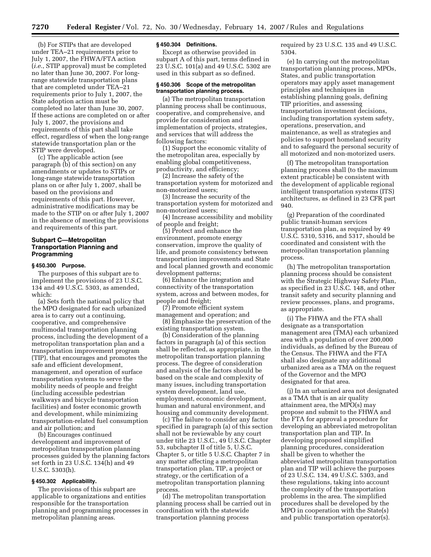(b) For STIPs that are developed under TEA–21 requirements prior to July 1, 2007, the FHWA/FTA action (*i.e.*, STIP approval) must be completed no later than June 30, 2007. For longrange statewide transportation plans that are completed under TEA–21 requirements prior to July 1, 2007, the State adoption action must be completed no later than June 30, 2007. If these actions are completed on or after July 1, 2007, the provisions and requirements of this part shall take effect, regardless of when the long-range statewide transportation plan or the STIP were developed.

(c) The applicable action (see paragraph (b) of this section) on any amendments or updates to STIPs or long-range statewide transportation plans on or after July 1, 2007, shall be based on the provisions and requirements of this part. However, administrative modifications may be made to the STIP on or after July 1, 2007 in the absence of meeting the provisions and requirements of this part.

## **Subpart C—Metropolitan Transportation Planning and Programming**

## **§ 450.300 Purpose.**

The purposes of this subpart are to implement the provisions of 23 U.S.C. 134 and 49 U.S.C. 5303, as amended, which:

(a) Sets forth the national policy that the MPO designated for each urbanized area is to carry out a continuing, cooperative, and comprehensive multimodal transportation planning process, including the development of a metropolitan transportation plan and a transportation improvement program (TIP), that encourages and promotes the safe and efficient development, management, and operation of surface transportation systems to serve the mobility needs of people and freight (including accessible pedestrian walkways and bicycle transportation facilities) and foster economic growth and development, while minimizing transportation-related fuel consumption and air pollution; and

(b) Encourages continued development and improvement of metropolitan transportation planning processes guided by the planning factors set forth in 23 U.S.C. 134(h) and 49 U.S.C. 5303(h).

#### **§ 450.302 Applicability.**

The provisions of this subpart are applicable to organizations and entities responsible for the transportation planning and programming processes in metropolitan planning areas.

#### **§ 450.304 Definitions.**

Except as otherwise provided in subpart A of this part, terms defined in 23 U.S.C. 101(a) and 49 U.S.C. 5302 are used in this subpart as so defined.

## **§ 450.306 Scope of the metropolitan transportation planning process.**

(a) The metropolitan transportation planning process shall be continuous, cooperative, and comprehensive, and provide for consideration and implementation of projects, strategies, and services that will address the following factors:

(1) Support the economic vitality of the metropolitan area, especially by enabling global competitiveness, productivity, and efficiency;

(2) Increase the safety of the transportation system for motorized and non-motorized users;

(3) Increase the security of the transportation system for motorized and non-motorized users;

(4) Increase accessibility and mobility of people and freight;

(5) Protect and enhance the environment, promote energy conservation, improve the quality of life, and promote consistency between transportation improvements and State and local planned growth and economic development patterns;

(6) Enhance the integration and connectivity of the transportation system, across and between modes, for people and freight;

(7) Promote efficient system management and operation; and

(8) Emphasize the preservation of the existing transportation system.

(b) Consideration of the planning factors in paragraph (a) of this section shall be reflected, as appropriate, in the metropolitan transportation planning process. The degree of consideration and analysis of the factors should be based on the scale and complexity of many issues, including transportation system development, land use, employment, economic development, human and natural environment, and housing and community development.

(c) The failure to consider any factor specified in paragraph (a) of this section shall not be reviewable by any court under title 23 U.S.C., 49 U.S.C. Chapter 53, subchapter II of title 5, U.S.C. Chapter 5, or title 5 U.S.C. Chapter 7 in any matter affecting a metropolitan transportation plan, TIP, a project or strategy, or the certification of a metropolitan transportation planning process.

(d) The metropolitan transportation planning process shall be carried out in coordination with the statewide transportation planning process

required by 23 U.S.C. 135 and 49 U.S.C. 5304.

(e) In carrying out the metropolitan transportation planning process, MPOs, States, and public transportation operators may apply asset management principles and techniques in establishing planning goals, defining TIP priorities, and assessing transportation investment decisions, including transportation system safety, operations, preservation, and maintenance, as well as strategies and policies to support homeland security and to safeguard the personal security of all motorized and non-motorized users.

(f) The metropolitan transportation planning process shall (to the maximum extent practicable) be consistent with the development of applicable regional intelligent transportation systems (ITS) architectures, as defined in 23 CFR part 940.

(g) Preparation of the coordinated public transit-human services transportation plan, as required by 49 U.S.C. 5310, 5316, and 5317, should be coordinated and consistent with the metropolitan transportation planning process.

(h) The metropolitan transportation planning process should be consistent with the Strategic Highway Safety Plan, as specified in 23 U.S.C. 148, and other transit safety and security planning and review processes, plans, and programs, as appropriate.

(i) The FHWA and the FTA shall designate as a transportation management area (TMA) each urbanized area with a population of over 200,000 individuals, as defined by the Bureau of the Census. The FHWA and the FTA shall also designate any additional urbanized area as a TMA on the request of the Governor and the MPO designated for that area.

(j) In an urbanized area not designated as a TMA that is an air quality attainment area, the MPO(s) may propose and submit to the FHWA and the FTA for approval a procedure for developing an abbreviated metropolitan transportation plan and TIP. In developing proposed simplified planning procedures, consideration shall be given to whether the abbreviated metropolitan transportation plan and TIP will achieve the purposes of 23 U.S.C. 134, 49 U.S.C. 5303, and these regulations, taking into account the complexity of the transportation problems in the area. The simplified procedures shall be developed by the MPO in cooperation with the State(s) and public transportation operator(s).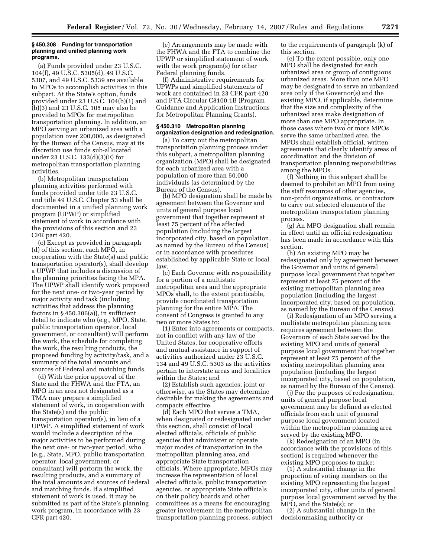#### **§ 450.308 Funding for transportation planning and unified planning work programs.**

(a) Funds provided under 23 U.S.C. 104(f), 49 U.S.C. 5305(d), 49 U.S.C. 5307, and 49 U.S.C. 5339 are available to MPOs to accomplish activities in this subpart. At the State's option, funds provided under 23 U.S.C. 104(b)(1) and (b)(3) and 23 U.S.C. 105 may also be provided to MPOs for metropolitan transportation planning. In addition, an MPO serving an urbanized area with a population over 200,000, as designated by the Bureau of the Census, may at its discretion use funds sub-allocated under 23 U.S.C. 133(d)(3)(E) for metropolitan transportation planning activities.

(b) Metropolitan transportation planning activities performed with funds provided under title 23 U.S.C. and title 49 U.S.C. Chapter 53 shall be documented in a unified planning work program (UPWP) or simplified statement of work in accordance with the provisions of this section and 23 CFR part 420.

(c) Except as provided in paragraph (d) of this section, each MPO, in cooperation with the State(s) and public transportation operator(s), shall develop a UPWP that includes a discussion of the planning priorities facing the MPA. The UPWP shall identify work proposed for the next one- or two-year period by major activity and task (including activities that address the planning factors in § 450.306(a)), in sufficient detail to indicate who (e.g., MPO, State, public transportation operator, local government, or consultant) will perform the work, the schedule for completing the work, the resulting products, the proposed funding by activity/task, and a summary of the total amounts and sources of Federal and matching funds.

(d) With the prior approval of the State and the FHWA and the FTA, an MPO in an area not designated as a TMA may prepare a simplified statement of work, in cooperation with the State(s) and the public transportation operator(s), in lieu of a UPWP. A simplified statement of work would include a description of the major activities to be performed during the next one- or two-year period, who (e.g., State, MPO, public transportation operator, local government, or consultant) will perform the work, the resulting products, and a summary of the total amounts and sources of Federal and matching funds. If a simplified statement of work is used, it may be submitted as part of the State's planning work program, in accordance with 23 CFR part 420.

(e) Arrangements may be made with the FHWA and the FTA to combine the UPWP or simplified statement of work with the work program(s) for other Federal planning funds.

(f) Administrative requirements for UPWPs and simplified statements of work are contained in 23 CFR part 420 and FTA Circular C8100.1B (Program Guidance and Application Instructions for Metropolitan Planning Grants).

#### **§ 450.310 Metropolitan planning organization designation and redesignation.**

(a) To carry out the metropolitan transportation planning process under this subpart, a metropolitan planning organization (MPO) shall be designated for each urbanized area with a population of more than 50,000 individuals (as determined by the Bureau of the Census).

(b) MPO designation shall be made by agreement between the Governor and units of general purpose local government that together represent at least 75 percent of the affected population (including the largest incorporated city, based on population, as named by the Bureau of the Census) or in accordance with procedures established by applicable State or local law.

(c) Each Governor with responsibility for a portion of a multistate metropolitan area and the appropriate MPOs shall, to the extent practicable, provide coordinated transportation planning for the entire MPA. The consent of Congress is granted to any two or more States to:

(1) Enter into agreements or compacts, not in conflict with any law of the United States, for cooperative efforts and mutual assistance in support of activities authorized under 23 U.S.C. 134 and 49 U.S.C. 5303 as the activities pertain to interstate areas and localities within the States; and

(2) Establish such agencies, joint or otherwise, as the States may determine desirable for making the agreements and compacts effective.

(d) Each MPO that serves a TMA, when designated or redesignated under this section, shall consist of local elected officials, officials of public agencies that administer or operate major modes of transportation in the metropolitan planning area, and appropriate State transportation officials. Where appropriate, MPOs may increase the representation of local elected officials, public transportation agencies, or appropriate State officials on their policy boards and other committees as a means for encouraging greater involvement in the metropolitan transportation planning process, subject to the requirements of paragraph (k) of this section.

(e) To the extent possible, only one MPO shall be designated for each urbanized area or group of contiguous urbanized areas. More than one MPO may be designated to serve an urbanized area only if the Governor(s) and the existing MPO, if applicable, determine that the size and complexity of the urbanized area make designation of more than one MPO appropriate. In those cases where two or more MPOs serve the same urbanized area, the MPOs shall establish official, written agreements that clearly identify areas of coordination and the division of transportation planning responsibilities among the MPOs.

(f) Nothing in this subpart shall be deemed to prohibit an MPO from using the staff resources of other agencies, non-profit organizations, or contractors to carry out selected elements of the metropolitan transportation planning process.

(g) An MPO designation shall remain in effect until an official redesignation has been made in accordance with this section.

(h) An existing MPO may be redesignated only by agreement between the Governor and units of general purpose local government that together represent at least 75 percent of the existing metropolitan planning area population (including the largest incorporated city, based on population, as named by the Bureau of the Census).

(i) Redesignation of an MPO serving a multistate metropolitan planning area requires agreement between the Governors of each State served by the existing MPO and units of general purpose local government that together represent at least 75 percent of the existing metropolitan planning area population (including the largest incorporated city, based on population, as named by the Bureau of the Census).

(j) For the purposes of redesignation, units of general purpose local government may be defined as elected officials from each unit of general purpose local government located within the metropolitan planning area served by the existing MPO.

(k) Redesignation of an MPO (in accordance with the provisions of this section) is required whenever the existing MPO proposes to make:

(1) A substantial change in the proportion of voting members on the existing MPO representing the largest incorporated city, other units of general purpose local government served by the MPO, and the State(s); or

(2) A substantial change in the decisionmaking authority or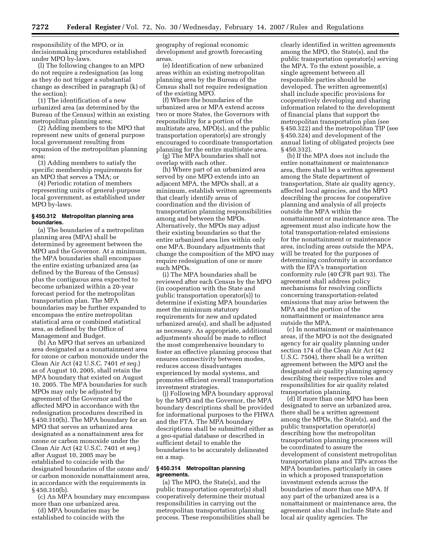responsibility of the MPO, or in decisionmaking procedures established under MPO by-laws.

(l) The following changes to an MPO do not require a redesignation (as long as they do not trigger a substantial change as described in paragraph (k) of the section):

(1) The identification of a new urbanized area (as determined by the Bureau of the Census) within an existing metropolitan planning area;

(2) Adding members to the MPO that represent new units of general purpose local government resulting from expansion of the metropolitan planning area;

(3) Adding members to satisfy the specific membership requirements for an MPO that serves a TMA; or

(4) Periodic rotation of members representing units of general-purpose local government, as established under MPO by-laws.

## **§ 450.312 Metropolitan planning area boundaries.**

(a) The boundaries of a metropolitan planning area (MPA) shall be determined by agreement between the MPO and the Governor. At a minimum, the MPA boundaries shall encompass the entire existing urbanized area (as defined by the Bureau of the Census) plus the contiguous area expected to become urbanized within a 20-year forecast period for the metropolitan transportation plan. The MPA boundaries may be further expanded to encompass the entire metropolitan statistical area or combined statistical area, as defined by the Office of Management and Budget.

(b) An MPO that serves an urbanized area designated as a nonattainment area for ozone or carbon monoxide under the Clean Air Act (42 U.S.C. 7401 *et seq.*) as of August 10, 2005, shall retain the MPA boundary that existed on August 10, 2005. The MPA boundaries for such MPOs may only be adjusted by agreement of the Governor and the affected MPO in accordance with the redesignation procedures described in § 450.310(h). The MPA boundary for an MPO that serves an urbanized area designated as a nonattainment area for ozone or carbon monoxide under the Clean Air Act (42 U.S.C. 7401 et seq.) after August 10, 2005 may be established to coincide with the designated boundaries of the ozone and/ or carbon monoxide nonattainment area, in accordance with the requirements in § 450.310(b).

(c) An MPA boundary may encompass more than one urbanized area.

(d) MPA boundaries may be established to coincide with the geography of regional economic development and growth forecasting areas.

(e) Identification of new urbanized areas within an existing metropolitan planning area by the Bureau of the Census shall not require redesignation of the existing MPO.

(f) Where the boundaries of the urbanized area or MPA extend across two or more States, the Governors with responsibility for a portion of the multistate area, MPO(s), and the public transportation operator(s) are strongly encouraged to coordinate transportation planning for the entire multistate area.

(g) The MPA boundaries shall not overlap with each other.

(h) Where part of an urbanized area served by one MPO extends into an adjacent MPA, the MPOs shall, at a minimum, establish written agreements that clearly identify areas of coordination and the division of transportation planning responsibilities among and between the MPOs. Alternatively, the MPOs may adjust their existing boundaries so that the entire urbanized area lies within only one MPA. Boundary adjustments that change the composition of the MPO may require redesignation of one or more such MPOs.

(i) The MPA boundaries shall be reviewed after each Census by the MPO (in cooperation with the State and public transportation operator(s)) to determine if existing MPA boundaries meet the minimum statutory requirements for new and updated urbanized area(s), and shall be adjusted as necessary. As appropriate, additional adjustments should be made to reflect the most comprehensive boundary to foster an effective planning process that ensures connectivity between modes, reduces access disadvantages experienced by modal systems, and promotes efficient overall transportation investment strategies.

(j) Following MPA boundary approval by the MPO and the Governor, the MPA boundary descriptions shall be provided for informational purposes to the FHWA and the FTA. The MPA boundary descriptions shall be submitted either as a geo-spatial database or described in sufficient detail to enable the boundaries to be accurately delineated on a map.

#### **§ 450.314 Metropolitan planning agreements.**

(a) The MPO, the State(s), and the public transportation operator(s) shall cooperatively determine their mutual responsibilities in carrying out the metropolitan transportation planning process. These responsibilities shall be clearly identified in written agreements among the MPO, the State(s), and the public transportation operator(s) serving the MPA. To the extent possible, a single agreement between all responsible parties should be developed. The written agreement(s) shall include specific provisions for cooperatively developing and sharing information related to the development of financial plans that support the metropolitan transportation plan (see § 450.322) and the metropolitan TIP (see § 450.324) and development of the annual listing of obligated projects (see § 450.332).

(b) If the MPA does not include the entire nonattainment or maintenance area, there shall be a written agreement among the State department of transportation, State air quality agency, affected local agencies, and the MPO describing the process for cooperative planning and analysis of all projects outside the MPA within the nonattainment or maintenance area. The agreement must also indicate how the total transportation-related emissions for the nonattainment or maintenance area, including areas outside the MPA, will be treated for the purposes of determining conformity in accordance with the EPA's transportation conformity rule (40 CFR part 93). The agreement shall address policy mechanisms for resolving conflicts concerning transportation-related emissions that may arise between the MPA and the portion of the nonattainment or maintenance area outside the MPA.

(c) In nonattainment or maintenance areas, if the MPO is not the designated agency for air quality planning under section 174 of the Clean Air Act (42 U.S.C. 7504), there shall be a written agreement between the MPO and the designated air quality planning agency describing their respective roles and responsibilities for air quality related transportation planning.

(d) If more than one MPO has been designated to serve an urbanized area, there shall be a written agreement among the MPOs, the State(s), and the public transportation operator(s) describing how the metropolitan transportation planning processes will be coordinated to assure the development of consistent metropolitan transportation plans and TIPs across the MPA boundaries, particularly in cases in which a proposed transportation investment extends across the boundaries of more than one MPA. If any part of the urbanized area is a nonattainment or maintenance area, the agreement also shall include State and local air quality agencies. The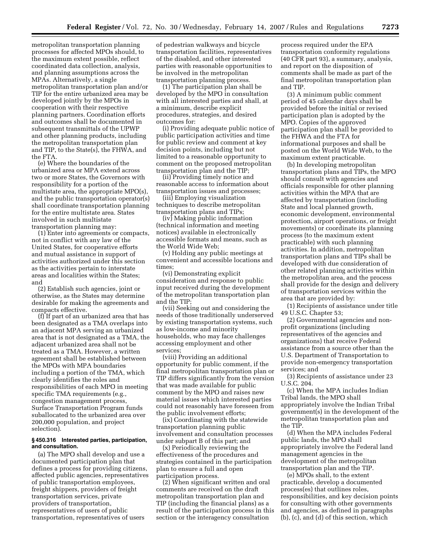metropolitan transportation planning processes for affected MPOs should, to the maximum extent possible, reflect coordinated data collection, analysis, and planning assumptions across the MPAs. Alternatively, a single metropolitan transportation plan and/or TIP for the entire urbanized area may be developed jointly by the MPOs in cooperation with their respective planning partners. Coordination efforts and outcomes shall be documented in subsequent transmittals of the UPWP and other planning products, including the metropolitan transportation plan and TIP, to the State(s), the FHWA, and the FTA.

(e) Where the boundaries of the urbanized area or MPA extend across two or more States, the Governors with responsibility for a portion of the multistate area, the appropriate MPO(s), and the public transportation operator(s) shall coordinate transportation planning for the entire multistate area. States involved in such multistate transportation planning may:

(1) Enter into agreements or compacts, not in conflict with any law of the United States, for cooperative efforts and mutual assistance in support of activities authorized under this section as the activities pertain to interstate areas and localities within the States; and

(2) Establish such agencies, joint or otherwise, as the States may determine desirable for making the agreements and compacts effective.

(f) If part of an urbanized area that has been designated as a TMA overlaps into an adjacent MPA serving an urbanized area that is not designated as a TMA, the adjacent urbanized area shall not be treated as a TMA. However, a written agreement shall be established between the MPOs with MPA boundaries including a portion of the TMA, which clearly identifies the roles and responsibilities of each MPO in meeting specific TMA requirements (e.g., congestion management process, Surface Transportation Program funds suballocated to the urbanized area over 200,000 population, and project selection).

#### **§ 450.316 Interested parties, participation, and consultation.**

(a) The MPO shall develop and use a documented participation plan that defines a process for providing citizens, affected public agencies, representatives of public transportation employees, freight shippers, providers of freight transportation services, private providers of transportation, representatives of users of public transportation, representatives of users

of pedestrian walkways and bicycle transportation facilities, representatives of the disabled, and other interested parties with reasonable opportunities to be involved in the metropolitan transportation planning process.

(1) The participation plan shall be developed by the MPO in consultation with all interested parties and shall, at a minimum, describe explicit procedures, strategies, and desired outcomes for:

(i) Providing adequate public notice of public participation activities and time for public review and comment at key decision points, including but not limited to a reasonable opportunity to comment on the proposed metropolitan transportation plan and the TIP;

(ii) Providing timely notice and reasonable access to information about transportation issues and processes;

(iii) Employing visualization techniques to describe metropolitan transportation plans and TIPs;

(iv) Making public information (technical information and meeting notices) available in electronically accessible formats and means, such as the World Wide Web;

(v) Holding any public meetings at convenient and accessible locations and times;

(vi) Demonstrating explicit consideration and response to public input received during the development of the metropolitan transportation plan and the TIP;

(vii) Seeking out and considering the needs of those traditionally underserved by existing transportation systems, such as low-income and minority households, who may face challenges accessing employment and other services;

(viii) Providing an additional opportunity for public comment, if the final metropolitan transportation plan or TIP differs significantly from the version that was made available for public comment by the MPO and raises new material issues which interested parties could not reasonably have foreseen from the public involvement efforts;

(ix) Coordinating with the statewide transportation planning public involvement and consultation processes under subpart B of this part; and

(x) Periodically reviewing the effectiveness of the procedures and strategies contained in the participation plan to ensure a full and open participation process.

(2) When significant written and oral comments are received on the draft metropolitan transportation plan and TIP (including the financial plans) as a result of the participation process in this section or the interagency consultation

process required under the EPA transportation conformity regulations (40 CFR part 93), a summary, analysis, and report on the disposition of comments shall be made as part of the final metropolitan transportation plan and TIP.

(3) A minimum public comment period of 45 calendar days shall be provided before the initial or revised participation plan is adopted by the MPO. Copies of the approved participation plan shall be provided to the FHWA and the FTA for informational purposes and shall be posted on the World Wide Web, to the maximum extent practicable.

(b) In developing metropolitan transportation plans and TIPs, the MPO should consult with agencies and officials responsible for other planning activities within the MPA that are affected by transportation (including State and local planned growth, economic development, environmental protection, airport operations, or freight movements) or coordinate its planning process (to the maximum extent practicable) with such planning activities. In addition, metropolitan transportation plans and TIPs shall be developed with due consideration of other related planning activities within the metropolitan area, and the process shall provide for the design and delivery of transportation services within the area that are provided by:

(1) Recipients of assistance under title 49 U.S.C. Chapter 53;

(2) Governmental agencies and nonprofit organizations (including representatives of the agencies and organizations) that receive Federal assistance from a source other than the U.S. Department of Transportation to provide non-emergency transportation services; and

(3) Recipients of assistance under 23 U.S.C. 204.

(c) When the MPA includes Indian Tribal lands, the MPO shall appropriately involve the Indian Tribal government(s) in the development of the metropolitan transportation plan and the TIP.

(d) When the MPA includes Federal public lands, the MPO shall appropriately involve the Federal land management agencies in the development of the metropolitan transportation plan and the TIP.

(e) MPOs shall, to the extent practicable, develop a documented process(es) that outlines roles, responsibilities, and key decision points for consulting with other governments and agencies, as defined in paragraphs (b), (c), and (d) of this section, which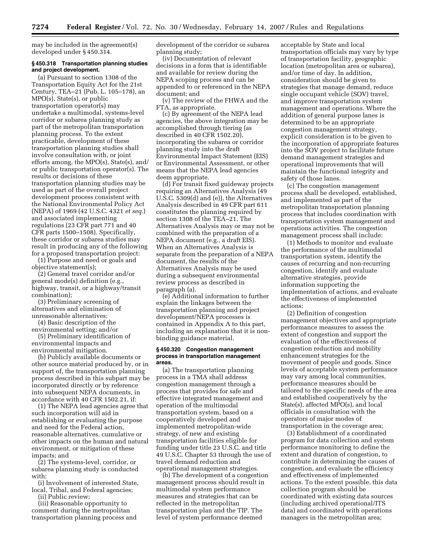may be included in the agreement(s) developed under § 450.314.

#### **§ 450.318 Transportation planning studies and project development.**

(a) Pursuant to section 1308 of the Transportation Equity Act for the 21st Century, TEA–21 (Pub. L. 105–178), an MPO(s), State(s), or public transportation operator(s) may undertake a multimodal, systems-level corridor or subarea planning study as part of the metropolitan transportation planning process. To the extent practicable, development of these transportation planning studies shall involve consultation with, or joint efforts among, the MPO(s), State(s), and/ or public transportation operator(s). The results or decisions of these transportation planning studies may be used as part of the overall project development process consistent with the National Environmental Policy Act (NEPA) of 1969 (42 U.S.C. 4321 *et seq.*) and associated implementing regulations (23 CFR part 771 and 40 CFR parts 1500–1508). Specifically, these corridor or subarea studies may result in producing any of the following for a proposed transportation project:

(1) Purpose and need or goals and objective statement(s);

(2) General travel corridor and/or general mode(s) definition (e.g., highway, transit, or a highway/transit combination);

(3) Preliminary screening of alternatives and elimination of unreasonable alternatives;

(4) Basic description of the environmental setting; and/or

(5) Preliminary identification of environmental impacts and environmental mitigation.

(b) Publicly available documents or other source material produced by, or in support of, the transportation planning process described in this subpart may be incorporated directly or by reference into subsequent NEPA documents, in accordance with 40 CFR 1502.21, if:

(1) The NEPA lead agencies agree that such incorporation will aid in establishing or evaluating the purpose and need for the Federal action, reasonable alternatives, cumulative or other impacts on the human and natural environment, or mitigation of these impacts; and

(2) The systems-level, corridor, or subarea planning study is conducted with:

(i) Involvement of interested State, local, Tribal, and Federal agencies;

(ii) Public review;

(iii) Reasonable opportunity to comment during the metropolitan transportation planning process and development of the corridor or subarea planning study;

(iv) Documentation of relevant decisions in a form that is identifiable and available for review during the NEPA scoping process and can be appended to or referenced in the NEPA document; and

(v) The review of the FHWA and the FTA, as appropriate.

(c) By agreement of the NEPA lead agencies, the above integration may be accomplished through tiering (as described in 40 CFR 1502.20), incorporating the subarea or corridor planning study into the draft Environmental Impact Statement (EIS) or Environmental Assessment, or other means that the NEPA lead agencies deem appropriate.

(d) For transit fixed guideway projects requiring an Alternatives Analysis (49 U.S.C. 5309(d) and (e)), the Alternatives Analysis described in 49 CFR part 611 constitutes the planning required by section 1308 of the TEA–21. The Alternatives Analysis may or may not be combined with the preparation of a NEPA document (e.g., a draft EIS). When an Alternatives Analysis is separate from the preparation of a NEPA document, the results of the Alternatives Analysis may be used during a subsequent environmental review process as described in paragraph (a).

(e) Additional information to further explain the linkages between the transportation planning and project development/NEPA processes is contained in Appendix A to this part, including an explanation that it is nonbinding guidance material.

#### **§ 450.320 Congestion management process in transportation management areas.**

(a) The transportation planning process in a TMA shall address congestion management through a process that provides for safe and effective integrated management and operation of the multimodal transportation system, based on a cooperatively developed and implemented metropolitan-wide strategy, of new and existing transportation facilities eligible for funding under title 23 U.S.C. and title 49 U.S.C. Chapter 53 through the use of travel demand reduction and operational management strategies.

(b) The development of a congestion management process should result in multimodal system performance measures and strategies that can be reflected in the metropolitan transportation plan and the TIP. The level of system performance deemed

acceptable by State and local transportation officials may vary by type of transportation facility, geographic location (metropolitan area or subarea), and/or time of day. In addition, consideration should be given to strategies that manage demand, reduce single occupant vehicle (SOV) travel, and improve transportation system management and operations. Where the addition of general purpose lanes is determined to be an appropriate congestion management strategy, explicit consideration is to be given to the incorporation of appropriate features into the SOV project to facilitate future demand management strategies and operational improvements that will maintain the functional integrity and safety of those lanes.

(c) The congestion management process shall be developed, established, and implemented as part of the metropolitan transportation planning process that includes coordination with transportation system management and operations activities. The congestion management process shall include:

(1) Methods to monitor and evaluate the performance of the multimodal transportation system, identify the causes of recurring and non-recurring congestion, identify and evaluate alternative strategies, provide information supporting the implementation of actions, and evaluate the effectiveness of implemented actions;

(2) Definition of congestion management objectives and appropriate performance measures to assess the extent of congestion and support the evaluation of the effectiveness of congestion reduction and mobility enhancement strategies for the movement of people and goods. Since levels of acceptable system performance may vary among local communities, performance measures should be tailored to the specific needs of the area and established cooperatively by the State(s), affected MPO(s), and local officials in consultation with the operators of major modes of transportation in the coverage area;

(3) Establishment of a coordinated program for data collection and system performance monitoring to define the extent and duration of congestion, to contribute in determining the causes of congestion, and evaluate the efficiency and effectiveness of implemented actions. To the extent possible, this data collection program should be coordinated with existing data sources (including archived operational/ITS data) and coordinated with operations managers in the metropolitan area;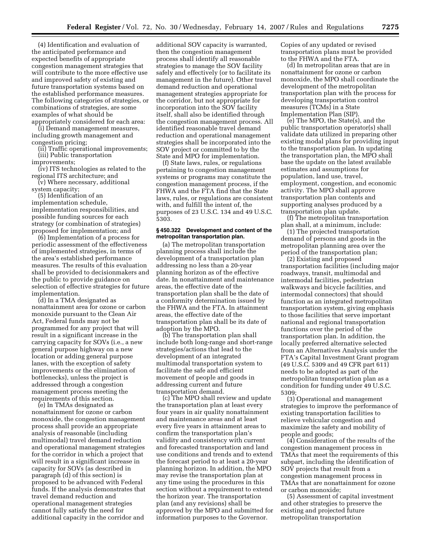(4) Identification and evaluation of the anticipated performance and expected benefits of appropriate congestion management strategies that will contribute to the more effective use and improved safety of existing and future transportation systems based on the established performance measures. The following categories of strategies, or combinations of strategies, are some examples of what should be appropriately considered for each area:

(i) Demand management measures, including growth management and congestion pricing;

(ii) Traffic operational improvements; (iii) Public transportation

improvements;

(iv) ITS technologies as related to the regional ITS architecture; and

(v) Where necessary, additional

system capacity;

(5) Identification of an implementation schedule, implementation responsibilities, and possible funding sources for each strategy (or combination of strategies) proposed for implementation; and

(6) Implementation of a process for periodic assessment of the effectiveness of implemented strategies, in terms of the area's established performance measures. The results of this evaluation shall be provided to decisionmakers and the public to provide guidance on selection of effective strategies for future implementation.

(d) In a TMA designated as nonattainment area for ozone or carbon monoxide pursuant to the Clean Air Act, Federal funds may not be programmed for any project that will result in a significant increase in the carrying capacity for SOVs (i.e., a new general purpose highway on a new location or adding general purpose lanes, with the exception of safety improvements or the elimination of bottlenecks), unless the project is addressed through a congestion management process meeting the requirements of this section.

(e) In TMAs designated as nonattainment for ozone or carbon monoxide, the congestion management process shall provide an appropriate analysis of reasonable (including multimodal) travel demand reduction and operational management strategies for the corridor in which a project that will result in a significant increase in capacity for SOVs (as described in paragraph (d) of this section) is proposed to be advanced with Federal funds. If the analysis demonstrates that travel demand reduction and operational management strategies cannot fully satisfy the need for additional capacity in the corridor and

additional SOV capacity is warranted, then the congestion management process shall identify all reasonable strategies to manage the SOV facility safely and effectively (or to facilitate its management in the future). Other travel demand reduction and operational management strategies appropriate for the corridor, but not appropriate for incorporation into the SOV facility itself, shall also be identified through the congestion management process. All identified reasonable travel demand reduction and operational management strategies shall be incorporated into the SOV project or committed to by the State and MPO for implementation.

(f) State laws, rules, or regulations pertaining to congestion management systems or programs may constitute the congestion management process, if the FHWA and the FTA find that the State laws, rules, or regulations are consistent with, and fulfill the intent of, the purposes of 23 U.S.C. 134 and 49 U.S.C. 5303.

#### **§ 450.322 Development and content of the metropolitan transportation plan.**

(a) The metropolitan transportation planning process shall include the development of a transportation plan addressing no less than a 20-year planning horizon as of the effective date. In nonattainment and maintenance areas, the effective date of the transportation plan shall be the date of a conformity determination issued by the FHWA and the FTA. In attainment areas, the effective date of the transportation plan shall be its date of adoption by the MPO.

(b) The transportation plan shall include both long-range and short-range strategies/actions that lead to the development of an integrated multimodal transportation system to facilitate the safe and efficient movement of people and goods in addressing current and future transportation demand.

(c) The MPO shall review and update the transportation plan at least every four years in air quality nonattainment and maintenance areas and at least every five years in attainment areas to confirm the transportation plan's validity and consistency with current and forecasted transportation and land use conditions and trends and to extend the forecast period to at least a 20-year planning horizon. In addition, the MPO may revise the transportation plan at any time using the procedures in this section without a requirement to extend the horizon year. The transportation plan (and any revisions) shall be approved by the MPO and submitted for information purposes to the Governor.

Copies of any updated or revised transportation plans must be provided to the FHWA and the FTA.

(d) In metropolitan areas that are in nonattainment for ozone or carbon monoxide, the MPO shall coordinate the development of the metropolitan transportation plan with the process for developing transportation control measures (TCMs) in a State Implementation Plan (SIP).

(e) The MPO, the State(s), and the public transportation operator(s) shall validate data utilized in preparing other existing modal plans for providing input to the transportation plan. In updating the transportation plan, the MPO shall base the update on the latest available estimates and assumptions for population, land use, travel, employment, congestion, and economic activity. The MPO shall approve transportation plan contents and supporting analyses produced by a transportation plan update.

(f) The metropolitan transportation plan shall, at a minimum, include:

(1) The projected transportation demand of persons and goods in the metropolitan planning area over the period of the transportation plan;

(2) Existing and proposed transportation facilities (including major roadways, transit, multimodal and intermodal facilities, pedestrian walkways and bicycle facilities, and intermodal connectors) that should function as an integrated metropolitan transportation system, giving emphasis to those facilities that serve important national and regional transportation functions over the period of the transportation plan. In addition, the locally preferred alternative selected from an Alternatives Analysis under the FTA's Capital Investment Grant program (49 U.S.C. 5309 and 49 CFR part 611) needs to be adopted as part of the metropolitan transportation plan as a condition for funding under 49 U.S.C. 5309;

(3) Operational and management strategies to improve the performance of existing transportation facilities to relieve vehicular congestion and maximize the safety and mobility of people and goods;

(4) Consideration of the results of the congestion management process in TMAs that meet the requirements of this subpart, including the identification of SOV projects that result from a congestion management process in TMAs that are nonattainment for ozone or carbon monoxide;

(5) Assessment of capital investment and other strategies to preserve the existing and projected future metropolitan transportation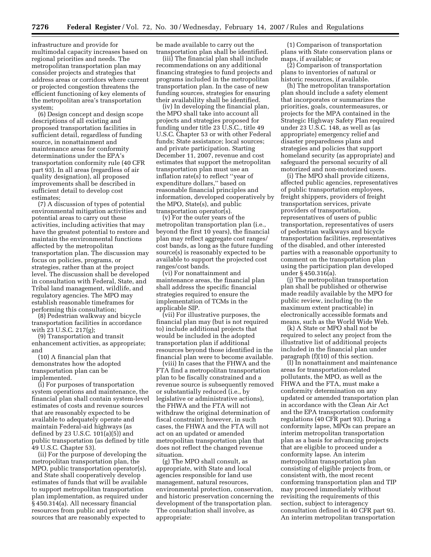infrastructure and provide for multimodal capacity increases based on regional priorities and needs. The metropolitan transportation plan may consider projects and strategies that address areas or corridors where current or projected congestion threatens the efficient functioning of key elements of the metropolitan area's transportation system;

(6) Design concept and design scope descriptions of all existing and proposed transportation facilities in sufficient detail, regardless of funding source, in nonattainment and maintenance areas for conformity determinations under the EPA's transportation conformity rule (40 CFR part 93). In all areas (regardless of air quality designation), all proposed improvements shall be described in sufficient detail to develop cost estimates;

(7) A discussion of types of potential environmental mitigation activities and potential areas to carry out these activities, including activities that may have the greatest potential to restore and maintain the environmental functions affected by the metropolitan transportation plan. The discussion may focus on policies, programs, or strategies, rather than at the project level. The discussion shall be developed in consultation with Federal, State, and Tribal land management, wildlife, and regulatory agencies. The MPO may establish reasonable timeframes for performing this consultation;

(8) Pedestrian walkway and bicycle transportation facilities in accordance with 23 U.S.C. 217(g);

(9) Transportation and transit enhancement activities, as appropriate; and

(10) A financial plan that demonstrates how the adopted transportation plan can be implemented.

(i) For purposes of transportation system operations and maintenance, the financial plan shall contain system-level estimates of costs and revenue sources that are reasonably expected to be available to adequately operate and maintain Federal-aid highways (as defined by 23 U.S.C. 101(a)(5)) and public transportation (as defined by title 49 U.S.C. Chapter 53).

(ii) For the purpose of developing the metropolitan transportation plan, the MPO, public transportation operator(s), and State shall cooperatively develop estimates of funds that will be available to support metropolitan transportation plan implementation, as required under § 450.314(a). All necessary financial resources from public and private sources that are reasonably expected to

be made available to carry out the transportation plan shall be identified.

(iii) The financial plan shall include recommendations on any additional financing strategies to fund projects and programs included in the metropolitan transportation plan. In the case of new funding sources, strategies for ensuring their availability shall be identified.

(iv) In developing the financial plan, the MPO shall take into account all projects and strategies proposed for funding under title 23 U.S.C., title 49 U.S.C. Chapter 53 or with other Federal funds; State assistance; local sources; and private participation. Starting December 11, 2007, revenue and cost estimates that support the metropolitan transportation plan must use an inflation rate(s) to reflect ''year of expenditure dollars,'' based on reasonable financial principles and information, developed cooperatively by the MPO, State(s), and public transportation operator(s).

(v) For the outer years of the metropolitan transportation plan (i.e., beyond the first 10 years), the financial plan may reflect aggregate cost ranges/ cost bands, as long as the future funding source(s) is reasonably expected to be available to support the projected cost ranges/cost bands.

(vi) For nonattainment and maintenance areas, the financial plan shall address the specific financial strategies required to ensure the implementation of TCMs in the applicable SIP.

(vii) For illustrative purposes, the financial plan may (but is not required to) include additional projects that would be included in the adopted transportation plan if additional resources beyond those identified in the financial plan were to become available.

(viii) In cases that the FHWA and the FTA find a metropolitan transportation plan to be fiscally constrained and a revenue source is subsequently removed or substantially reduced (i.e., by legislative or administrative actions), the FHWA and the FTA will not withdraw the original determination of fiscal constraint; however, in such cases, the FHWA and the FTA will not act on an updated or amended metropolitan transportation plan that does not reflect the changed revenue situation.

(g) The MPO shall consult, as appropriate, with State and local agencies responsible for land use management, natural resources, environmental protection, conservation, and historic preservation concerning the development of the transportation plan. The consultation shall involve, as appropriate:

(1) Comparison of transportation plans with State conservation plans or maps, if available; or

(2) Comparison of transportation plans to inventories of natural or historic resources, if available.

(h) The metropolitan transportation plan should include a safety element that incorporates or summarizes the priorities, goals, countermeasures, or projects for the MPA contained in the Strategic Highway Safety Plan required under 23 U.S.C. 148, as well as (as appropriate) emergency relief and disaster preparedness plans and strategies and policies that support homeland security (as appropriate) and safeguard the personal security of all motorized and non-motorized users.

(i) The MPO shall provide citizens, affected public agencies, representatives of public transportation employees, freight shippers, providers of freight transportation services, private providers of transportation, representatives of users of public transportation, representatives of users of pedestrian walkways and bicycle transportation facilities, representatives of the disabled, and other interested parties with a reasonable opportunity to comment on the transportation plan using the participation plan developed under § 450.316(a).

(j) The metropolitan transportation plan shall be published or otherwise made readily available by the MPO for public review, including (to the maximum extent practicable) in electronically accessible formats and means, such as the World Wide Web.

(k) A State or MPO shall not be required to select any project from the illustrative list of additional projects included in the financial plan under paragraph (f)(10) of this section.

(l) In nonattainment and maintenance areas for transportation-related pollutants, the MPO, as well as the FHWA and the FTA, must make a conformity determination on any updated or amended transportation plan in accordance with the Clean Air Act and the EPA transportation conformity regulations (40 CFR part 93). During a conformity lapse, MPOs can prepare an interim metropolitan transportation plan as a basis for advancing projects that are eligible to proceed under a conformity lapse. An interim metropolitan transportation plan consisting of eligible projects from, or consistent with, the most recent conforming transportation plan and TIP may proceed immediately without revisiting the requirements of this section, subject to interagency consultation defined in 40 CFR part 93. An interim metropolitan transportation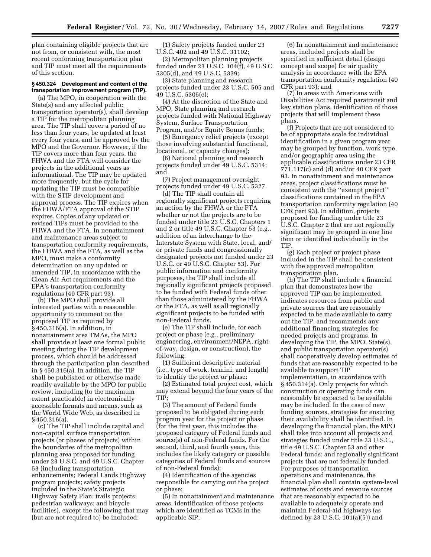plan containing eligible projects that are not from, or consistent with, the most recent conforming transportation plan and TIP must meet all the requirements of this section.

#### **§ 450.324 Development and content of the transportation improvement program (TIP).**

(a) The MPO, in cooperation with the State(s) and any affected public transportation operator(s), shall develop a TIP for the metropolitan planning area. The TIP shall cover a period of no less than four years, be updated at least every four years, and be approved by the MPO and the Governor. However, if the TIP covers more than four years, the FHWA and the FTA will consider the projects in the additional years as informational. The TIP may be updated more frequently, but the cycle for updating the TIP must be compatible with the STIP development and approval process. The TIP expires when the FHWA/FTA approval of the STIP expires. Copies of any updated or revised TIPs must be provided to the FHWA and the FTA. In nonattainment and maintenance areas subject to transportation conformity requirements, the FHWA and the FTA, as well as the MPO, must make a conformity determination on any updated or amended TIP, in accordance with the Clean Air Act requirements and the EPA's transportation conformity regulations (40 CFR part 93).

(b) The MPO shall provide all interested parties with a reasonable opportunity to comment on the proposed TIP as required by § 450.316(a). In addition, in nonattainment area TMAs, the MPO shall provide at least one formal public meeting during the TIP development process, which should be addressed through the participation plan described in § 450.316(a). In addition, the TIP shall be published or otherwise made readily available by the MPO for public review, including (to the maximum extent practicable) in electronically accessible formats and means, such as the World Wide Web, as described in § 450.316(a).

(c) The TIP shall include capital and non-capital surface transportation projects (or phases of projects) within the boundaries of the metropolitan planning area proposed for funding under 23 U.S.C. and 49 U.S.C. Chapter 53 (including transportation enhancements; Federal Lands Highway program projects; safety projects included in the State's Strategic Highway Safety Plan; trails projects; pedestrian walkways; and bicycle facilities), except the following that may (but are not required to) be included:

(1) Safety projects funded under 23 U.S.C. 402 and 49 U.S.C. 31102;

(2) Metropolitan planning projects funded under 23 U.S.C. 104(f), 49 U.S.C. 5305(d), and 49 U.S.C. 5339;

(3) State planning and research projects funded under 23 U.S.C. 505 and 49 U.S.C. 5305(e);

(4) At the discretion of the State and MPO, State planning and research projects funded with National Highway System, Surface Transportation Program, and/or Equity Bonus funds;

(5) Emergency relief projects (except those involving substantial functional, locational, or capacity changes);

(6) National planning and research projects funded under 49 U.S.C. 5314; and

(7) Project management oversight projects funded under 49 U.S.C. 5327.

(d) The TIP shall contain all regionally significant projects requiring an action by the FHWA or the FTA whether or not the projects are to be funded under title 23 U.S.C. Chapters 1 and 2 or title 49 U.S.C. Chapter 53 (e.g., addition of an interchange to the Interstate System with State, local, and/ or private funds and congressionally designated projects not funded under 23 U.S.C. or 49 U.S.C. Chapter 53). For public information and conformity purposes, the TIP shall include all regionally significant projects proposed to be funded with Federal funds other than those administered by the FHWA or the FTA, as well as all regionally significant projects to be funded with non-Federal funds.

(e) The TIP shall include, for each project or phase (e.g., preliminary engineering, environment/NEPA, rightof-way, design, or construction), the following:

(1) Sufficient descriptive material (i.e., type of work, termini, and length) to identify the project or phase;

(2) Estimated total project cost, which may extend beyond the four years of the TIP;

(3) The amount of Federal funds proposed to be obligated during each program year for the project or phase (for the first year, this includes the proposed category of Federal funds and source(s) of non-Federal funds. For the second, third, and fourth years, this includes the likely category or possible categories of Federal funds and sources of non-Federal funds);

(4) Identification of the agencies responsible for carrying out the project or phase;

(5) In nonattainment and maintenance areas, identification of those projects which are identified as TCMs in the applicable SIP;

(6) In nonattainment and maintenance areas, included projects shall be specified in sufficient detail (design concept and scope) for air quality analysis in accordance with the EPA transportation conformity regulation (40 CFR part 93); and

(7) In areas with Americans with Disabilities Act required paratransit and key station plans, identification of those projects that will implement these plans.

(f) Projects that are not considered to be of appropriate scale for individual identification in a given program year may be grouped by function, work type, and/or geographic area using the applicable classifications under 23 CFR 771.117(c) and (d) and/or 40 CFR part 93. In nonattainment and maintenance areas, project classifications must be consistent with the ''exempt project'' classifications contained in the EPA transportation conformity regulation (40 CFR part 93). In addition, projects proposed for funding under title 23 U.S.C. Chapter 2 that are not regionally significant may be grouped in one line item or identified individually in the TIP.

(g) Each project or project phase included in the TIP shall be consistent with the approved metropolitan transportation plan.

(h) The TIP shall include a financial plan that demonstrates how the approved TIP can be implemented, indicates resources from public and private sources that are reasonably expected to be made available to carry out the TIP, and recommends any additional financing strategies for needed projects and programs. In developing the TIP, the MPO, State(s), and public transportation operator(s) shall cooperatively develop estimates of funds that are reasonably expected to be available to support TIP implementation, in accordance with § 450.314(a). Only projects for which construction or operating funds can reasonably be expected to be available may be included. In the case of new funding sources, strategies for ensuring their availability shall be identified. In developing the financial plan, the MPO shall take into account all projects and strategies funded under title 23 U.S.C., title 49 U.S.C. Chapter 53 and other Federal funds; and regionally significant projects that are not federally funded. For purposes of transportation operations and maintenance, the financial plan shall contain system-level estimates of costs and revenue sources that are reasonably expected to be available to adequately operate and maintain Federal-aid highways (as defined by 23 U.S.C. 101(a)(5)) and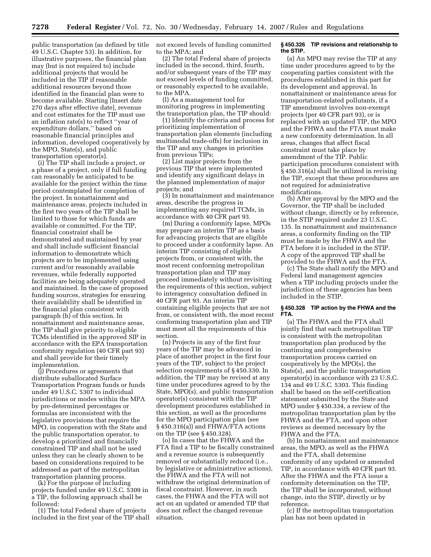public transportation (as defined by title 49 U.S.C. Chapter 53). In addition, for illustrative purposes, the financial plan may (but is not required to) include additional projects that would be included in the TIP if reasonable additional resources beyond those identified in the financial plan were to become available. Starting [Insert date 270 days after effective date], revenue and cost estimates for the TIP must use an inflation rate(s) to reflect ''year of expenditure dollars,'' based on reasonable financial principles and information, developed cooperatively by the MPO, State(s), and public transportation operator(s).

(i) The TIP shall include a project, or a phase of a project, only if full funding can reasonably be anticipated to be available for the project within the time period contemplated for completion of the project. In nonattainment and maintenance areas, projects included in the first two years of the TIP shall be limited to those for which funds are available or committed. For the TIP, financial constraint shall be demonstrated and maintained by year and shall include sufficient financial information to demonstrate which projects are to be implemented using current and/or reasonably available revenues, while federally supported facilities are being adequately operated and maintained. In the case of proposed funding sources, strategies for ensuring their availability shall be identified in the financial plan consistent with paragraph (h) of this section. In nonattainment and maintenance areas, the TIP shall give priority to eligible TCMs identified in the approved SIP in accordance with the EPA transportation conformity regulation (40 CFR part 93) and shall provide for their timely implementation.

(j) Procedures or agreements that distribute suballocated Surface Transportation Program funds or funds under 49 U.S.C. 5307 to individual jurisdictions or modes within the MPA by pre-determined percentages or formulas are inconsistent with the legislative provisions that require the MPO, in cooperation with the State and the public transportation operator, to develop a prioritized and financially constrained TIP and shall not be used unless they can be clearly shown to be based on considerations required to be addressed as part of the metropolitan transportation planning process.

(k) For the purpose of including projects funded under 49 U.S.C. 5309 in a TIP, the following approach shall be followed:

(1) The total Federal share of projects included in the first year of the TIP shall not exceed levels of funding committed to the MPA; and

(2) The total Federal share of projects included in the second, third, fourth, and/or subsequent years of the TIP may not exceed levels of funding committed, or reasonably expected to be available, to the MPA.

(l) As a management tool for monitoring progress in implementing the transportation plan, the TIP should:

(1) Identify the criteria and process for prioritizing implementation of transportation plan elements (including multimodal trade-offs) for inclusion in the TIP and any changes in priorities from previous TIPs;

(2) List major projects from the previous TIP that were implemented and identify any significant delays in the planned implementation of major projects; and

(3) In nonattainment and maintenance areas, describe the progress in implementing any required TCMs, in accordance with 40 CFR part 93.

(m) During a conformity lapse, MPOs may prepare an interim TIP as a basis for advancing projects that are eligible to proceed under a conformity lapse. An interim TIP consisting of eligible projects from, or consistent with, the most recent conforming metropolitan transportation plan and TIP may proceed immediately without revisiting the requirements of this section, subject to interagency consultation defined in 40 CFR part 93. An interim TIP containing eligible projects that are not from, or consistent with, the most recent conforming transportation plan and TIP must meet all the requirements of this section.

(n) Projects in any of the first four years of the TIP may be advanced in place of another project in the first four years of the TIP, subject to the project selection requirements of § 450.330. In addition, the TIP may be revised at any time under procedures agreed to by the State, MPO(s), and public transportation operator(s) consistent with the TIP development procedures established in this section, as well as the procedures for the MPO participation plan (see § 450.316(a)) and FHWA/FTA actions on the TIP (see § 450.328).

(o) In cases that the FHWA and the FTA find a TIP to be fiscally constrained and a revenue source is subsequently removed or substantially reduced (i.e., by legislative or administrative actions), the FHWA and the FTA will not withdraw the original determination of fiscal constraint. However, in such cases, the FHWA and the FTA will not act on an updated or amended TIP that does not reflect the changed revenue situation.

#### **§ 450.326 TIP revisions and relationship to the STIP.**

(a) An MPO may revise the TIP at any time under procedures agreed to by the cooperating parties consistent with the procedures established in this part for its development and approval. In nonattainment or maintenance areas for transportation-related pollutants, if a TIP amendment involves non-exempt projects (per 40 CFR part 93), or is replaced with an updated TIP, the MPO and the FHWA and the FTA must make a new conformity determination. In all areas, changes that affect fiscal constraint must take place by amendment of the TIP. Public participation procedures consistent with § 450.316(a) shall be utilized in revising the TIP, except that these procedures are not required for administrative modifications.

(b) After approval by the MPO and the Governor, the TIP shall be included without change, directly or by reference, in the STIP required under 23 U.S.C. 135. In nonattainment and maintenance areas, a conformity finding on the TIP must be made by the FHWA and the FTA before it is included in the STIP. A copy of the approved TIP shall be provided to the FHWA and the FTA.

(c) The State shall notify the MPO and Federal land management agencies when a TIP including projects under the jurisdiction of these agencies has been included in the STIP.

#### **§ 450.328 TIP action by the FHWA and the FTA.**

(a) The FHWA and the FTA shall jointly find that each metropolitan TIP is consistent with the metropolitan transportation plan produced by the continuing and comprehensive transportation process carried on cooperatively by the MPO(s), the State(s), and the public transportation operator(s) in accordance with 23 U.S.C. 134 and 49 U.S.C. 5303. This finding shall be based on the self-certification statement submitted by the State and MPO under § 450.334, a review of the metropolitan transportation plan by the FHWA and the FTA, and upon other reviews as deemed necessary by the FHWA and the FTA.

(b) In nonattainment and maintenance areas, the MPO, as well as the FHWA and the FTA, shall determine conformity of any updated or amended TIP, in accordance with 40 CFR part 93. After the FHWA and the FTA issue a conformity determination on the TIP, the TIP shall be incorporated, without change, into the STIP, directly or by reference.

(c) If the metropolitan transportation plan has not been updated in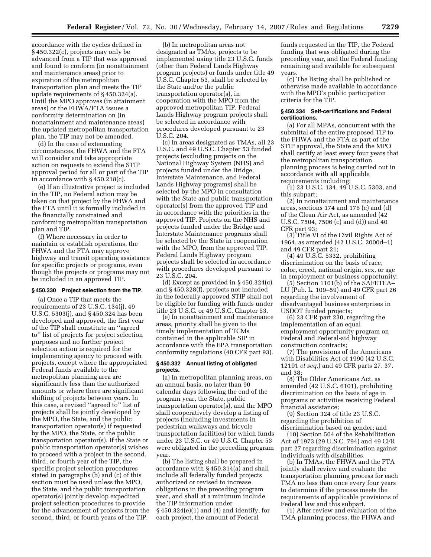accordance with the cycles defined in § 450.322(c), projects may only be advanced from a TIP that was approved and found to conform (in nonattainment and maintenance areas) prior to expiration of the metropolitan transportation plan and meets the TIP update requirements of § 450.324(a). Until the MPO approves (in attainment areas) or the FHWA/FTA issues a conformity determination on (in nonattainment and maintenance areas) the updated metropolitan transportation plan, the TIP may not be amended.

(d) In the case of extenuating circumstances, the FHWA and the FTA will consider and take appropriate action on requests to extend the STIP approval period for all or part of the TIP in accordance with § 450.218(c).

(e) If an illustrative project is included in the TIP, no Federal action may be taken on that project by the FHWA and the FTA until it is formally included in the financially constrained and conforming metropolitan transportation plan and TIP.

(f) Where necessary in order to maintain or establish operations, the FHWA and the FTA may approve highway and transit operating assistance for specific projects or programs, even though the projects or programs may not be included in an approved TIP.

#### **§ 450.330 Project selection from the TIP.**

(a) Once a TIP that meets the requirements of 23 U.S.C. 134(j), 49 U.S.C. 5303(j), and § 450.324 has been developed and approved, the first year of the TIP shall constitute an ''agreed to'' list of projects for project selection purposes and no further project selection action is required for the implementing agency to proceed with projects, except where the appropriated Federal funds available to the metropolitan planning area are significantly less than the authorized amounts or where there are significant shifting of projects between years. In this case, a revised ''agreed to'' list of projects shall be jointly developed by the MPO, the State, and the public transportation operator(s) if requested by the MPO, the State, or the public transportation operator(s). If the State or public transportation operator(s) wishes to proceed with a project in the second, third, or fourth year of the TIP, the specific project selection procedures stated in paragraphs (b) and (c) of this section must be used unless the MPO, the State, and the public transportation operator(s) jointly develop expedited project selection procedures to provide for the advancement of projects from the second, third, or fourth years of the TIP.

(b) In metropolitan areas not designated as TMAs, projects to be implemented using title 23 U.S.C. funds (other than Federal Lands Highway program projects) or funds under title 49 U.S.C. Chapter 53, shall be selected by the State and/or the public transportation operator(s), in cooperation with the MPO from the approved metropolitan TIP. Federal Lands Highway program projects shall be selected in accordance with procedures developed pursuant to 23 U.S.C. 204.

(c) In areas designated as TMAs, all 23 U.S.C. and 49 U.S.C. Chapter 53 funded projects (excluding projects on the National Highway System (NHS) and projects funded under the Bridge, Interstate Maintenance, and Federal Lands Highway programs) shall be selected by the MPO in consultation with the State and public transportation operator(s) from the approved TIP and in accordance with the priorities in the approved TIP. Projects on the NHS and projects funded under the Bridge and Interstate Maintenance programs shall be selected by the State in cooperation with the MPO, from the approved TIP. Federal Lands Highway program projects shall be selected in accordance with procedures developed pursuant to 23 U.S.C. 204.

(d) Except as provided in § 450.324(c) and § 450.328(f), projects not included in the federally approved STIP shall not be eligible for funding with funds under title 23 U.S.C. or 49 U.S.C. Chapter 53.

(e) In nonattainment and maintenance areas, priority shall be given to the timely implementation of TCMs contained in the applicable SIP in accordance with the EPA transportation conformity regulations (40 CFR part 93).

#### **§ 450.332 Annual listing of obligated projects.**

(a) In metropolitan planning areas, on an annual basis, no later than 90 calendar days following the end of the program year, the State, public transportation operator(s), and the MPO shall cooperatively develop a listing of projects (including investments in pedestrian walkways and bicycle transportation facilities) for which funds under 23 U.S.C. or 49 U.S.C. Chapter 53 were obligated in the preceding program year.

(b) The listing shall be prepared in accordance with § 450.314(a) and shall include all federally funded projects authorized or revised to increase obligations in the preceding program year, and shall at a minimum include the TIP information under § 450.324(e)(1) and (4) and identify, for each project, the amount of Federal

funds requested in the TIP, the Federal funding that was obligated during the preceding year, and the Federal funding remaining and available for subsequent years.

(c) The listing shall be published or otherwise made available in accordance with the MPO's public participation criteria for the TIP.

## **§ 450.334 Self-certifications and Federal certifications.**

(a) For all MPAs, concurrent with the submittal of the entire proposed TIP to the FHWA and the FTA as part of the STIP approval, the State and the MPO shall certify at least every four years that the metropolitan transportation planning process is being carried out in accordance with all applicable requirements including:

(1) 23 U.S.C. 134, 49 U.S.C. 5303, and this subpart;

(2) In nonattainment and maintenance areas, sections 174 and 176 (c) and (d) of the Clean Air Act, as amended (42 U.S.C. 7504, 7506 (c) and (d)) and 40 CFR part 93;

(3) Title VI of the Civil Rights Act of 1964, as amended (42 U.S.C. 2000d–1) and 49 CFR part 21;

(4) 49 U.S.C. 5332, prohibiting discrimination on the basis of race, color, creed, national origin, sex, or age in employment or business opportunity;

(5) Section 1101(b) of the SAFETEA– LU (Pub. L. 109–59) and 49 CFR part 26 regarding the involvement of disadvantaged business enterprises in USDOT funded projects;

(6) 23 CFR part 230, regarding the implementation of an equal employment opportunity program on Federal and Federal-aid highway construction contracts;

(7) The provisions of the Americans with Disabilities Act of 1990 (42 U.S.C. 12101 *et seq.*) and 49 CFR parts 27, 37, and 38;

(8) The Older Americans Act, as amended (42 U.S.C. 6101), prohibiting discrimination on the basis of age in programs or activities receiving Federal financial assistance;

(9) Section 324 of title 23 U.S.C. regarding the prohibition of discrimination based on gender; and

(10) Section 504 of the Rehabilitation Act of 1973 (29 U.S.C. 794) and 49 CFR part 27 regarding discrimination against individuals with disabilities.

(b) In TMAs, the FHWA and the FTA jointly shall review and evaluate the transportation planning process for each TMA no less than once every four years to determine if the process meets the requirements of applicable provisions of Federal law and this subpart.

(1) After review and evaluation of the TMA planning process, the FHWA and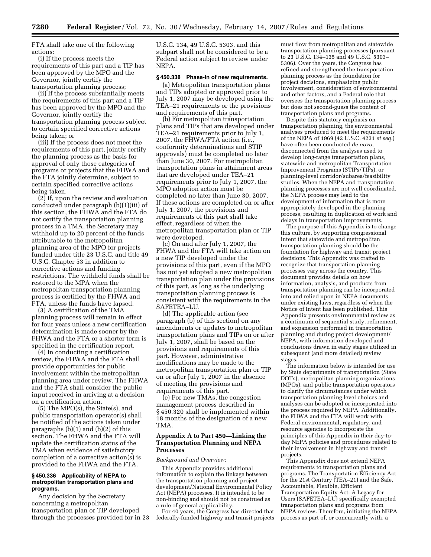FTA shall take one of the following actions:

(i) If the process meets the requirements of this part and a TIP has been approved by the MPO and the Governor, jointly certify the transportation planning process;

(ii) If the process substantially meets the requirements of this part and a TIP has been approved by the MPO and the Governor, jointly certify the transportation planning process subject to certain specified corrective actions being taken; or

(iii) If the process does not meet the requirements of this part, jointly certify the planning process as the basis for approval of only those categories of programs or projects that the FHWA and the FTA jointly determine, subject to certain specified corrective actions being taken.

 $(2)$  If, upon the review and evaluation conducted under paragraph (b)(1)(iii) of this section, the FHWA and the FTA do not certify the transportation planning process in a TMA, the Secretary may withhold up to 20 percent of the funds attributable to the metropolitan planning area of the MPO for projects funded under title 23 U.S.C. and title 49 U.S.C. Chapter 53 in addition to corrective actions and funding restrictions. The withheld funds shall be restored to the MPA when the metropolitan transportation planning process is certified by the FHWA and FTA, unless the funds have lapsed.

(3) A certification of the TMA planning process will remain in effect for four years unless a new certification determination is made sooner by the FHWA and the FTA or a shorter term is specified in the certification report.

(4) In conducting a certification review, the FHWA and the FTA shall provide opportunities for public involvement within the metropolitan planning area under review. The FHWA and the FTA shall consider the public input received in arriving at a decision on a certification action.

(5) The MPO(s), the State(s), and public transportation operator(s) shall be notified of the actions taken under paragraphs (b)(1) and (b)(2) of this section. The FHWA and the FTA will update the certification status of the TMA when evidence of satisfactory completion of a corrective action(s) is provided to the FHWA and the FTA.

#### **§ 450.336 Applicability of NEPA to metropolitan transportation plans and programs.**

Any decision by the Secretary concerning a metropolitan transportation plan or TIP developed through the processes provided for in 23

U.S.C. 134, 49 U.S.C. 5303, and this subpart shall not be considered to be a Federal action subject to review under NEPA.

## **§ 450.338 Phase-in of new requirements.**

(a) Metropolitan transportation plans and TIPs adopted or approved prior to July 1, 2007 may be developed using the TEA–21 requirements or the provisions and requirements of this part.

(b) For metropolitan transportation plans and TIPs that are developed under TEA–21 requirements prior to July 1, 2007, the FHWA/FTA action (i.e.) conformity determinations and STIP approvals) must be completed no later than June 30, 2007. For metropolitan transportation plans in attainment areas that are developed under TEA–21 requirements prior to July 1, 2007, the MPO adoption action must be completed no later than June 30, 2007. If these actions are completed on or after July 1, 2007, the provisions and requirements of this part shall take effect, regardless of when the metropolitan transportation plan or TIP were developed.

(c) On and after July 1, 2007, the FHWA and the FTA will take action on a new TIP developed under the provisions of this part, even if the MPO has not yet adopted a new metropolitan transportation plan under the provisions of this part, as long as the underlying transportation planning process is consistent with the requirements in the SAFETEA–LU.

(d) The applicable action (see paragraph (b) of this section) on any amendments or updates to metropolitan transportation plans and TIPs on or after July 1, 2007, shall be based on the provisions and requirements of this part. However, administrative modifications may be made to the metropolitan transportation plan or TIP on or after July 1, 2007 in the absence of meeting the provisions and requirements of this part.

(e) For new TMAs, the congestion management process described in § 450.320 shall be implemented within 18 months of the designation of a new TMA.

## **Appendix A to Part 450—Linking the Transportation Planning and NEPA Processes**

#### *Background and Overview:*

This Appendix provides additional information to explain the linkage between the transportation planning and project development/National Environmental Policy Act (NEPA) processes. It is intended to be non-binding and should not be construed as a rule of general applicability.

For 40 years, the Congress has directed that federally-funded highway and transit projects must flow from metropolitan and statewide transportation planning processes (pursuant to 23 U.S.C. 134–135 and 49 U.S.C. 5303– 5306). Over the years, the Congress has refined and strengthened the transportation planning process as the foundation for project decisions, emphasizing public involvement, consideration of environmental and other factors, and a Federal role that oversees the transportation planning process but does not second-guess the content of transportation plans and programs.

Despite this statutory emphasis on transportation planning, the environmental analyses produced to meet the requirements of the NEPA of 1969 (42 U.S.C. 4231 *et seq.*) have often been conducted *de novo,*  disconnected from the analyses used to develop long-range transportation plans, statewide and metropolitan Transportation Improvement Programs (STIPs/TIPs), or planning-level corridor/subarea/feasibility studies. When the NEPA and transportation planning processes are not well coordinated, the NEPA process may lead to the development of information that is more appropriately developed in the planning process, resulting in duplication of work and delays in transportation improvements.

The purpose of this Appendix is to change this culture, by supporting congressional intent that statewide and metropolitan transportation planning should be the foundation for highway and transit project decisions. This Appendix was crafted to recognize that transportation planning processes vary across the country. This document provides details on how information, analysis, and products from transportation planning can be incorporated into and relied upon in NEPA documents under existing laws, regardless of when the Notice of Intent has been published. This Appendix presents environmental review as a continuum of sequential study, refinement, and expansion performed in transportation planning and during project development/ NEPA, with information developed and conclusions drawn in early stages utilized in subsequent (and more detailed) review stages.

The information below is intended for use by State departments of transportation (State DOTs), metropolitan planning organizations (MPOs), and public transportation operators to clarify the circumstances under which transportation planning level choices and analyses can be adopted or incorporated into the process required by NEPA. Additionally, the FHWA and the FTA will work with Federal environmental, regulatory, and resource agencies to incorporate the principles of this Appendix in their day-today NEPA policies and procedures related to their involvement in highway and transit projects.

This Appendix does not extend NEPA requirements to transportation plans and programs. The Transportation Efficiency Act for the 21st Century (TEA–21) and the Safe, Accountable, Flexible, Efficient Transportation Equity Act: A Legacy for Users (SAFETEA–LU) specifically exempted transportation plans and programs from NEPA review. Therefore, initiating the NEPA process as part of, or concurrently with, a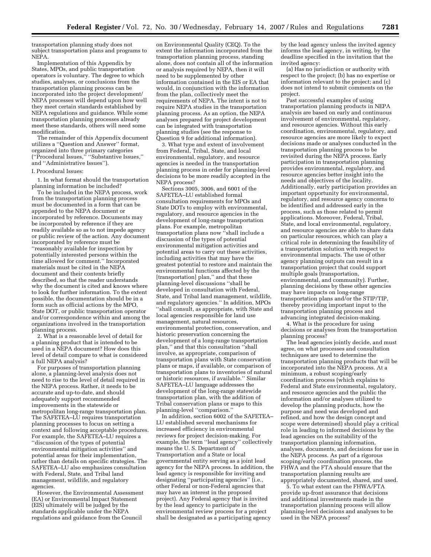transportation planning study does not subject transportation plans and programs to NEPA.

Implementation of this Appendix by States, MPOs, and public transportation operators is voluntary. The degree to which studies, analyses, or conclusions from the transportation planning process can be incorporated into the project development/ NEPA processes will depend upon how well they meet certain standards established by NEPA regulations and guidance. While some transportation planning processes already meet these standards, others will need some modification.

The remainder of this Appendix document utilizes a ''Question and Answer'' format, organized into three primary categories (''Procedural Issues,'' ''Substantive Issues,'' and ''Administrative Issues'').

#### I. Procedural Issues:

1. In what format should the transportation planning information be included?

To be included in the NEPA process, work from the transportation planning process must be documented in a form that can be appended to the NEPA document or incorporated by reference. Documents may be incorporated by reference if they are readily available so as to not impede agency or public review of the action. Any document incorporated by reference must be ''reasonably available for inspection by potentially interested persons within the time allowed for comment.'' Incorporated materials must be cited in the NEPA document and their contents briefly described, so that the reader understands why the document is cited and knows where to look for further information. To the extent possible, the documentation should be in a form such as official actions by the MPO, State DOT, or public transportation operator and/or correspondence within and among the organizations involved in the transportation planning process.

2. What is a reasonable level of detail for a planning product that is intended to be used in a NEPA document? How does this level of detail compare to what is considered a full NEPA analysis?

For purposes of transportation planning alone, a planning-level analysis does not need to rise to the level of detail required in the NEPA process. Rather, it needs to be accurate and up-to-date, and should adequately support recommended improvements in the statewide or metropolitan long-range transportation plan. The SAFETEA–LU requires transportation planning processes to focus on setting a context and following acceptable procedures. For example, the SAFETEA–LU requires a ''discussion of the types of potential environmental mitigation activities'' and potential areas for their implementation, rather than details on specific strategies. The SAFETEA–LU also emphasizes consultation with Federal, State, and Tribal land management, wildlife, and regulatory agencies.

However, the Environmental Assessment (EA) or Environmental Impact Statement (EIS) ultimately will be judged by the standards applicable under the NEPA regulations and guidance from the Council

on Environmental Quality (CEQ). To the extent the information incorporated from the transportation planning process, standing alone, does not contain all of the information or analysis required by NEPA, then it will need to be supplemented by other information contained in the EIS or EA that would, in conjunction with the information from the plan, collectively meet the requirements of NEPA. The intent is not to require NEPA studies in the transportation planning process. As an option, the NEPA analyses prepared for project development can be integrated with transportation planning studies (see the response to Question 9 for additional information).

3. What type and extent of involvement from Federal, Tribal, State, and local environmental, regulatory, and resource agencies is needed in the transportation planning process in order for planning-level decisions to be more readily accepted in the NEPA process?

Sections 3005, 3006, and 6001 of the SAFETEA–LU established formal consultation requirements for MPOs and State DOTs to employ with environmental, regulatory, and resource agencies in the development of long-range transportation plans. For example, metropolitan transportation plans now ''shall include a discussion of the types of potential environmental mitigation activities and potential areas to carry out these activities, including activities that may have the greatest potential to restore and maintain the environmental functions affected by the [transportation] plan," and that these planning-level discussions ''shall be developed in consultation with Federal, State, and Tribal land management, wildlife, and regulatory agencies.'' In addition, MPOs ''shall consult, as appropriate, with State and local agencies responsible for land use management, natural resources, environmental protection, conservation, and historic preservation concerning the development of a long-range transportation plan,'' and that this consultation ''shall involve, as appropriate, comparison of transportation plans with State conservation plans or maps, if available, or comparison of transportation plans to inventories of natural or historic resources, if available.'' Similar SAFETEA–LU language addresses the development of the long-range statewide transportation plan, with the addition of Tribal conservation plans or maps to this planning-level ''comparison.''

In addition, section 6002 of the SAFETEA– LU established several mechanisms for increased efficiency in environmental reviews for project decision-making. For example, the term ''lead agency'' collectively means the U. S. Department of Transportation and a State or local governmental entity serving as a joint lead agency for the NEPA process. In addition, the lead agency is responsible for inviting and designating ''participating agencies'' (i.e., other Federal or non-Federal agencies that may have an interest in the proposed project). Any Federal agency that is invited by the lead agency to participate in the environmental review process for a project shall be designated as a participating agency

by the lead agency unless the invited agency informs the lead agency, in writing, by the deadline specified in the invitation that the invited agency:

(a) Has no jurisdiction or authority with respect to the project; (b) has no expertise or information relevant to the project; and (c) does not intend to submit comments on the project.

Past successful examples of using transportation planning products in NEPA analysis are based on early and continuous involvement of environmental, regulatory, and resource agencies. Without this early coordination, environmental, regulatory, and resource agencies are more likely to expect decisions made or analyses conducted in the transportation planning process to be revisited during the NEPA process. Early participation in transportation planning provides environmental, regulatory, and resource agencies better insight into the needs and objectives of the locality. Additionally, early participation provides an important opportunity for environmental, regulatory, and resource agency concerns to be identified and addressed early in the process, such as those related to permit applications. Moreover, Federal, Tribal, State, and local environmental, regulatory, and resource agencies are able to share data on particular resources, which can play a critical role in determining the feasibility of a transportation solution with respect to environmental impacts. The use of other agency planning outputs can result in a transportation project that could support multiple goals (transportation, environmental, and community). Further, planning decisions by these other agencies may have impacts on long-range transportation plans and/or the STIP/TIP, thereby providing important input to the transportation planning process and advancing integrated decision-making.

4. What is the procedure for using decisions or analyses from the transportation planning process?

The lead agencies jointly decide, and must agree, on what processes and consultation techniques are used to determine the transportation planning products that will be incorporated into the NEPA process. At a minimum, a robust scoping/early coordination process (which explains to Federal and State environmental, regulatory, and resource agencies and the public the information and/or analyses utilized to develop the planning products, how the purpose and need was developed and refined, and how the design concept and scope were determined) should play a critical role in leading to informed decisions by the lead agencies on the suitability of the transportation planning information, analyses, documents, and decisions for use in the NEPA process. As part of a rigorous scoping/early coordination process, the FHWA and the FTA should ensure that the transportation planning results are appropriately documented, shared, and used.

5. To what extent can the FHWA/FTA provide up-front assurance that decisions and additional investments made in the transportation planning process will allow planning-level decisions and analyses to be used in the NEPA process?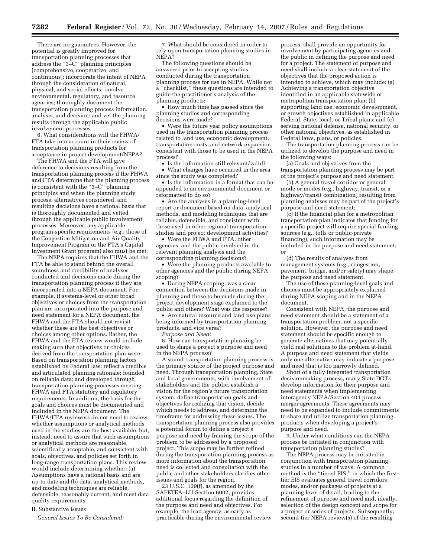There are no guarantees. However, the potential is greatly improved for transportation planning processes that address the ''3–C'' planning principles (comprehensive, cooperative, and continuous); incorporate the intent of NEPA through the consideration of natural, physical, and social effects; involve environmental, regulatory, and resource agencies; thoroughly document the transportation planning process information, analysis, and decision; and vet the planning results through the applicable public involvement processes.

6. What considerations will the FHWA/ FTA take into account in their review of transportation planning products for acceptance in project development/NEPA?

The FHWA and the FTA will give deference to decisions resulting from the transportation planning process if the FHWA and FTA determine that the planning process is consistent with the ''3–C'' planning principles and when the planning study process, alternatives considered, and resulting decisions have a rational basis that is thoroughly documented and vetted through the applicable public involvement processes. Moreover, any applicable program-specific requirements (e.g., those of the Congestion Mitigation and Air Quality Improvement Program or the FTA's Capital Investment Grant program) also must be met.

The NEPA requires that the FHWA and the FTA be able to stand behind the overall soundness and credibility of analyses conducted and decisions made during the transportation planning process if they are incorporated into a NEPA document. For example, if systems-level or other broad objectives or choices from the transportation plan are incorporated into the purpose and need statement for a NEPA document, the FHWA and the FTA should not revisit whether these are the best objectives or choices among other options. Rather, the FHWA and the FTA review would include making sure that objectives or choices derived from the transportation plan were: Based on transportation planning factors established by Federal law; reflect a credible and articulated planning rationale; founded on reliable data; and developed through transportation planning processes meeting FHWA and FTA statutory and regulatory requirements. In addition, the basis for the goals and choices must be documented and included in the NEPA document. The FHWA/FTA reviewers do not need to review whether assumptions or analytical methods used in the studies are the best available, but, instead, need to assure that such assumptions or analytical methods are reasonable, scientifically acceptable, and consistent with goals, objectives, and policies set forth in long-range transportation plans. This review would include determining whether: (a) Assumptions have a rational basis and are up-to-date and (b) data, analytical methods, and modeling techniques are reliable, defensible, reasonably current, and meet data quality requirements.

## II. Substantive Issues

*General Issues To Be Considered:* 

7. What should be considered in order to rely upon transportation planning studies in NEPA?

The following questions should be answered prior to accepting studies conducted during the transportation planning process for use in NEPA. While not a ''checklist,'' these questions are intended to guide the practitioner's analysis of the planning products:

• How much time has passed since the planning studies and corresponding decisions were made?

• Were the future year policy assumptions used in the transportation planning process related to land use, economic development, transportation costs, and network expansion consistent with those to be used in the NEPA process?

Is the information still relevant/valid?

• What changes have occurred in the area since the study was completed?

• Is the information in a format that can be appended to an environmental document or reformatted to do so?

• Are the analyses in a planning-level report or document based on data, analytical methods, and modeling techniques that are reliable, defensible, and consistent with those used in other regional transportation studies and project development activities?

• Were the FHWA and FTA, other agencies, and the public involved in the relevant planning analysis and the corresponding planning decisions?

• Were the planning products available to other agencies and the public during NEPA scoping?

• During NEPA scoping, was a clear connection between the decisions made in planning and those to be made during the project development stage explained to the public and others? What was the response?

• Are natural resource and land use plans being informed by transportation planning products, and vice versa?

*Purpose and Need:* 

8. How can transportation planning be used to shape a project's purpose and need in the NEPA process?

A sound transportation planning process is the primary source of the project purpose and need. Through transportation planning, State and local governments, with involvement of stakeholders and the public, establish a vision for the region's future transportation system, define transportation goals and objectives for realizing that vision, decide which needs to address, and determine the timeframe for addressing these issues. The transportation planning process also provides a potential forum to define a project's purpose and need by framing the scope of the problem to be addressed by a proposed project. This scope may be further refined during the transportation planning process as more information about the transportation need is collected and consultation with the public and other stakeholders clarifies other issues and goals for the region.

23 U.S.C. 139(f), as amended by the SAFETEA–LU Section 6002, provides additional focus regarding the definition of the purpose and need and objectives. For example, the lead agency, as early as practicable during the environmental review

process, shall provide an opportunity for involvement by participating agencies and the public in defining the purpose and need for a project. The statement of purpose and need shall include a clear statement of the objectives that the proposed action is intended to achieve, which may include: (a) Achieving a transportation objective identified in an applicable statewide or metropolitan transportation plan; (b) supporting land use, economic development, or growth objectives established in applicable Federal, State, local, or Tribal plans; and (c) serving national defense, national security, or other national objectives, as established in Federal laws, plans, or policies.

The transportation planning process can be utilized to develop the purpose and need in the following ways:

(a) Goals and objectives from the transportation planning process may be part of the project's purpose and need statement;

(b) A general travel corridor or general mode or modes (e.g., highway, transit, or a highway/transit combination) resulting from planning analyses may be part of the project's purpose and need statement;

(c) If the financial plan for a metropolitan transportation plan indicates that funding for a specific project will require special funding sources (e.g., tolls or public-private financing), such information may be included in the purpose and need statement; or

(d) The results of analyses from management systems (e.g., congestion, pavement, bridge, and/or safety) may shape the purpose and need statement.

The use of these planning-level goals and choices must be appropriately explained during NEPA scoping and in the NEPA document.

Consistent with NEPA, the purpose and need statement should be a statement of a transportation problem, not a specific solution. However, the purpose and need statement should be specific enough to generate alternatives that may potentially yield real solutions to the problem at-hand. A purpose and need statement that yields only one alternative may indicate a purpose and need that is too narrowly defined.

Short of a fully integrated transportation decisionmaking process, many State DOTs develop information for their purpose and need statements when implementing interagency NEPA/Section 404 process merger agreements. These agreements may need to be expanded to include commitments to share and utilize transportation planning products when developing a project's purpose and need.

9. Under what conditions can the NEPA process be initiated in conjunction with transportation planning studies?

The NEPA process may be initiated in conjunction with transportation planning studies in a number of ways. A common method is the "tiered EIS," in which the firsttier EIS evaluates general travel corridors, modes, and/or packages of projects at a planning level of detail, leading to the refinement of purpose and need and, ideally, selection of the design concept and scope for a project or series of projects. Subsequently, second-tier NEPA review(s) of the resulting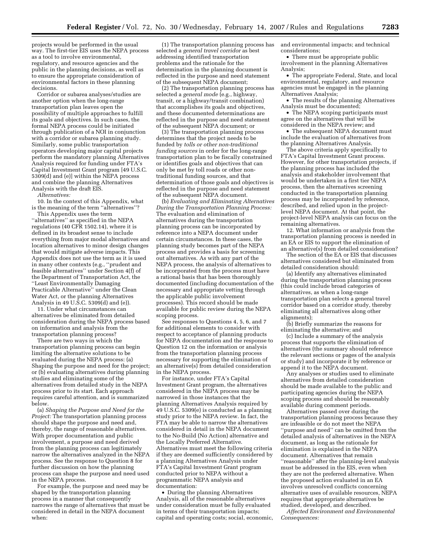projects would be performed in the usual way. The first-tier EIS uses the NEPA process as a tool to involve environmental, regulatory, and resource agencies and the public in the planning decisions, as well as to ensure the appropriate consideration of environmental factors in these planning decisions.

Corridor or subarea analyses/studies are another option when the long-range transportation plan leaves open the possibility of multiple approaches to fulfill its goals and objectives. In such cases, the formal NEPA process could be initiated through publication of a NOI in conjunction with a corridor or subarea planning study. Similarly, some public transportation operators developing major capital projects perform the mandatory planning Alternatives Analysis required for funding under FTA's Capital Investment Grant program [49 U.S.C. 5309(d) and (e)] within the NEPA process and combine the planning Alternatives Analysis with the draft EIS.

*Alternatives:* 

10. In the context of this Appendix, what is the meaning of the term ''alternatives''?

This Appendix uses the term ''alternatives'' as specified in the NEPA regulations (40 CFR 1502.14), where it is defined in its broadest sense to include everything from major modal alternatives and location alternatives to minor design changes that would mitigate adverse impacts. This Appendix does not use the term as it is used in many other contexts (e.g., ''prudent and feasible alternatives'' under Section 4(f) of the Department of Transportation Act, the ''Least Environmentally Damaging Practicable Alternative'' under the Clean Water Act, or the planning Alternatives Analysis in 49 U.S.C. 5309(d) and (e)).

11. Under what circumstances can alternatives be eliminated from detailed consideration during the NEPA process based on information and analysis from the transportation planning process?

There are two ways in which the transportation planning process can begin limiting the alternative solutions to be evaluated during the NEPA process: (a) Shaping the purpose and need for the project; or (b) evaluating alternatives during planning studies and eliminating some of the alternatives from detailed study in the NEPA process prior to its start. Each approach requires careful attention, and is summarized below.

(a) *Shaping the Purpose and Need for the Project:* The transportation planning process should shape the purpose and need and, thereby, the range of reasonable alternatives. With proper documentation and public involvement, a purpose and need derived from the planning process can legitimately narrow the alternatives analyzed in the NEPA process. See the response to Question 8 for further discussion on how the planning process can shape the purpose and need used in the NEPA process.

For example, the purpose and need may be shaped by the transportation planning process in a manner that consequently narrows the range of alternatives that must be considered in detail in the NEPA document when:

(1) The transportation planning process has selected a *general travel corridor* as best addressing identified transportation problems and the rationale for the determination in the planning document is reflected in the purpose and need statement of the subsequent NEPA document;

(2) The transportation planning process has selected a *general mode* (e.g., highway, transit, or a highway/transit combination) that accomplishes its goals and objectives, and these documented determinations are reflected in the purpose and need statement of the subsequent NEPA document; or

(3) The transportation planning process determines that the project needs to be funded by *tolls or other non-traditional funding sources* in order for the long-range transportation plan to be fiscally constrained or identifies goals and objectives that can only be met by toll roads or other nontraditional funding sources, and that determination of those goals and objectives is reflected in the purpose and need statement of the subsequent NEPA document.

(b) *Evaluating and Eliminating Alternatives During the Transportation Planning Process:*  The evaluation and elimination of alternatives during the transportation planning process can be incorporated by reference into a NEPA document under certain circumstances. In these cases, the planning study becomes part of the NEPA process and provides a basis for screening out alternatives. As with any part of the NEPA process, the analysis of alternatives to be incorporated from the process must have a rational basis that has been thoroughly documented (including documentation of the necessary and appropriate vetting through the applicable public involvement processes). This record should be made available for public review during the NEPA scoping process.

See responses to Questions 4, 5, 6, and 7 for additional elements to consider with respect to acceptance of planning products for NEPA documentation and the response to Question 12 on the information or analysis from the transportation planning process necessary for supporting the elimination of an alternative(s) from detailed consideration in the NEPA process.

For instance, under FTA's Capital Investment Grant program, the alternatives considered in the NEPA process may be narrowed in those instances that the planning Alternatives Analysis required by 49 U.S.C. 5309(e) is conducted as a planning study prior to the NEPA review. In fact, the FTA may be able to narrow the alternatives considered in detail in the NEPA document to the No-Build (No Action) alternative and the Locally Preferred Alternative. Alternatives must meet the following criteria if they are deemed sufficiently considered by a planning Alternatives Analysis under FTA's Capital Investment Grant program conducted prior to NEPA without a programmatic NEPA analysis and documentation:

• During the planning Alternatives Analysis, all of the reasonable alternatives under consideration must be fully evaluated in terms of their transportation impacts; capital and operating costs; social, economic, and environmental impacts; and technical considerations;

• There must be appropriate public involvement in the planning Alternatives Analysis;

• The appropriate Federal, State, and local environmental, regulatory, and resource agencies must be engaged in the planning Alternatives Analysis;

• The results of the planning Alternatives Analysis must be documented;

• The NEPA scoping participants must agree on the alternatives that will be considered in the NEPA review; and

• The subsequent NEPA document must include the evaluation of alternatives from the planning Alternatives Analysis.

The above criteria apply specifically to FTA's Capital Investment Grant process. However, for other transportation projects, if the planning process has included the analysis and stakeholder involvement that would be undertaken in a first tier NEPA process, then the alternatives screening conducted in the transportation planning process may be incorporated by reference, described, and relied upon in the projectlevel NEPA document. At that point, the project-level NEPA analysis can focus on the remaining alternatives.

12. What information or analysis from the transportation planning process is needed in an EA or EIS to support the elimination of an alternative(s) from detailed consideration?

The section of the EA or EIS that discusses alternatives considered but eliminated from detailed consideration should:

(a) Identify any alternatives eliminated during the transportation planning process (this could include broad categories of alternatives, as when a long-range transportation plan selects a general travel corridor based on a corridor study, thereby eliminating all alternatives along other alignments);

(b) Briefly summarize the reasons for eliminating the alternative; and

(c) Include a summary of the analysis process that supports the elimination of alternatives (the summary should reference the relevant sections or pages of the analysis or study) and incorporate it by reference or append it to the NEPA document.

Any analyses or studies used to eliminate alternatives from detailed consideration should be made available to the public and participating agencies during the NEPA scoping process and should be reasonably available during comment periods.

Alternatives passed over during the transportation planning process because they are infeasible or do not meet the NEPA ''purpose and need'' can be omitted from the detailed analysis of alternatives in the NEPA document, as long as the rationale for elimination is explained in the NEPA document. Alternatives that remain ''reasonable'' after the planning-level analysis must be addressed in the EIS, even when they are not the preferred alternative. When the proposed action evaluated in an EA involves unresolved conflicts concerning alternative uses of available resources, NEPA requires that appropriate alternatives be studied, developed, and described.

*Affected Environment and Environmental Consequences:*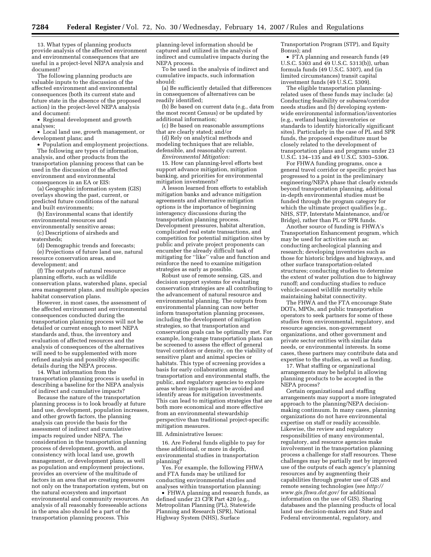13. What types of planning products provide analysis of the affected environment and environmental consequences that are useful in a project-level NEPA analysis and document?

The following planning products are valuable inputs to the discussion of the affected environment and environmental consequences (both its current state and future state in the absence of the proposed action) in the project-level NEPA analysis and document:

• Regional development and growth analyses;

• Local land use, growth management, or development plans; and

• Population and employment projections. The following are types of information, analysis, and other products from the transportation planning process that can be

used in the discussion of the affected environment and environmental consequences in an EA or EIS:

(a) Geographic information system (GIS) overlays showing the past, current, or predicted future conditions of the natural and built environments;

(b) Environmental scans that identify environmental resources and

environmentally sensitive areas;

(c) Descriptions of airsheds and watersheds;

(d) Demographic trends and forecasts; (e) Projections of future land use, natural

resource conservation areas, and development; and

(f) The outputs of natural resource planning efforts, such as wildlife conservation plans, watershed plans, special area management plans, and multiple species habitat conservation plans.

However, in most cases, the assessment of the affected environment and environmental consequences conducted during the transportation planning process will not be detailed or current enough to meet NEPA standards and, thus, the inventory and evaluation of affected resources and the analysis of consequences of the alternatives will need to be supplemented with more refined analysis and possibly site-specific details during the NEPA process.

14. What information from the transportation planning process is useful in describing a baseline for the NEPA analysis of indirect and cumulative impacts?

Because the nature of the transportation planning process is to look broadly at future land use, development, population increases, and other growth factors, the planning analysis can provide the basis for the assessment of indirect and cumulative impacts required under NEPA. The consideration in the transportation planning process of development, growth, and consistency with local land use, growth management, or development plans, as well as population and employment projections, provides an overview of the multitude of factors in an area that are creating pressures not only on the transportation system, but on the natural ecosystem and important environmental and community resources. An analysis of all reasonably foreseeable actions in the area also should be a part of the transportation planning process. This

planning-level information should be captured and utilized in the analysis of indirect and cumulative impacts during the NEPA process.

To be used in the analysis of indirect and cumulative impacts, such information should:

(a) Be sufficiently detailed that differences in consequences of alternatives can be readily identified;

(b) Be based on current data (e.g., data from the most recent Census) or be updated by additional information;

(c) Be based on reasonable assumptions that are clearly stated; and/or

(d) Rely on analytical methods and modeling techniques that are reliable, defensible, and reasonably current.

*Environmental Mitigation:* 

15. How can planning-level efforts best support advance mitigation, mitigation banking, and priorities for environmental mitigation investments?

A lesson learned from efforts to establish mitigation banks and advance mitigation agreements and alternative mitigation options is the importance of beginning interagency discussions during the transportation planning process. Development pressures, habitat alteration, complicated real estate transactions, and competition for potential mitigation sites by public and private project proponents can encumber the already difficult task of mitigating for ''like'' value and function and reinforce the need to examine mitigation strategies as early as possible.

Robust use of remote sensing, GIS, and decision support systems for evaluating conservation strategies are all contributing to the advancement of natural resource and environmental planning. The outputs from environmental planning can now better inform transportation planning processes, including the development of mitigation strategies, so that transportation and conservation goals can be optimally met. For example, long-range transportation plans can be screened to assess the effect of general travel corridors or density, on the viability of sensitive plant and animal species or habitats. This type of screening provides a basis for early collaboration among transportation and environmental staffs, the public, and regulatory agencies to explore areas where impacts must be avoided and identify areas for mitigation investments. This can lead to mitigation strategies that are both more economical and more effective from an environmental stewardship perspective than traditional project-specific mitigation measures.

III. Administrative Issues:

16. Are Federal funds eligible to pay for these additional, or more in depth, environmental studies in transportation planning?

Yes. For example, the following FHWA and FTA funds may be utilized for conducting environmental studies and analyses within transportation planning:

• FHWA planning and research funds, as defined under 23 CFR Part 420 (e.g., Metropolitan Planning (PL), Statewide Planning and Research (SPR), National Highway System (NHS), Surface

Transportation Program (STP), and Equity Bonus); and

• FTA planning and research funds (49 U.S.C. 5303 and 49 U.S.C. 5313(b)), urban formula funds (49 U.S.C. 5307), and (in limited circumstances) transit capital investment funds (49 U.S.C. 5309).

The eligible transportation planningrelated uses of these funds may include: (a) Conducting feasibility or subarea/corridor needs studies and (b) developing systemwide environmental information/inventories (e.g., wetland banking inventories or standards to identify historically significant sites). Particularly in the case of PL and SPR funds, the proposed expenditure must be closely related to the development of transportation plans and programs under 23 U.S.C. 134–135 and 49 U.S.C. 5303–5306.

For FHWA funding programs, once a general travel corridor or specific project has progressed to a point in the preliminary engineering/NEPA phase that clearly extends beyond transportation planning, additional in-depth environmental studies must be funded through the program category for which the ultimate project qualifies (e.g., NHS, STP, Interstate Maintenance, and/or Bridge), rather than PL or SPR funds.

Another source of funding is FHWA's Transportation Enhancement program, which may be used for activities such as: conducting archeological planning and research; developing inventories such as those for historic bridges and highways, and other surface transportation-related structures; conducting studies to determine the extent of water pollution due to highway runoff; and conducting studies to reduce vehicle-caused wildlife mortality while maintaining habitat connectivity.

The FHWA and the FTA encourage State DOTs, MPOs, and public transportation operators to seek partners for some of these studies from environmental, regulatory, and resource agencies, non-government organizations, and other government and private sector entities with similar data needs, or environmental interests. In some cases, these partners may contribute data and expertise to the studies, as well as funding.

17. What staffing or organizational arrangements may be helpful in allowing planning products to be accepted in the NEPA process?

Certain organizational and staffing arrangements may support a more integrated approach to the planning/NEPA decisionmaking continuum. In many cases, planning organizations do not have environmental expertise on staff or readily accessible. Likewise, the review and regulatory responsibilities of many environmental, regulatory, and resource agencies make involvement in the transportation planning process a challenge for staff resources. These challenges may be partially met by improved use of the outputs of each agency's planning resources and by augmenting their capabilities through greater use of GIS and remote sensing technologies (see *http:// www.gis.fhwa.dot.gov/* for additional information on the use of GIS). Sharing databases and the planning products of local land use decision-makers and State and Federal environmental, regulatory, and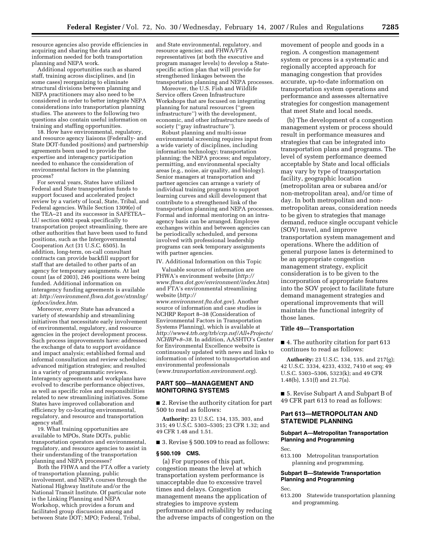resource agencies also provide efficiencies in acquiring and sharing the data and information needed for both transportation planning and NEPA work.

Additional opportunities such as shared staff, training across disciplines, and (in some cases) reorganizing to eliminate structural divisions between planning and NEPA practitioners may also need to be considered in order to better integrate NEPA considerations into transportation planning studies. The answers to the following two questions also contain useful information on training and staffing opportunities.

18. How have environmental, regulatory, and resource agency liaisons (Federally- and State DOT-funded positions) and partnership agreements been used to provide the expertise and interagency participation needed to enhance the consideration of environmental factors in the planning process?

For several years, States have utilized Federal and State transportation funds to support focused and accelerated project review by a variety of local, State, Tribal, and Federal agencies. While Section 1309(e) of the TEA–21 and its successor in SAFETEA– LU section 6002 speak specifically to transportation project streamlining, there are other authorities that have been used to fund positions, such as the Intergovernmental Cooperation Act (31 U.S.C. 6505). In addition, long-term, on-call consultant contracts can provide backfill support for staff that are detailed to other parts of an agency for temporary assignments. At last count (as of 2003), 246 positions were being funded. Additional information on interagency funding agreements is available at: *http://environment.fhwa.dot.gov/strmlng/ igdocs/index.htm*.

Moreover, every State has advanced a variety of stewardship and streamlining initiatives that necessitate early involvement of environmental, regulatory, and resource agencies in the project development process. Such process improvements have: addressed the exchange of data to support avoidance and impact analysis; established formal and informal consultation and review schedules; advanced mitigation strategies; and resulted in a variety of programmatic reviews. Interagency agreements and workplans have evolved to describe performance objectives, as well as specific roles and responsibilities related to new streamlining initiatives. Some States have improved collaboration and efficiency by co-locating environmental, regulatory, and resource and transportation agency staff.

19. What training opportunities are available to MPOs, State DOTs, public transportation operators and environmental, regulatory, and resource agencies to assist in their understanding of the transportation planning and NEPA processes?

Both the FHWA and the FTA offer a variety of transportation planning, public involvement, and NEPA courses through the National Highway Institute and/or the National Transit Institute. Of particular note is the Linking Planning and NEPA Workshop, which provides a forum and facilitated group discussion among and between State DOT; MPO; Federal, Tribal,

and State environmental, regulatory, and resource agencies; and FHWA/FTA representatives (at both the executive and program manager levels) to develop a Statespecific action plan that will provide for strengthened linkages between the transportation planning and NEPA processes.

Moreover, the U.S. Fish and Wildlife Service offers Green Infrastructure Workshops that are focused on integrating planning for natural resources (''green infrastructure'') with the development, economic, and other infrastructure needs of society (''gray infrastructure'').

Robust planning and multi-issue environmental screening requires input from a wide variety of disciplines, including information technology; transportation planning; the NEPA process; and regulatory, permitting, and environmental specialty areas (e.g., noise, air quality, and biology). Senior managers at transportation and partner agencies can arrange a variety of individual training programs to support learning curves and skill development that contribute to a strengthened link of the transportation planning and NEPA processes. Formal and informal mentoring on an intraagency basis can be arranged. Employee exchanges within and between agencies can be periodically scheduled, and persons involved with professional leadership programs can seek temporary assignments with partner agencies.

IV. Additional Information on this Topic

Valuable sources of information are FHWA's environment website (*http:// www.fhwa.dot.gov/environment/index.htm*) and FTA's environmental streamlining website (*http://* 

*www.environment.fta.dot.gov*). Another source of information and case studies is NCHRP Report 8–38 (Consideration of Environmental Factors in Transportation Systems Planning), which is available at *http://www4.trb.org/trb/crp.nsf/All+Projects/ NCHRP+8–38*. In addition, AASHTO's Center for Environmental Excellence website is continuously updated with news and links to information of interest to transportation and environmental professionals (*www.transportation.environment.org*).

## **PART 500—MANAGEMENT AND MONITORING SYSTEMS**

■ 2. Revise the authority citation for part 500 to read as follows:

**Authority:** 23 U.S.C. 134, 135, 303, and 315; 49 U.S.C. 5303–5305; 23 CFR 1.32; and 49 CFR 1.48 and 1.51.

■ 3. Revise § 500.109 to read as follows:

#### **§ 500.109 CMS.**

(a) For purposes of this part, congestion means the level at which transportation system performance is unacceptable due to excessive travel times and delays. Congestion management means the application of strategies to improve system performance and reliability by reducing the adverse impacts of congestion on the movement of people and goods in a region. A congestion management system or process is a systematic and regionally accepted approach for managing congestion that provides accurate, up-to-date information on transportation system operations and performance and assesses alternative strategies for congestion management that meet State and local needs.

(b) The development of a congestion management system or process should result in performance measures and strategies that can be integrated into transportation plans and programs. The level of system performance deemed acceptable by State and local officials may vary by type of transportation facility, geographic location (metropolitan area or subarea and/or non-metropolitan area), and/or time of day. In both metropolitan and nonmetropolitan areas, consideration needs to be given to strategies that manage demand, reduce single occupant vehicle (SOV) travel, and improve transportation system management and operations. Where the addition of general purpose lanes is determined to be an appropriate congestion management strategy, explicit consideration is to be given to the incorporation of appropriate features into the SOV project to facilitate future demand management strategies and operational improvements that will maintain the functional integrity of those lanes.

#### **Title 49—Transportation**

■ 4. The authority citation for part 613 continues to read as follows:

**Authority:** 23 U.S.C. 134, 135, and 217(g); 42 U.S.C. 3334, 4233, 4332, 7410 et seq; 49 U.S.C. 5303–5306, 5323(k); and 49 CFR 1.48(b), 1.51(f) and 21.7(a).

■ 5. Revise Subpart A and Subpart B of 49 CFR part 613 to read as follows:

## **Part 613—METROPOLITAN AND STATEWIDE PLANNING**

## **Subpart A—Metropolitan Transportation Planning and Programming**

Sec.

613.100 Metropolitan transportation planning and programming.

## **Subpart B—Statewide Transportation Planning and Programming**

Sec.

613.200 Statewide transportation planning and programming.